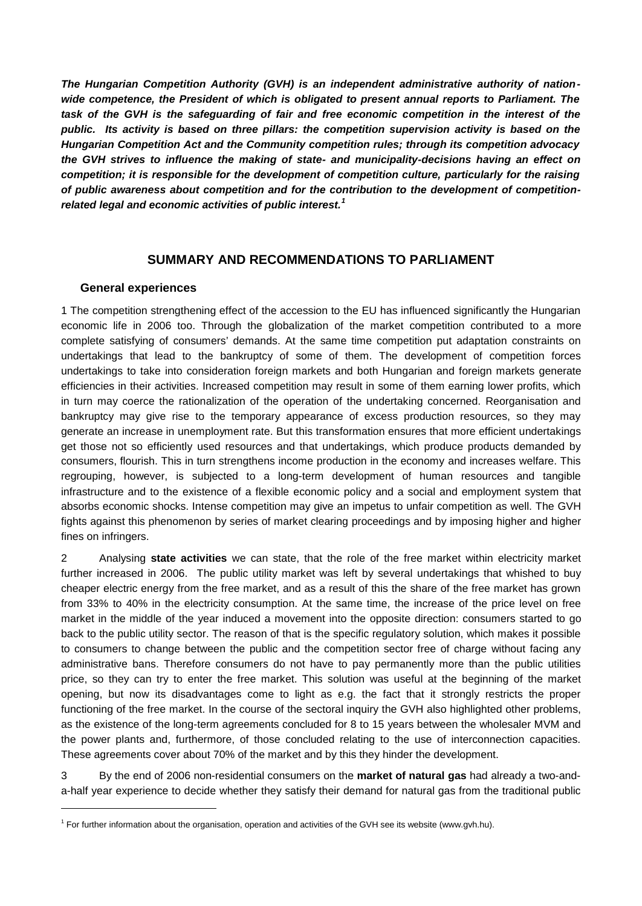*The Hungarian Competition Authority (GVH) is an independent administrative authority of nationwide competence, the President of which is obligated to present annual reports to Parliament. The task of the GVH is the safeguarding of fair and free economic competition in the interest of the public. Its activity is based on three pillars: the competition supervision activity is based on the Hungarian Competition Act and the Community competition rules; through its competition advocacy the GVH strives to influence the making of state- and municipality-decisions having an effect on competition; it is responsible for the development of competition culture, particularly for the raising of public awareness about competition and for the contribution to the development of competitionrelated legal and economic activities of public interest.<sup>1</sup>*

# **SUMMARY AND RECOMMENDATIONS TO PARLIAMENT**

### **General experiences**

l

1 The competition strengthening effect of the accession to the EU has influenced significantly the Hungarian economic life in 2006 too. Through the globalization of the market competition contributed to a more complete satisfying of consumers' demands. At the same time competition put adaptation constraints on undertakings that lead to the bankruptcy of some of them. The development of competition forces undertakings to take into consideration foreign markets and both Hungarian and foreign markets generate efficiencies in their activities. Increased competition may result in some of them earning lower profits, which in turn may coerce the rationalization of the operation of the undertaking concerned. Reorganisation and bankruptcy may give rise to the temporary appearance of excess production resources, so they may generate an increase in unemployment rate. But this transformation ensures that more efficient undertakings get those not so efficiently used resources and that undertakings, which produce products demanded by consumers, flourish. This in turn strengthens income production in the economy and increases welfare. This regrouping, however, is subjected to a long-term development of human resources and tangible infrastructure and to the existence of a flexible economic policy and a social and employment system that absorbs economic shocks. Intense competition may give an impetus to unfair competition as well. The GVH fights against this phenomenon by series of market clearing proceedings and by imposing higher and higher fines on infringers.

2 Analysing **state activities** we can state, that the role of the free market within electricity market further increased in 2006. The public utility market was left by several undertakings that whished to buy cheaper electric energy from the free market, and as a result of this the share of the free market has grown from 33% to 40% in the electricity consumption. At the same time, the increase of the price level on free market in the middle of the year induced a movement into the opposite direction: consumers started to go back to the public utility sector. The reason of that is the specific regulatory solution, which makes it possible to consumers to change between the public and the competition sector free of charge without facing any administrative bans. Therefore consumers do not have to pay permanently more than the public utilities price, so they can try to enter the free market. This solution was useful at the beginning of the market opening, but now its disadvantages come to light as e.g. the fact that it strongly restricts the proper functioning of the free market. In the course of the sectoral inquiry the GVH also highlighted other problems, as the existence of the long-term agreements concluded for 8 to 15 years between the wholesaler MVM and the power plants and, furthermore, of those concluded relating to the use of interconnection capacities. These agreements cover about 70% of the market and by this they hinder the development.

3 By the end of 2006 non-residential consumers on the **market of natural gas** had already a two-anda-half year experience to decide whether they satisfy their demand for natural gas from the traditional public

<sup>&</sup>lt;sup>1</sup> For further information about the organisation, operation and activities of the GVH see its website (www.gvh.hu).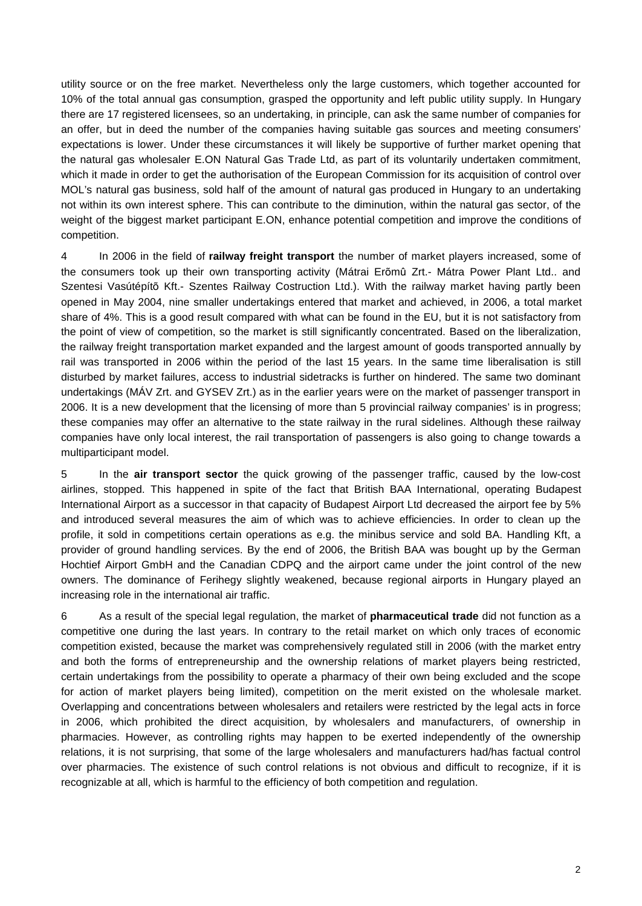utility source or on the free market. Nevertheless only the large customers, which together accounted for 10% of the total annual gas consumption, grasped the opportunity and left public utility supply. In Hungary there are 17 registered licensees, so an undertaking, in principle, can ask the same number of companies for an offer, but in deed the number of the companies having suitable gas sources and meeting consumers' expectations is lower. Under these circumstances it will likely be supportive of further market opening that the natural gas wholesaler E.ON Natural Gas Trade Ltd, as part of its voluntarily undertaken commitment, which it made in order to get the authorisation of the European Commission for its acquisition of control over MOL's natural gas business, sold half of the amount of natural gas produced in Hungary to an undertaking not within its own interest sphere. This can contribute to the diminution, within the natural gas sector, of the weight of the biggest market participant E.ON, enhance potential competition and improve the conditions of competition.

4 In 2006 in the field of **railway freight transport** the number of market players increased, some of the consumers took up their own transporting activity (Mátrai Erõmû Zrt.- Mátra Power Plant Ltd.. and Szentesi Vasútépítõ Kft.- Szentes Railway Costruction Ltd.). With the railway market having partly been opened in May 2004, nine smaller undertakings entered that market and achieved, in 2006, a total market share of 4%. This is a good result compared with what can be found in the EU, but it is not satisfactory from the point of view of competition, so the market is still significantly concentrated. Based on the liberalization, the railway freight transportation market expanded and the largest amount of goods transported annually by rail was transported in 2006 within the period of the last 15 years. In the same time liberalisation is still disturbed by market failures, access to industrial sidetracks is further on hindered. The same two dominant undertakings (MÁV Zrt. and GYSEV Zrt.) as in the earlier years were on the market of passenger transport in 2006. It is a new development that the licensing of more than 5 provincial railway companies' is in progress; these companies may offer an alternative to the state railway in the rural sidelines. Although these railway companies have only local interest, the rail transportation of passengers is also going to change towards a multiparticipant model.

5 In the **air transport sector** the quick growing of the passenger traffic, caused by the low-cost airlines, stopped. This happened in spite of the fact that British BAA International, operating Budapest International Airport as a successor in that capacity of Budapest Airport Ltd decreased the airport fee by 5% and introduced several measures the aim of which was to achieve efficiencies. In order to clean up the profile, it sold in competitions certain operations as e.g. the minibus service and sold BA. Handling Kft, a provider of ground handling services. By the end of 2006, the British BAA was bought up by the German Hochtief Airport GmbH and the Canadian CDPQ and the airport came under the joint control of the new owners. The dominance of Ferihegy slightly weakened, because regional airports in Hungary played an increasing role in the international air traffic.

6 As a result of the special legal regulation, the market of **pharmaceutical trade** did not function as a competitive one during the last years. In contrary to the retail market on which only traces of economic competition existed, because the market was comprehensively regulated still in 2006 (with the market entry and both the forms of entrepreneurship and the ownership relations of market players being restricted, certain undertakings from the possibility to operate a pharmacy of their own being excluded and the scope for action of market players being limited), competition on the merit existed on the wholesale market. Overlapping and concentrations between wholesalers and retailers were restricted by the legal acts in force in 2006, which prohibited the direct acquisition, by wholesalers and manufacturers, of ownership in pharmacies. However, as controlling rights may happen to be exerted independently of the ownership relations, it is not surprising, that some of the large wholesalers and manufacturers had/has factual control over pharmacies. The existence of such control relations is not obvious and difficult to recognize, if it is recognizable at all, which is harmful to the efficiency of both competition and regulation.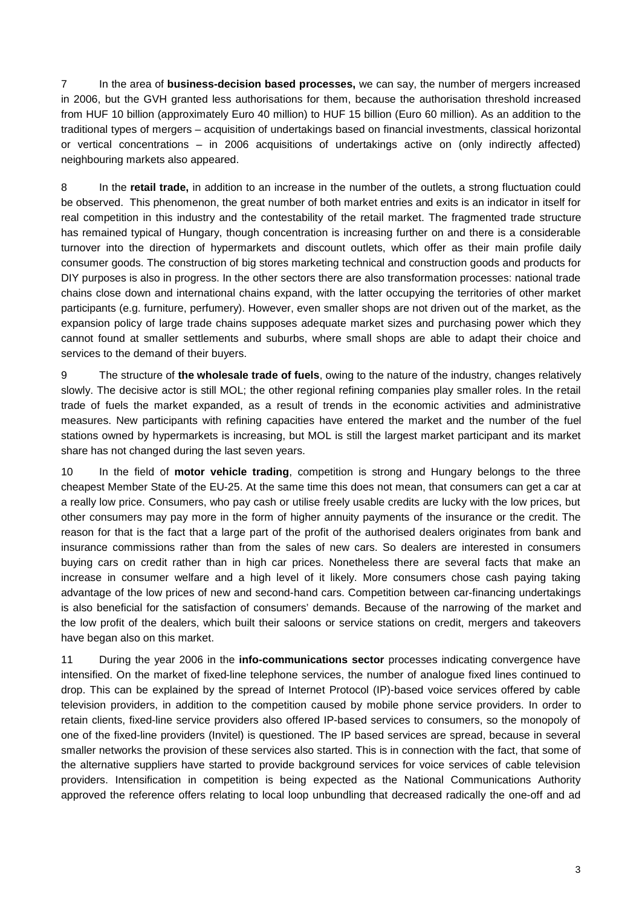7 In the area of **business-decision based processes,** we can say, the number of mergers increased in 2006, but the GVH granted less authorisations for them, because the authorisation threshold increased from HUF 10 billion (approximately Euro 40 million) to HUF 15 billion (Euro 60 million). As an addition to the traditional types of mergers – acquisition of undertakings based on financial investments, classical horizontal or vertical concentrations – in 2006 acquisitions of undertakings active on (only indirectly affected) neighbouring markets also appeared.

8 In the **retail trade,** in addition to an increase in the number of the outlets, a strong fluctuation could be observed. This phenomenon, the great number of both market entries and exits is an indicator in itself for real competition in this industry and the contestability of the retail market. The fragmented trade structure has remained typical of Hungary, though concentration is increasing further on and there is a considerable turnover into the direction of hypermarkets and discount outlets, which offer as their main profile daily consumer goods. The construction of big stores marketing technical and construction goods and products for DIY purposes is also in progress. In the other sectors there are also transformation processes: national trade chains close down and international chains expand, with the latter occupying the territories of other market participants (e.g. furniture, perfumery). However, even smaller shops are not driven out of the market, as the expansion policy of large trade chains supposes adequate market sizes and purchasing power which they cannot found at smaller settlements and suburbs, where small shops are able to adapt their choice and services to the demand of their buyers.

9 The structure of **the wholesale trade of fuels**, owing to the nature of the industry, changes relatively slowly. The decisive actor is still MOL; the other regional refining companies play smaller roles. In the retail trade of fuels the market expanded, as a result of trends in the economic activities and administrative measures. New participants with refining capacities have entered the market and the number of the fuel stations owned by hypermarkets is increasing, but MOL is still the largest market participant and its market share has not changed during the last seven years.

10 In the field of **motor vehicle trading**, competition is strong and Hungary belongs to the three cheapest Member State of the EU-25. At the same time this does not mean, that consumers can get a car at a really low price. Consumers, who pay cash or utilise freely usable credits are lucky with the low prices, but other consumers may pay more in the form of higher annuity payments of the insurance or the credit. The reason for that is the fact that a large part of the profit of the authorised dealers originates from bank and insurance commissions rather than from the sales of new cars. So dealers are interested in consumers buying cars on credit rather than in high car prices. Nonetheless there are several facts that make an increase in consumer welfare and a high level of it likely. More consumers chose cash paying taking advantage of the low prices of new and second-hand cars. Competition between car-financing undertakings is also beneficial for the satisfaction of consumers' demands. Because of the narrowing of the market and the low profit of the dealers, which built their saloons or service stations on credit, mergers and takeovers have began also on this market.

11 During the year 2006 in the **info-communications sector** processes indicating convergence have intensified. On the market of fixed-line telephone services, the number of analogue fixed lines continued to drop. This can be explained by the spread of Internet Protocol (IP)-based voice services offered by cable television providers, in addition to the competition caused by mobile phone service providers. In order to retain clients, fixed-line service providers also offered IP-based services to consumers, so the monopoly of one of the fixed-line providers (Invitel) is questioned. The IP based services are spread, because in several smaller networks the provision of these services also started. This is in connection with the fact, that some of the alternative suppliers have started to provide background services for voice services of cable television providers. Intensification in competition is being expected as the National Communications Authority approved the reference offers relating to local loop unbundling that decreased radically the one-off and ad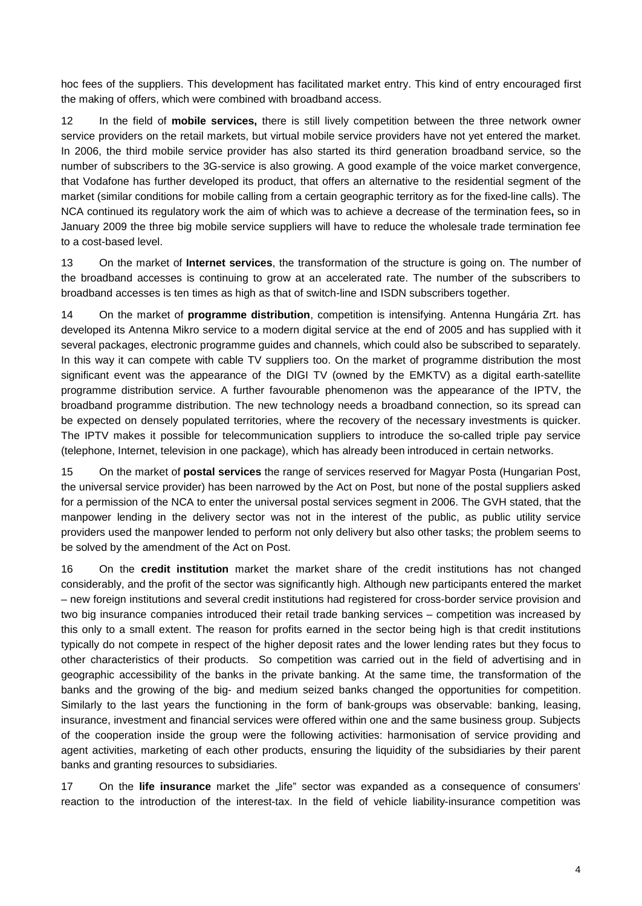hoc fees of the suppliers. This development has facilitated market entry. This kind of entry encouraged first the making of offers, which were combined with broadband access.

12 In the field of **mobile services,** there is still lively competition between the three network owner service providers on the retail markets, but virtual mobile service providers have not yet entered the market. In 2006, the third mobile service provider has also started its third generation broadband service, so the number of subscribers to the 3G-service is also growing. A good example of the voice market convergence, that Vodafone has further developed its product, that offers an alternative to the residential segment of the market (similar conditions for mobile calling from a certain geographic territory as for the fixed-line calls). The NCA continued its regulatory work the aim of which was to achieve a decrease of the termination fees**,** so in January 2009 the three big mobile service suppliers will have to reduce the wholesale trade termination fee to a cost-based level.

13 On the market of **Internet services**, the transformation of the structure is going on. The number of the broadband accesses is continuing to grow at an accelerated rate. The number of the subscribers to broadband accesses is ten times as high as that of switch-line and ISDN subscribers together.

14 On the market of **programme distribution**, competition is intensifying. Antenna Hungária Zrt. has developed its Antenna Mikro service to a modern digital service at the end of 2005 and has supplied with it several packages, electronic programme guides and channels, which could also be subscribed to separately. In this way it can compete with cable TV suppliers too. On the market of programme distribution the most significant event was the appearance of the DIGI TV (owned by the EMKTV) as a digital earth-satellite programme distribution service. A further favourable phenomenon was the appearance of the IPTV, the broadband programme distribution. The new technology needs a broadband connection, so its spread can be expected on densely populated territories, where the recovery of the necessary investments is quicker. The IPTV makes it possible for telecommunication suppliers to introduce the so-called triple pay service (telephone, Internet, television in one package), which has already been introduced in certain networks.

15 On the market of **postal services** the range of services reserved for Magyar Posta (Hungarian Post, the universal service provider) has been narrowed by the Act on Post, but none of the postal suppliers asked for a permission of the NCA to enter the universal postal services segment in 2006. The GVH stated, that the manpower lending in the delivery sector was not in the interest of the public, as public utility service providers used the manpower lended to perform not only delivery but also other tasks; the problem seems to be solved by the amendment of the Act on Post.

16 On the **credit institution** market the market share of the credit institutions has not changed considerably, and the profit of the sector was significantly high. Although new participants entered the market – new foreign institutions and several credit institutions had registered for cross-border service provision and two big insurance companies introduced their retail trade banking services – competition was increased by this only to a small extent. The reason for profits earned in the sector being high is that credit institutions typically do not compete in respect of the higher deposit rates and the lower lending rates but they focus to other characteristics of their products. So competition was carried out in the field of advertising and in geographic accessibility of the banks in the private banking. At the same time, the transformation of the banks and the growing of the big- and medium seized banks changed the opportunities for competition. Similarly to the last years the functioning in the form of bank-groups was observable: banking, leasing, insurance, investment and financial services were offered within one and the same business group. Subjects of the cooperation inside the group were the following activities: harmonisation of service providing and agent activities, marketing of each other products, ensuring the liquidity of the subsidiaries by their parent banks and granting resources to subsidiaries.

17 On the **life insurance** market the "life" sector was expanded as a consequence of consumers' reaction to the introduction of the interest-tax. In the field of vehicle liability-insurance competition was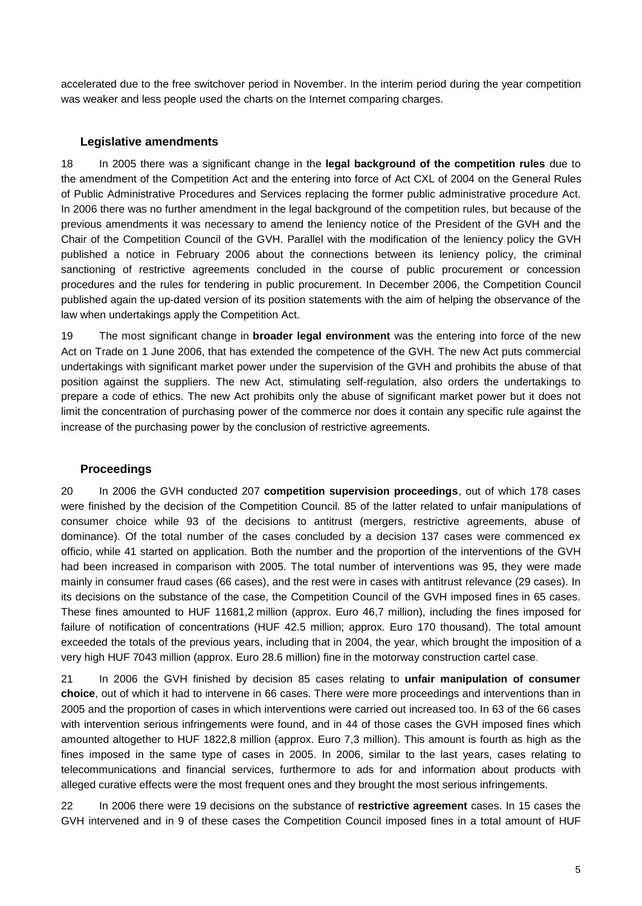accelerated due to the free switchover period in November. In the interim period during the year competition was weaker and less people used the charts on the Internet comparing charges.

#### **Legislative amendments**

18 In 2005 there was a significant change in the **legal background of the competition rules** due to the amendment of the Competition Act and the entering into force of Act CXL of 2004 on the General Rules of Public Administrative Procedures and Services replacing the former public administrative procedure Act. In 2006 there was no further amendment in the legal background of the competition rules, but because of the previous amendments it was necessary to amend the leniency notice of the President of the GVH and the Chair of the Competition Council of the GVH. Parallel with the modification of the leniency policy the GVH published a notice in February 2006 about the connections between its leniency policy, the criminal sanctioning of restrictive agreements concluded in the course of public procurement or concession procedures and the rules for tendering in public procurement. In December 2006, the Competition Council published again the up-dated version of its position statements with the aim of helping the observance of the law when undertakings apply the Competition Act.

19 The most significant change in **broader legal environment** was the entering into force of the new Act on Trade on 1 June 2006, that has extended the competence of the GVH. The new Act puts commercial undertakings with significant market power under the supervision of the GVH and prohibits the abuse of that position against the suppliers. The new Act, stimulating self-regulation, also orders the undertakings to prepare a code of ethics. The new Act prohibits only the abuse of significant market power but it does not limit the concentration of purchasing power of the commerce nor does it contain any specific rule against the increase of the purchasing power by the conclusion of restrictive agreements.

#### **Proceedings**

20 In 2006 the GVH conducted 207 **competition supervision proceedings**, out of which 178 cases were finished by the decision of the Competition Council. 85 of the latter related to unfair manipulations of consumer choice while 93 of the decisions to antitrust (mergers, restrictive agreements, abuse of dominance). Of the total number of the cases concluded by a decision 137 cases were commenced ex officio, while 41 started on application. Both the number and the proportion of the interventions of the GVH had been increased in comparison with 2005. The total number of interventions was 95, they were made mainly in consumer fraud cases (66 cases), and the rest were in cases with antitrust relevance (29 cases). In its decisions on the substance of the case, the Competition Council of the GVH imposed fines in 65 cases. These fines amounted to HUF 11681,2 million (approx. Euro 46,7 million), including the fines imposed for failure of notification of concentrations (HUF 42.5 million; approx. Euro 170 thousand). The total amount exceeded the totals of the previous years, including that in 2004, the year, which brought the imposition of a very high HUF 7043 million (approx. Euro 28.6 million) fine in the motorway construction cartel case.

21 In 2006 the GVH finished by decision 85 cases relating to **unfair manipulation of consumer choice**, out of which it had to intervene in 66 cases. There were more proceedings and interventions than in 2005 and the proportion of cases in which interventions were carried out increased too. In 63 of the 66 cases with intervention serious infringements were found, and in 44 of those cases the GVH imposed fines which amounted altogether to HUF 1822,8 million (approx. Euro 7,3 million). This amount is fourth as high as the fines imposed in the same type of cases in 2005. In 2006, similar to the last years, cases relating to telecommunications and financial services, furthermore to ads for and information about products with alleged curative effects were the most frequent ones and they brought the most serious infringements.

22 In 2006 there were 19 decisions on the substance of **restrictive agreement** cases. In 15 cases the GVH intervened and in 9 of these cases the Competition Council imposed fines in a total amount of HUF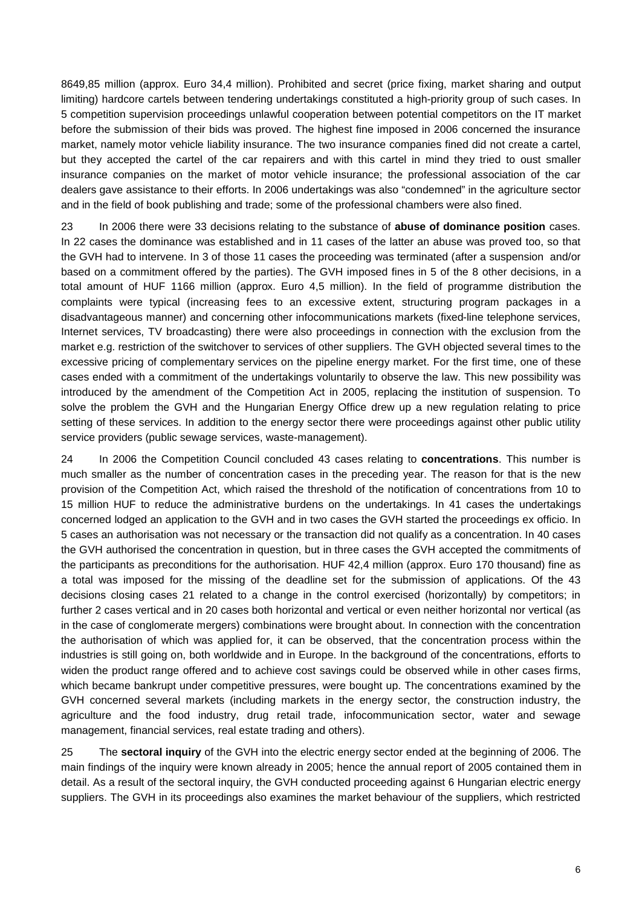8649,85 million (approx. Euro 34,4 million). Prohibited and secret (price fixing, market sharing and output limiting) hardcore cartels between tendering undertakings constituted a high-priority group of such cases. In 5 competition supervision proceedings unlawful cooperation between potential competitors on the IT market before the submission of their bids was proved. The highest fine imposed in 2006 concerned the insurance market, namely motor vehicle liability insurance. The two insurance companies fined did not create a cartel, but they accepted the cartel of the car repairers and with this cartel in mind they tried to oust smaller insurance companies on the market of motor vehicle insurance; the professional association of the car dealers gave assistance to their efforts. In 2006 undertakings was also "condemned" in the agriculture sector and in the field of book publishing and trade; some of the professional chambers were also fined.

23 In 2006 there were 33 decisions relating to the substance of **abuse of dominance position** cases. In 22 cases the dominance was established and in 11 cases of the latter an abuse was proved too, so that the GVH had to intervene. In 3 of those 11 cases the proceeding was terminated (after a suspension and/or based on a commitment offered by the parties). The GVH imposed fines in 5 of the 8 other decisions, in a total amount of HUF 1166 million (approx. Euro 4,5 million). In the field of programme distribution the complaints were typical (increasing fees to an excessive extent, structuring program packages in a disadvantageous manner) and concerning other infocommunications markets (fixed-line telephone services, Internet services, TV broadcasting) there were also proceedings in connection with the exclusion from the market e.g. restriction of the switchover to services of other suppliers. The GVH objected several times to the excessive pricing of complementary services on the pipeline energy market. For the first time, one of these cases ended with a commitment of the undertakings voluntarily to observe the law. This new possibility was introduced by the amendment of the Competition Act in 2005, replacing the institution of suspension. To solve the problem the GVH and the Hungarian Energy Office drew up a new regulation relating to price setting of these services. In addition to the energy sector there were proceedings against other public utility service providers (public sewage services, waste-management).

24 In 2006 the Competition Council concluded 43 cases relating to **concentrations**. This number is much smaller as the number of concentration cases in the preceding year. The reason for that is the new provision of the Competition Act, which raised the threshold of the notification of concentrations from 10 to 15 million HUF to reduce the administrative burdens on the undertakings. In 41 cases the undertakings concerned lodged an application to the GVH and in two cases the GVH started the proceedings ex officio. In 5 cases an authorisation was not necessary or the transaction did not qualify as a concentration. In 40 cases the GVH authorised the concentration in question, but in three cases the GVH accepted the commitments of the participants as preconditions for the authorisation. HUF 42,4 million (approx. Euro 170 thousand) fine as a total was imposed for the missing of the deadline set for the submission of applications. Of the 43 decisions closing cases 21 related to a change in the control exercised (horizontally) by competitors; in further 2 cases vertical and in 20 cases both horizontal and vertical or even neither horizontal nor vertical (as in the case of conglomerate mergers) combinations were brought about. In connection with the concentration the authorisation of which was applied for, it can be observed, that the concentration process within the industries is still going on, both worldwide and in Europe. In the background of the concentrations, efforts to widen the product range offered and to achieve cost savings could be observed while in other cases firms, which became bankrupt under competitive pressures, were bought up. The concentrations examined by the GVH concerned several markets (including markets in the energy sector, the construction industry, the agriculture and the food industry, drug retail trade, infocommunication sector, water and sewage management, financial services, real estate trading and others).

25 The **sectoral inquiry** of the GVH into the electric energy sector ended at the beginning of 2006. The main findings of the inquiry were known already in 2005; hence the annual report of 2005 contained them in detail. As a result of the sectoral inquiry, the GVH conducted proceeding against 6 Hungarian electric energy suppliers. The GVH in its proceedings also examines the market behaviour of the suppliers, which restricted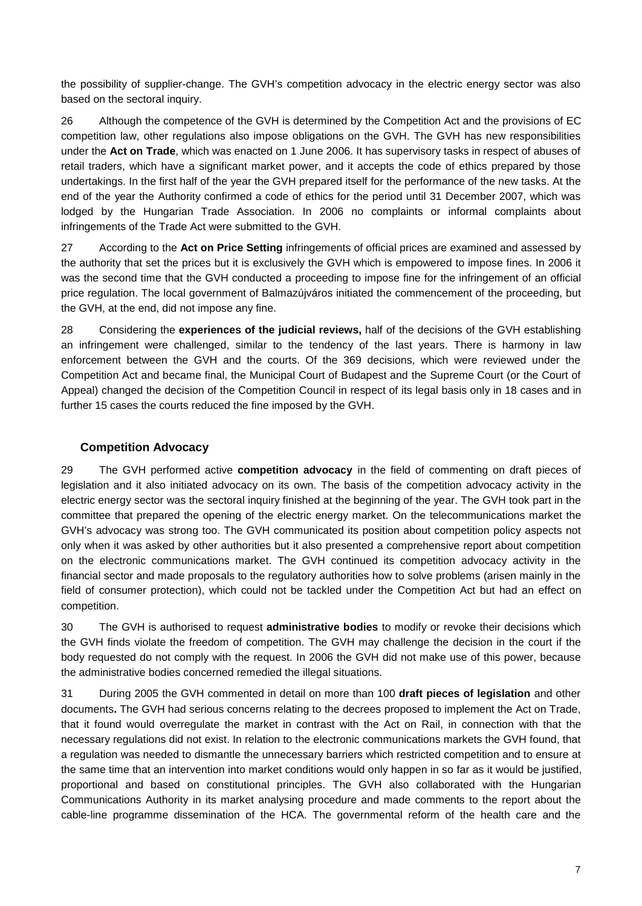the possibility of supplier-change. The GVH's competition advocacy in the electric energy sector was also based on the sectoral inquiry.

26 Although the competence of the GVH is determined by the Competition Act and the provisions of EC competition law, other regulations also impose obligations on the GVH. The GVH has new responsibilities under the **Act on Trade**, which was enacted on 1 June 2006. It has supervisory tasks in respect of abuses of retail traders, which have a significant market power, and it accepts the code of ethics prepared by those undertakings. In the first half of the year the GVH prepared itself for the performance of the new tasks. At the end of the year the Authority confirmed a code of ethics for the period until 31 December 2007, which was lodged by the Hungarian Trade Association. In 2006 no complaints or informal complaints about infringements of the Trade Act were submitted to the GVH.

27 According to the **Act on Price Setting** infringements of official prices are examined and assessed by the authority that set the prices but it is exclusively the GVH which is empowered to impose fines. In 2006 it was the second time that the GVH conducted a proceeding to impose fine for the infringement of an official price regulation. The local government of Balmazújváros initiated the commencement of the proceeding, but the GVH, at the end, did not impose any fine.

28 Considering the **experiences of the judicial reviews,** half of the decisions of the GVH establishing an infringement were challenged, similar to the tendency of the last years. There is harmony in law enforcement between the GVH and the courts. Of the 369 decisions, which were reviewed under the Competition Act and became final, the Municipal Court of Budapest and the Supreme Court (or the Court of Appeal) changed the decision of the Competition Council in respect of its legal basis only in 18 cases and in further 15 cases the courts reduced the fine imposed by the GVH.

# **Competition Advocacy**

29 The GVH performed active **competition advocacy** in the field of commenting on draft pieces of legislation and it also initiated advocacy on its own. The basis of the competition advocacy activity in the electric energy sector was the sectoral inquiry finished at the beginning of the year. The GVH took part in the committee that prepared the opening of the electric energy market. On the telecommunications market the GVH's advocacy was strong too. The GVH communicated its position about competition policy aspects not only when it was asked by other authorities but it also presented a comprehensive report about competition on the electronic communications market. The GVH continued its competition advocacy activity in the financial sector and made proposals to the regulatory authorities how to solve problems (arisen mainly in the field of consumer protection), which could not be tackled under the Competition Act but had an effect on competition.

30 The GVH is authorised to request **administrative bodies** to modify or revoke their decisions which the GVH finds violate the freedom of competition. The GVH may challenge the decision in the court if the body requested do not comply with the request. In 2006 the GVH did not make use of this power, because the administrative bodies concerned remedied the illegal situations.

31 During 2005 the GVH commented in detail on more than 100 **draft pieces of legislation** and other documents**.** The GVH had serious concerns relating to the decrees proposed to implement the Act on Trade, that it found would overregulate the market in contrast with the Act on Rail, in connection with that the necessary regulations did not exist. In relation to the electronic communications markets the GVH found, that a regulation was needed to dismantle the unnecessary barriers which restricted competition and to ensure at the same time that an intervention into market conditions would only happen in so far as it would be justified, proportional and based on constitutional principles. The GVH also collaborated with the Hungarian Communications Authority in its market analysing procedure and made comments to the report about the cable-line programme dissemination of the HCA. The governmental reform of the health care and the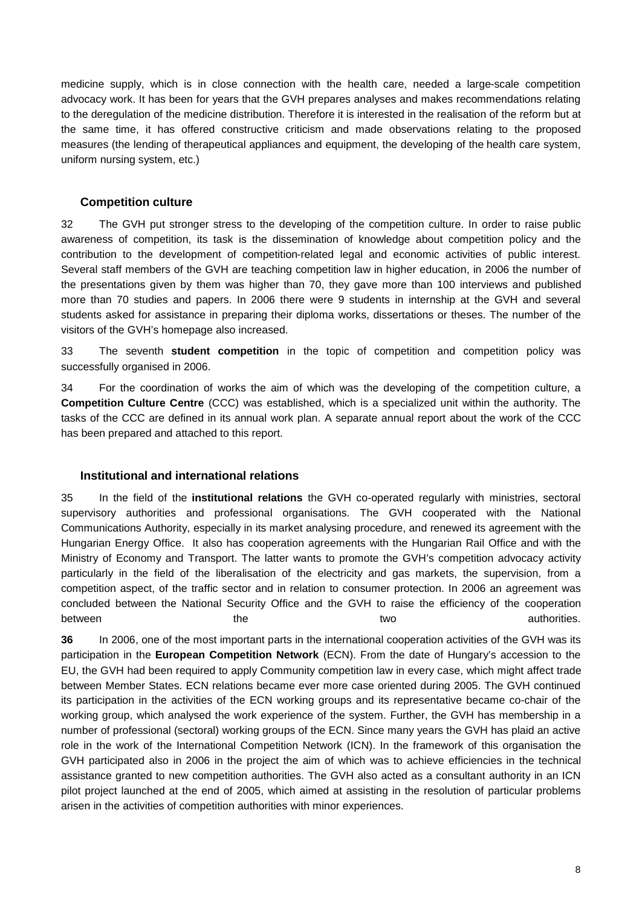medicine supply, which is in close connection with the health care, needed a large-scale competition advocacy work. It has been for years that the GVH prepares analyses and makes recommendations relating to the deregulation of the medicine distribution. Therefore it is interested in the realisation of the reform but at the same time, it has offered constructive criticism and made observations relating to the proposed measures (the lending of therapeutical appliances and equipment, the developing of the health care system, uniform nursing system, etc.)

### **Competition culture**

32 The GVH put stronger stress to the developing of the competition culture. In order to raise public awareness of competition, its task is the dissemination of knowledge about competition policy and the contribution to the development of competition-related legal and economic activities of public interest. Several staff members of the GVH are teaching competition law in higher education, in 2006 the number of the presentations given by them was higher than 70, they gave more than 100 interviews and published more than 70 studies and papers. In 2006 there were 9 students in internship at the GVH and several students asked for assistance in preparing their diploma works, dissertations or theses. The number of the visitors of the GVH's homepage also increased.

33 The seventh **student competition** in the topic of competition and competition policy was successfully organised in 2006.

34 For the coordination of works the aim of which was the developing of the competition culture, a **Competition Culture Centre** (CCC) was established, which is a specialized unit within the authority. The tasks of the CCC are defined in its annual work plan. A separate annual report about the work of the CCC has been prepared and attached to this report.

#### **Institutional and international relations**

35 In the field of the **institutional relations** the GVH co-operated regularly with ministries, sectoral supervisory authorities and professional organisations. The GVH cooperated with the National Communications Authority, especially in its market analysing procedure, and renewed its agreement with the Hungarian Energy Office. It also has cooperation agreements with the Hungarian Rail Office and with the Ministry of Economy and Transport. The latter wants to promote the GVH's competition advocacy activity particularly in the field of the liberalisation of the electricity and gas markets, the supervision, from a competition aspect, of the traffic sector and in relation to consumer protection. In 2006 an agreement was concluded between the National Security Office and the GVH to raise the efficiency of the cooperation between the the two two two authorities.

**36** In 2006, one of the most important parts in the international cooperation activities of the GVH was its participation in the **European Competition Network** (ECN). From the date of Hungary's accession to the EU, the GVH had been required to apply Community competition law in every case, which might affect trade between Member States. ECN relations became ever more case oriented during 2005. The GVH continued its participation in the activities of the ECN working groups and its representative became co-chair of the working group, which analysed the work experience of the system. Further, the GVH has membership in a number of professional (sectoral) working groups of the ECN. Since many years the GVH has plaid an active role in the work of the International Competition Network (ICN). In the framework of this organisation the GVH participated also in 2006 in the project the aim of which was to achieve efficiencies in the technical assistance granted to new competition authorities. The GVH also acted as a consultant authority in an ICN pilot project launched at the end of 2005, which aimed at assisting in the resolution of particular problems arisen in the activities of competition authorities with minor experiences.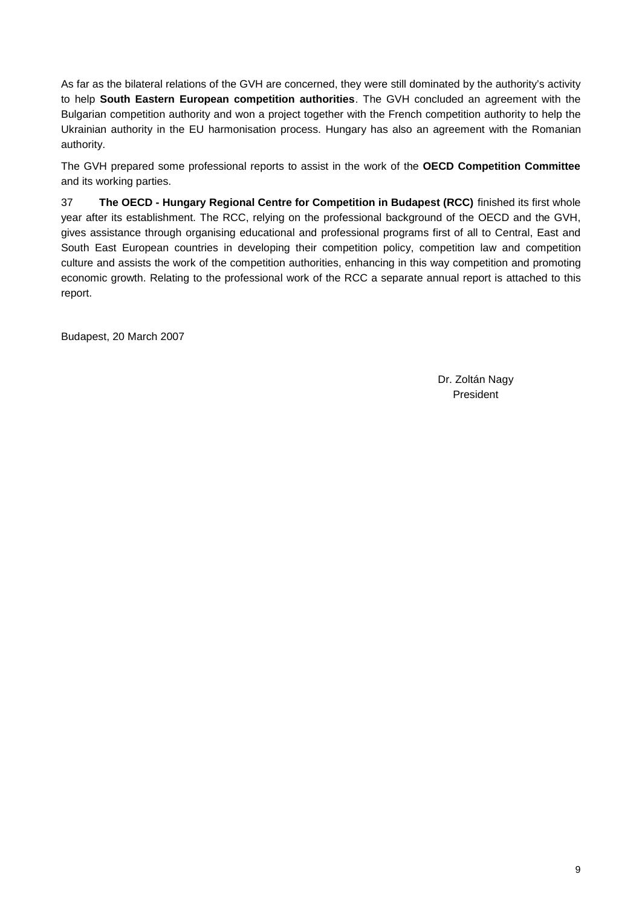As far as the bilateral relations of the GVH are concerned, they were still dominated by the authority's activity to help **South Eastern European competition authorities**. The GVH concluded an agreement with the Bulgarian competition authority and won a project together with the French competition authority to help the Ukrainian authority in the EU harmonisation process. Hungary has also an agreement with the Romanian authority.

The GVH prepared some professional reports to assist in the work of the **OECD Competition Committee** and its working parties.

37 **The OECD - Hungary Regional Centre for Competition in Budapest (RCC)** finished its first whole year after its establishment. The RCC, relying on the professional background of the OECD and the GVH, gives assistance through organising educational and professional programs first of all to Central, East and South East European countries in developing their competition policy, competition law and competition culture and assists the work of the competition authorities, enhancing in this way competition and promoting economic growth. Relating to the professional work of the RCC a separate annual report is attached to this report.

Budapest, 20 March 2007

Dr. Zoltán Nagy President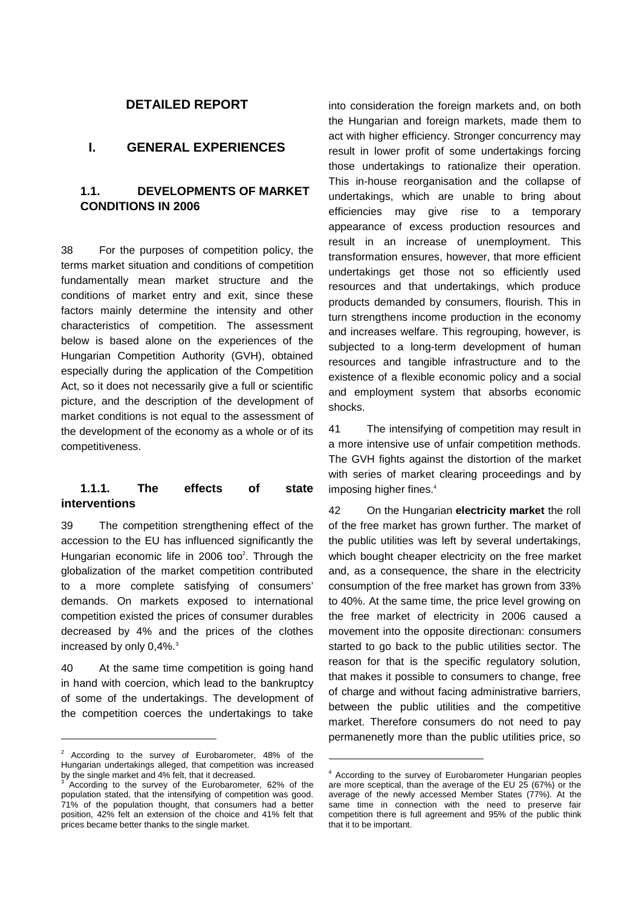### **DETAILED REPORT**

### **I. GENERAL EXPERIENCES**

### **1.1. DEVELOPMENTS OF MARKET CONDITIONS IN 2006**

38 For the purposes of competition policy, the terms market situation and conditions of competition fundamentally mean market structure and the conditions of market entry and exit, since these factors mainly determine the intensity and other characteristics of competition. The assessment below is based alone on the experiences of the Hungarian Competition Authority (GVH), obtained especially during the application of the Competition Act, so it does not necessarily give a full or scientific picture, and the description of the development of market conditions is not equal to the assessment of the development of the economy as a whole or of its competitiveness.

### **1.1.1. The effects of state interventions**

39 The competition strengthening effect of the accession to the EU has influenced significantly the Hungarian economic life in 2006 too<sup>2</sup>. Through the globalization of the market competition contributed to a more complete satisfying of consumers' demands. On markets exposed to international competition existed the prices of consumer durables decreased by 4% and the prices of the clothes increased by only 0,4%.<sup>3</sup>

40 At the same time competition is going hand in hand with coercion, which lead to the bankruptcy of some of the undertakings. The development of the competition coerces the undertakings to take

l

into consideration the foreign markets and, on both the Hungarian and foreign markets, made them to act with higher efficiency. Stronger concurrency may result in lower profit of some undertakings forcing those undertakings to rationalize their operation. This in-house reorganisation and the collapse of undertakings, which are unable to bring about efficiencies may give rise to a temporary appearance of excess production resources and result in an increase of unemployment. This transformation ensures, however, that more efficient undertakings get those not so efficiently used resources and that undertakings, which produce products demanded by consumers, flourish. This in turn strengthens income production in the economy and increases welfare. This regrouping, however, is subjected to a long-term development of human resources and tangible infrastructure and to the existence of a flexible economic policy and a social and employment system that absorbs economic shocks.

41 The intensifying of competition may result in a more intensive use of unfair competition methods. The GVH fights against the distortion of the market with series of market clearing proceedings and by imposing higher fines.<sup>4</sup>

42 On the Hungarian **electricity market** the roll of the free market has grown further. The market of the public utilities was left by several undertakings, which bought cheaper electricity on the free market and, as a consequence, the share in the electricity consumption of the free market has grown from 33% to 40%. At the same time, the price level growing on the free market of electricity in 2006 caused a movement into the opposite directionan: consumers started to go back to the public utilities sector. The reason for that is the specific regulatory solution, that makes it possible to consumers to change, free of charge and without facing administrative barriers, between the public utilities and the competitive market. Therefore consumers do not need to pay permanenetly more than the public utilities price, so

-

<sup>2</sup> According to the survey of Eurobarometer, 48% of the Hungarian undertakings alleged, that competition was increased by the single market and 4% felt, that it decreased.

According to the survey of the Eurobarometer, 62% of the population stated, that the intensifying of competition was good. 71% of the population thought, that consumers had a better position, 42% felt an extension of the choice and 41% felt that prices became better thanks to the single market.

<sup>4</sup> According to the survey of Eurobarometer Hungarian peoples are more sceptical, than the average of the EU 25 (67%) or the average of the newly accessed Member States (77%). At the same time in connection with the need to preserve fair competition there is full agreement and 95% of the public think that it to be important.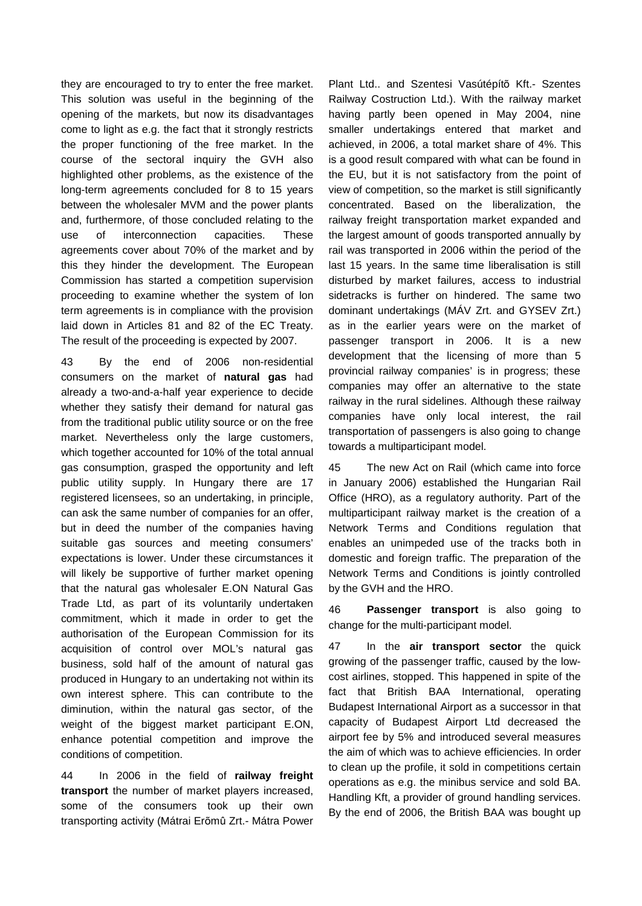they are encouraged to try to enter the free market. This solution was useful in the beginning of the opening of the markets, but now its disadvantages come to light as e.g. the fact that it strongly restricts the proper functioning of the free market. In the course of the sectoral inquiry the GVH also highlighted other problems, as the existence of the long-term agreements concluded for 8 to 15 years between the wholesaler MVM and the power plants and, furthermore, of those concluded relating to the use of interconnection capacities. These agreements cover about 70% of the market and by this they hinder the development. The European Commission has started a competition supervision proceeding to examine whether the system of lon term agreements is in compliance with the provision laid down in Articles 81 and 82 of the EC Treaty. The result of the proceeding is expected by 2007.

43 By the end of 2006 non-residential consumers on the market of **natural gas** had already a two-and-a-half year experience to decide whether they satisfy their demand for natural gas from the traditional public utility source or on the free market. Nevertheless only the large customers, which together accounted for 10% of the total annual gas consumption, grasped the opportunity and left public utility supply. In Hungary there are 17 registered licensees, so an undertaking, in principle, can ask the same number of companies for an offer, but in deed the number of the companies having suitable gas sources and meeting consumers' expectations is lower. Under these circumstances it will likely be supportive of further market opening that the natural gas wholesaler E.ON Natural Gas Trade Ltd, as part of its voluntarily undertaken commitment, which it made in order to get the authorisation of the European Commission for its acquisition of control over MOL's natural gas business, sold half of the amount of natural gas produced in Hungary to an undertaking not within its own interest sphere. This can contribute to the diminution, within the natural gas sector, of the weight of the biggest market participant E.ON, enhance potential competition and improve the conditions of competition.

44 In 2006 in the field of **railway freight transport** the number of market players increased, some of the consumers took up their own transporting activity (Mátrai Erõmû Zrt.- Mátra Power

Plant Ltd.. and Szentesi Vasútépítõ Kft.- Szentes Railway Costruction Ltd.). With the railway market having partly been opened in May 2004, nine smaller undertakings entered that market and achieved, in 2006, a total market share of 4%. This is a good result compared with what can be found in the EU, but it is not satisfactory from the point of view of competition, so the market is still significantly concentrated. Based on the liberalization, the railway freight transportation market expanded and the largest amount of goods transported annually by rail was transported in 2006 within the period of the last 15 years. In the same time liberalisation is still disturbed by market failures, access to industrial sidetracks is further on hindered. The same two dominant undertakings (MÁV Zrt. and GYSEV Zrt.) as in the earlier years were on the market of passenger transport in 2006. It is a new development that the licensing of more than 5 provincial railway companies' is in progress; these companies may offer an alternative to the state railway in the rural sidelines. Although these railway companies have only local interest, the rail transportation of passengers is also going to change towards a multiparticipant model.

45 The new Act on Rail (which came into force in January 2006) established the Hungarian Rail Office (HRO), as a regulatory authority. Part of the multiparticipant railway market is the creation of a Network Terms and Conditions regulation that enables an unimpeded use of the tracks both in domestic and foreign traffic. The preparation of the Network Terms and Conditions is jointly controlled by the GVH and the HRO.

46 **Passenger transport** is also going to change for the multi-participant model.

47 In the **air transport sector** the quick growing of the passenger traffic, caused by the lowcost airlines, stopped. This happened in spite of the fact that British BAA International, operating Budapest International Airport as a successor in that capacity of Budapest Airport Ltd decreased the airport fee by 5% and introduced several measures the aim of which was to achieve efficiencies. In order to clean up the profile, it sold in competitions certain operations as e.g. the minibus service and sold BA. Handling Kft, a provider of ground handling services. By the end of 2006, the British BAA was bought up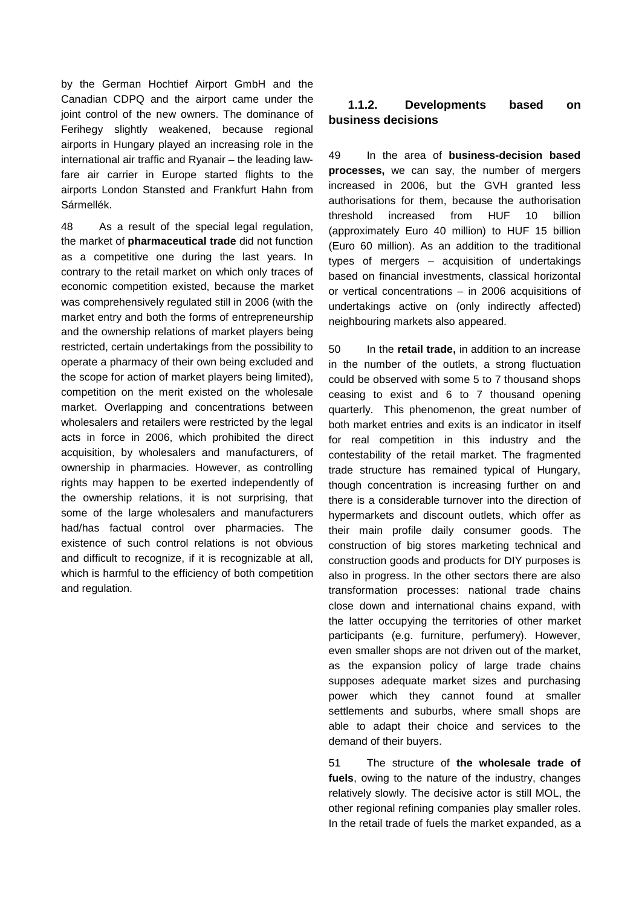by the German Hochtief Airport GmbH and the Canadian CDPQ and the airport came under the joint control of the new owners. The dominance of Ferihegy slightly weakened, because regional airports in Hungary played an increasing role in the international air traffic and Ryanair – the leading lawfare air carrier in Europe started flights to the airports London Stansted and Frankfurt Hahn from Sármellék.

48 As a result of the special legal regulation, the market of **pharmaceutical trade** did not function as a competitive one during the last years. In contrary to the retail market on which only traces of economic competition existed, because the market was comprehensively regulated still in 2006 (with the market entry and both the forms of entrepreneurship and the ownership relations of market players being restricted, certain undertakings from the possibility to operate a pharmacy of their own being excluded and the scope for action of market players being limited), competition on the merit existed on the wholesale market. Overlapping and concentrations between wholesalers and retailers were restricted by the legal acts in force in 2006, which prohibited the direct acquisition, by wholesalers and manufacturers, of ownership in pharmacies. However, as controlling rights may happen to be exerted independently of the ownership relations, it is not surprising, that some of the large wholesalers and manufacturers had/has factual control over pharmacies. The existence of such control relations is not obvious and difficult to recognize, if it is recognizable at all, which is harmful to the efficiency of both competition and regulation.

# **1.1.2. Developments based on business decisions**

49 In the area of **business-decision based processes,** we can say, the number of mergers increased in 2006, but the GVH granted less authorisations for them, because the authorisation threshold increased from HUF 10 billion (approximately Euro 40 million) to HUF 15 billion (Euro 60 million). As an addition to the traditional types of mergers – acquisition of undertakings based on financial investments, classical horizontal or vertical concentrations – in 2006 acquisitions of undertakings active on (only indirectly affected) neighbouring markets also appeared.

50 In the **retail trade,** in addition to an increase in the number of the outlets, a strong fluctuation could be observed with some 5 to 7 thousand shops ceasing to exist and 6 to 7 thousand opening quarterly. This phenomenon, the great number of both market entries and exits is an indicator in itself for real competition in this industry and the contestability of the retail market. The fragmented trade structure has remained typical of Hungary, though concentration is increasing further on and there is a considerable turnover into the direction of hypermarkets and discount outlets, which offer as their main profile daily consumer goods. The construction of big stores marketing technical and construction goods and products for DIY purposes is also in progress. In the other sectors there are also transformation processes: national trade chains close down and international chains expand, with the latter occupying the territories of other market participants (e.g. furniture, perfumery). However, even smaller shops are not driven out of the market, as the expansion policy of large trade chains supposes adequate market sizes and purchasing power which they cannot found at smaller settlements and suburbs, where small shops are able to adapt their choice and services to the demand of their buyers.

51 The structure of **the wholesale trade of fuels**, owing to the nature of the industry, changes relatively slowly. The decisive actor is still MOL, the other regional refining companies play smaller roles. In the retail trade of fuels the market expanded, as a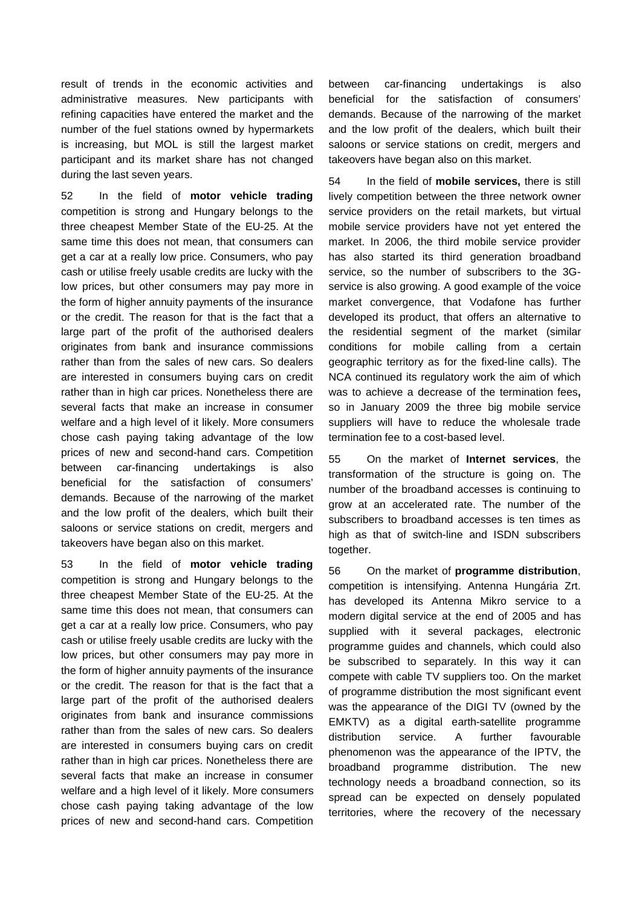result of trends in the economic activities and administrative measures. New participants with refining capacities have entered the market and the number of the fuel stations owned by hypermarkets is increasing, but MOL is still the largest market participant and its market share has not changed during the last seven years.

52 In the field of **motor vehicle trading** competition is strong and Hungary belongs to the three cheapest Member State of the EU-25. At the same time this does not mean, that consumers can get a car at a really low price. Consumers, who pay cash or utilise freely usable credits are lucky with the low prices, but other consumers may pay more in the form of higher annuity payments of the insurance or the credit. The reason for that is the fact that a large part of the profit of the authorised dealers originates from bank and insurance commissions rather than from the sales of new cars. So dealers are interested in consumers buying cars on credit rather than in high car prices. Nonetheless there are several facts that make an increase in consumer welfare and a high level of it likely. More consumers chose cash paying taking advantage of the low prices of new and second-hand cars. Competition between car-financing undertakings is also beneficial for the satisfaction of consumers' demands. Because of the narrowing of the market and the low profit of the dealers, which built their saloons or service stations on credit, mergers and takeovers have began also on this market.

53 In the field of **motor vehicle trading** competition is strong and Hungary belongs to the three cheapest Member State of the EU-25. At the same time this does not mean, that consumers can get a car at a really low price. Consumers, who pay cash or utilise freely usable credits are lucky with the low prices, but other consumers may pay more in the form of higher annuity payments of the insurance or the credit. The reason for that is the fact that a large part of the profit of the authorised dealers originates from bank and insurance commissions rather than from the sales of new cars. So dealers are interested in consumers buying cars on credit rather than in high car prices. Nonetheless there are several facts that make an increase in consumer welfare and a high level of it likely. More consumers chose cash paying taking advantage of the low prices of new and second-hand cars. Competition

between car-financing undertakings is also beneficial for the satisfaction of consumers' demands. Because of the narrowing of the market and the low profit of the dealers, which built their saloons or service stations on credit, mergers and takeovers have began also on this market.

54 In the field of **mobile services,** there is still lively competition between the three network owner service providers on the retail markets, but virtual mobile service providers have not yet entered the market. In 2006, the third mobile service provider has also started its third generation broadband service, so the number of subscribers to the 3Gservice is also growing. A good example of the voice market convergence, that Vodafone has further developed its product, that offers an alternative to the residential segment of the market (similar conditions for mobile calling from a certain geographic territory as for the fixed-line calls). The NCA continued its regulatory work the aim of which was to achieve a decrease of the termination fees**,**  so in January 2009 the three big mobile service suppliers will have to reduce the wholesale trade termination fee to a cost-based level.

55 On the market of **Internet services**, the transformation of the structure is going on. The number of the broadband accesses is continuing to grow at an accelerated rate. The number of the subscribers to broadband accesses is ten times as high as that of switch-line and ISDN subscribers together.

56 On the market of **programme distribution**, competition is intensifying. Antenna Hungária Zrt. has developed its Antenna Mikro service to a modern digital service at the end of 2005 and has supplied with it several packages, electronic programme guides and channels, which could also be subscribed to separately. In this way it can compete with cable TV suppliers too. On the market of programme distribution the most significant event was the appearance of the DIGI TV (owned by the EMKTV) as a digital earth-satellite programme distribution service. A further favourable phenomenon was the appearance of the IPTV, the broadband programme distribution. The new technology needs a broadband connection, so its spread can be expected on densely populated territories, where the recovery of the necessary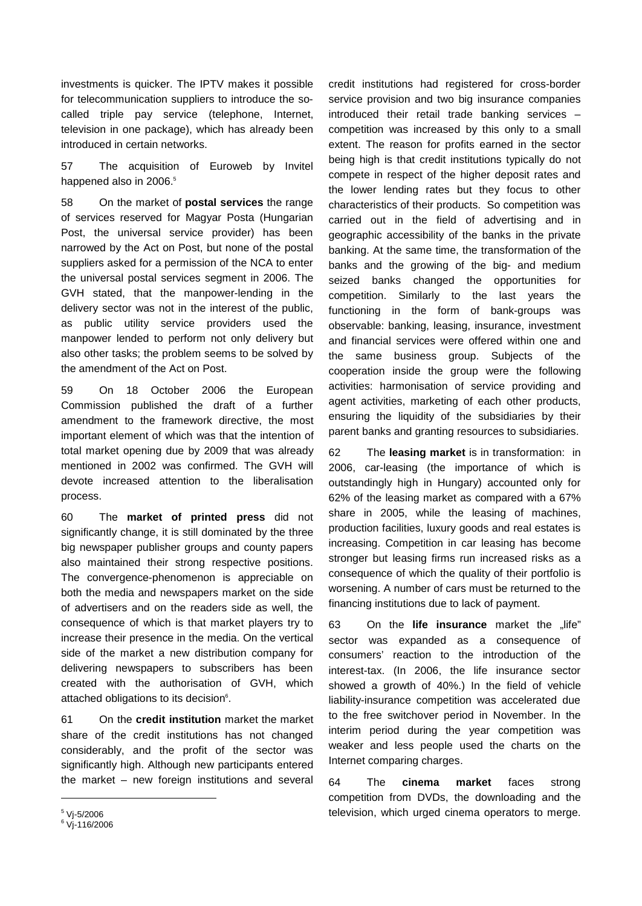investments is quicker. The IPTV makes it possible for telecommunication suppliers to introduce the socalled triple pay service (telephone, Internet, television in one package), which has already been introduced in certain networks.

57 The acquisition of Euroweb by Invitel happened also in 2006.<sup>5</sup>

58 On the market of **postal services** the range of services reserved for Magyar Posta (Hungarian Post, the universal service provider) has been narrowed by the Act on Post, but none of the postal suppliers asked for a permission of the NCA to enter the universal postal services segment in 2006. The GVH stated, that the manpower-lending in the delivery sector was not in the interest of the public, as public utility service providers used the manpower lended to perform not only delivery but also other tasks; the problem seems to be solved by the amendment of the Act on Post.

59 On 18 October 2006 the European Commission published the draft of a further amendment to the framework directive, the most important element of which was that the intention of total market opening due by 2009 that was already mentioned in 2002 was confirmed. The GVH will devote increased attention to the liberalisation process.

60 The **market of printed press** did not significantly change, it is still dominated by the three big newspaper publisher groups and county papers also maintained their strong respective positions. The convergence-phenomenon is appreciable on both the media and newspapers market on the side of advertisers and on the readers side as well, the consequence of which is that market players try to increase their presence in the media. On the vertical side of the market a new distribution company for delivering newspapers to subscribers has been created with the authorisation of GVH, which attached obligations to its decision<sup>6</sup>.

61 On the **credit institution** market the market share of the credit institutions has not changed considerably, and the profit of the sector was significantly high. Although new participants entered the market – new foreign institutions and several

credit institutions had registered for cross-border service provision and two big insurance companies introduced their retail trade banking services – competition was increased by this only to a small extent. The reason for profits earned in the sector being high is that credit institutions typically do not compete in respect of the higher deposit rates and the lower lending rates but they focus to other characteristics of their products. So competition was carried out in the field of advertising and in geographic accessibility of the banks in the private banking. At the same time, the transformation of the banks and the growing of the big- and medium seized banks changed the opportunities for competition. Similarly to the last years the functioning in the form of bank-groups was observable: banking, leasing, insurance, investment and financial services were offered within one and the same business group. Subjects of the cooperation inside the group were the following activities: harmonisation of service providing and agent activities, marketing of each other products, ensuring the liquidity of the subsidiaries by their parent banks and granting resources to subsidiaries.

62 The **leasing market** is in transformation: in 2006, car-leasing (the importance of which is outstandingly high in Hungary) accounted only for 62% of the leasing market as compared with a 67% share in 2005, while the leasing of machines, production facilities, luxury goods and real estates is increasing. Competition in car leasing has become stronger but leasing firms run increased risks as a consequence of which the quality of their portfolio is worsening. A number of cars must be returned to the financing institutions due to lack of payment.

63 On the **life insurance** market the "life" sector was expanded as a consequence of consumers' reaction to the introduction of the interest-tax. (In 2006, the life insurance sector showed a growth of 40%.) In the field of vehicle liability-insurance competition was accelerated due to the free switchover period in November. In the interim period during the year competition was weaker and less people used the charts on the Internet comparing charges.

64 The **cinema market** faces strong competition from DVDs, the downloading and the television, which urged cinema operators to merge.

l

<sup>&</sup>lt;sup>5</sup> Vj-5/2006

<sup>6</sup> Vj-116/2006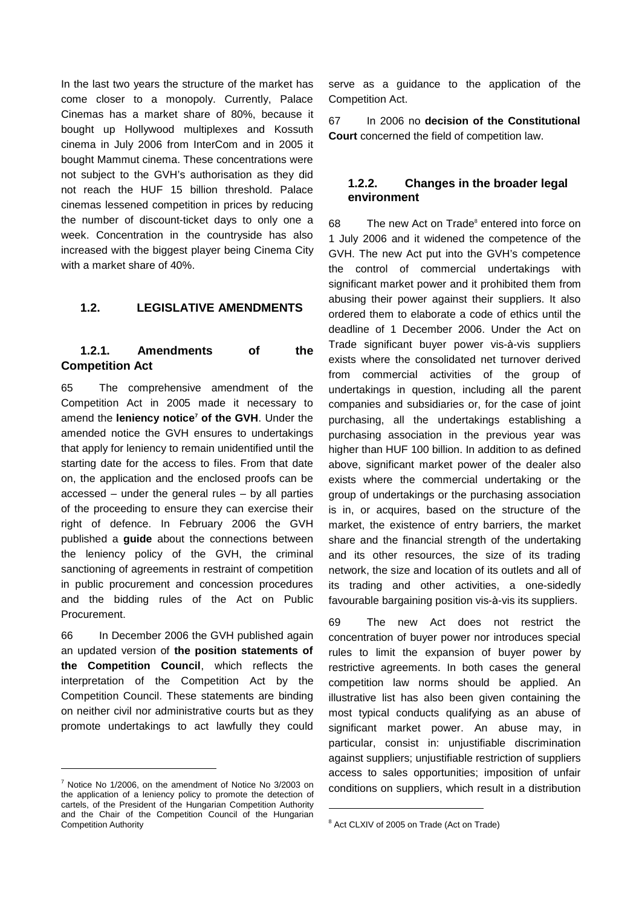In the last two years the structure of the market has come closer to a monopoly. Currently, Palace Cinemas has a market share of 80%, because it bought up Hollywood multiplexes and Kossuth cinema in July 2006 from InterCom and in 2005 it bought Mammut cinema. These concentrations were not subject to the GVH's authorisation as they did not reach the HUF 15 billion threshold. Palace cinemas lessened competition in prices by reducing the number of discount-ticket days to only one a week. Concentration in the countryside has also increased with the biggest player being Cinema City with a market share of 40%.

### **1.2. LEGISLATIVE AMENDMENTS**

# **1.2.1. Amendments of the Competition Act**

65 The comprehensive amendment of the Competition Act in 2005 made it necessary to amend the **leniency notice<sup>7</sup> of the GVH**. Under the amended notice the GVH ensures to undertakings that apply for leniency to remain unidentified until the starting date for the access to files. From that date on, the application and the enclosed proofs can be accessed – under the general rules – by all parties of the proceeding to ensure they can exercise their right of defence. In February 2006 the GVH published a **guide** about the connections between the leniency policy of the GVH, the criminal sanctioning of agreements in restraint of competition in public procurement and concession procedures and the bidding rules of the Act on Public **Procurement** 

66 In December 2006 the GVH published again an updated version of **the position statements of the Competition Council**, which reflects the interpretation of the Competition Act by the Competition Council. These statements are binding on neither civil nor administrative courts but as they promote undertakings to act lawfully they could

 $7$  Notice No 1/2006, on the amendment of Notice No 3/2003 on the application of a leniency policy to promote the detection of cartels, of the President of the Hungarian Competition Authority and the Chair of the Competition Council of the Hungarian Competition Authority

l

serve as a guidance to the application of the Competition Act.

67 In 2006 no **decision of the Constitutional Court** concerned the field of competition law.

### **1.2.2. Changes in the broader legal environment**

68 The new Act on Trade<sup>8</sup> entered into force on 1 July 2006 and it widened the competence of the GVH. The new Act put into the GVH's competence the control of commercial undertakings with significant market power and it prohibited them from abusing their power against their suppliers. It also ordered them to elaborate a code of ethics until the deadline of 1 December 2006. Under the Act on Trade significant buyer power vis-à-vis suppliers exists where the consolidated net turnover derived from commercial activities of the group of undertakings in question, including all the parent companies and subsidiaries or, for the case of joint purchasing, all the undertakings establishing a purchasing association in the previous year was higher than HUF 100 billion. In addition to as defined above, significant market power of the dealer also exists where the commercial undertaking or the group of undertakings or the purchasing association is in, or acquires, based on the structure of the market, the existence of entry barriers, the market share and the financial strength of the undertaking and its other resources, the size of its trading network, the size and location of its outlets and all of its trading and other activities, a one-sidedly favourable bargaining position vis-à-vis its suppliers.

69 The new Act does not restrict the concentration of buyer power nor introduces special rules to limit the expansion of buyer power by restrictive agreements. In both cases the general competition law norms should be applied. An illustrative list has also been given containing the most typical conducts qualifying as an abuse of significant market power. An abuse may, in particular, consist in: unjustifiable discrimination against suppliers; unjustifiable restriction of suppliers access to sales opportunities; imposition of unfair conditions on suppliers, which result in a distribution

1

<sup>&</sup>lt;sup>8</sup> Act CLXIV of 2005 on Trade (Act on Trade)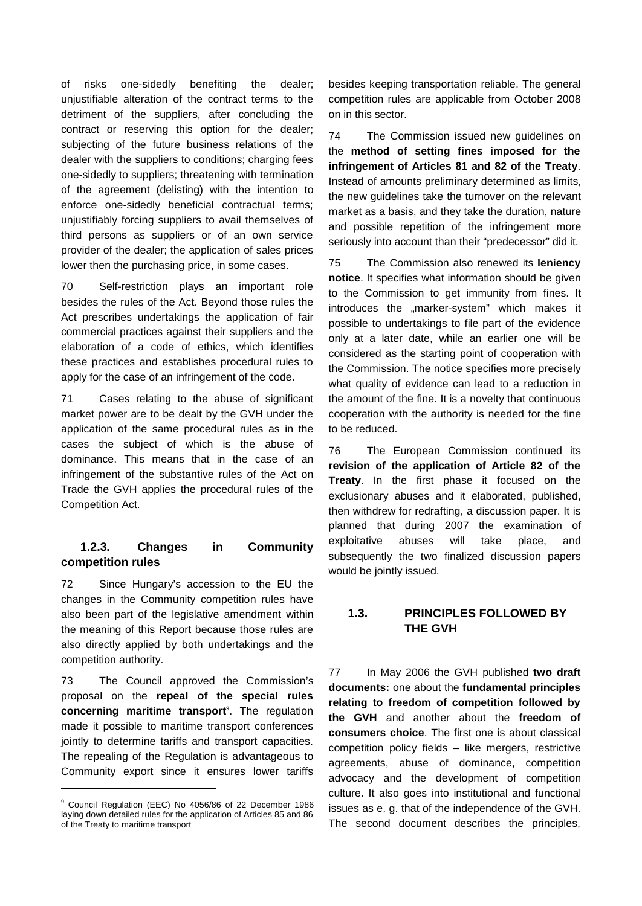of risks one-sidedly benefiting the dealer; unjustifiable alteration of the contract terms to the detriment of the suppliers, after concluding the contract or reserving this option for the dealer; subjecting of the future business relations of the dealer with the suppliers to conditions; charging fees one-sidedly to suppliers; threatening with termination of the agreement (delisting) with the intention to enforce one-sidedly beneficial contractual terms; unjustifiably forcing suppliers to avail themselves of third persons as suppliers or of an own service provider of the dealer; the application of sales prices lower then the purchasing price, in some cases.

70 Self-restriction plays an important role besides the rules of the Act. Beyond those rules the Act prescribes undertakings the application of fair commercial practices against their suppliers and the elaboration of a code of ethics, which identifies these practices and establishes procedural rules to apply for the case of an infringement of the code.

71 Cases relating to the abuse of significant market power are to be dealt by the GVH under the application of the same procedural rules as in the cases the subject of which is the abuse of dominance. This means that in the case of an infringement of the substantive rules of the Act on Trade the GVH applies the procedural rules of the Competition Act.

### **1.2.3. Changes in Community competition rules**

72 Since Hungary's accession to the EU the changes in the Community competition rules have also been part of the legislative amendment within the meaning of this Report because those rules are also directly applied by both undertakings and the competition authority.

73 The Council approved the Commission's proposal on the **repeal of the special rules concerning maritime transport 9** . The regulation made it possible to maritime transport conferences jointly to determine tariffs and transport capacities. The repealing of the Regulation is advantageous to Community export since it ensures lower tariffs

l

besides keeping transportation reliable. The general competition rules are applicable from October 2008 on in this sector.

74 The Commission issued new guidelines on the **method of setting fines imposed for the infringement of Articles 81 and 82 of the Treaty**. Instead of amounts preliminary determined as limits, the new guidelines take the turnover on the relevant market as a basis, and they take the duration, nature and possible repetition of the infringement more seriously into account than their "predecessor" did it.

75 The Commission also renewed its **leniency notice**. It specifies what information should be given to the Commission to get immunity from fines. It introduces the "marker-system" which makes it possible to undertakings to file part of the evidence only at a later date, while an earlier one will be considered as the starting point of cooperation with the Commission. The notice specifies more precisely what quality of evidence can lead to a reduction in the amount of the fine. It is a novelty that continuous cooperation with the authority is needed for the fine to be reduced.

76 The European Commission continued its **revision of the application of Article 82 of the Treaty**. In the first phase it focused on the exclusionary abuses and it elaborated, published, then withdrew for redrafting, a discussion paper. It is planned that during 2007 the examination of exploitative abuses will take place, and subsequently the two finalized discussion papers would be jointly issued.

# **1.3. PRINCIPLES FOLLOWED BY THE GVH**

77 In May 2006 the GVH published **two draft documents:** one about the **fundamental principles relating to freedom of competition followed by the GVH** and another about the **freedom of consumers choice**. The first one is about classical competition policy fields – like mergers, restrictive agreements, abuse of dominance, competition advocacy and the development of competition culture. It also goes into institutional and functional issues as e. g. that of the independence of the GVH. The second document describes the principles,

<sup>9</sup> Council Regulation (EEC) No 4056/86 of 22 December 1986 laying down detailed rules for the application of Articles 85 and 86 of the Treaty to maritime transport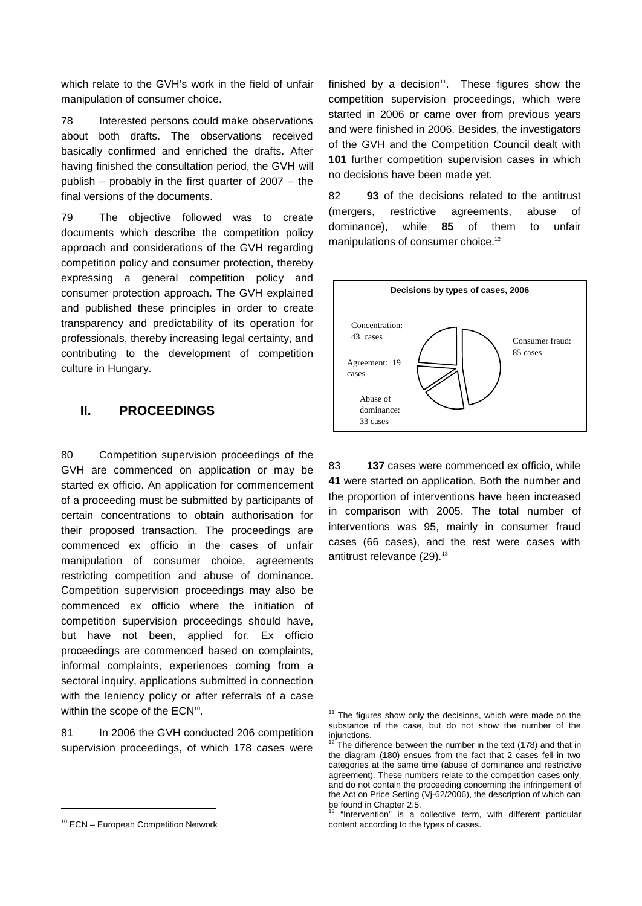which relate to the GVH's work in the field of unfair manipulation of consumer choice.

78 Interested persons could make observations about both drafts. The observations received basically confirmed and enriched the drafts. After having finished the consultation period, the GVH will publish – probably in the first quarter of 2007 – the final versions of the documents.

79 The objective followed was to create documents which describe the competition policy approach and considerations of the GVH regarding competition policy and consumer protection, thereby expressing a general competition policy and consumer protection approach. The GVH explained and published these principles in order to create transparency and predictability of its operation for professionals, thereby increasing legal certainty, and contributing to the development of competition culture in Hungary.

# **II. PROCEEDINGS**

80 Competition supervision proceedings of the GVH are commenced on application or may be started ex officio. An application for commencement of a proceeding must be submitted by participants of certain concentrations to obtain authorisation for their proposed transaction. The proceedings are commenced ex officio in the cases of unfair manipulation of consumer choice, agreements restricting competition and abuse of dominance. Competition supervision proceedings may also be commenced ex officio where the initiation of competition supervision proceedings should have, but have not been, applied for. Ex officio proceedings are commenced based on complaints, informal complaints, experiences coming from a sectoral inquiry, applications submitted in connection with the leniency policy or after referrals of a case within the scope of the ECN<sup>10</sup>.

81 In 2006 the GVH conducted 206 competition supervision proceedings, of which 178 cases were

l

finished by a decision $11$ . These figures show the competition supervision proceedings, which were started in 2006 or came over from previous years and were finished in 2006. Besides, the investigators of the GVH and the Competition Council dealt with **101** further competition supervision cases in which no decisions have been made yet.

82 **93** of the decisions related to the antitrust (mergers, restrictive agreements, abuse of dominance), while **85** of them to unfair manipulations of consumer choice.<sup>12</sup>



83 **137** cases were commenced ex officio, while **41** were started on application. Both the number and the proportion of interventions have been increased in comparison with 2005. The total number of interventions was 95, mainly in consumer fraud cases (66 cases), and the rest were cases with antitrust relevance  $(29).<sup>13</sup>$ 

1

 $10$  ECN – European Competition Network

 $11$  The figures show only the decisions, which were made on the substance of the case, but do not show the number of the injunctions.

The difference between the number in the text (178) and that in the diagram (180) ensues from the fact that 2 cases fell in two categories at the same time (abuse of dominance and restrictive agreement). These numbers relate to the competition cases only, and do not contain the proceeding concerning the infringement of the Act on Price Setting (Vj-62/2006), the description of which can be found in Chapter 2.5.

<sup>&</sup>quot;Intervention" is a collective term, with different particular content according to the types of cases.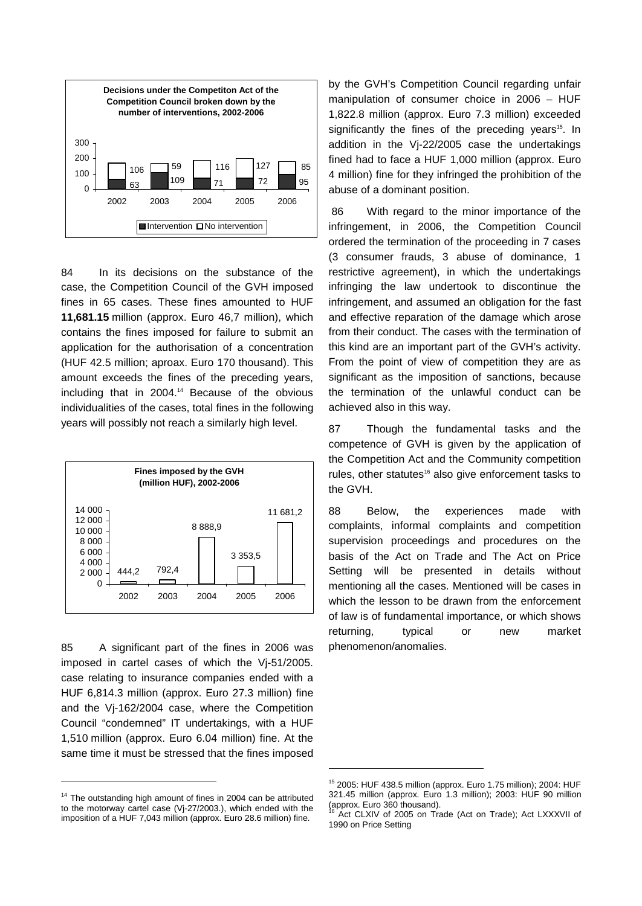

84 In its decisions on the substance of the case, the Competition Council of the GVH imposed fines in 65 cases. These fines amounted to HUF **11,681.15** million (approx. Euro 46,7 million), which contains the fines imposed for failure to submit an application for the authorisation of a concentration (HUF 42.5 million; aproax. Euro 170 thousand). This amount exceeds the fines of the preceding years, including that in 2004.<sup>14</sup> Because of the obvious individualities of the cases, total fines in the following years will possibly not reach a similarly high level.



85 A significant part of the fines in 2006 was imposed in cartel cases of which the Vj-51/2005. case relating to insurance companies ended with a HUF 6,814.3 million (approx. Euro 27.3 million) fine and the Vj-162/2004 case, where the Competition Council "condemned" IT undertakings, with a HUF 1,510 million (approx. Euro 6.04 million) fine. At the same time it must be stressed that the fines imposed

l

by the GVH's Competition Council regarding unfair manipulation of consumer choice in 2006 – HUF 1,822.8 million (approx. Euro 7.3 million) exceeded significantly the fines of the preceding years<sup>15</sup>. In addition in the Vj-22/2005 case the undertakings fined had to face a HUF 1,000 million (approx. Euro 4 million) fine for they infringed the prohibition of the abuse of a dominant position.

86 With regard to the minor importance of the infringement, in 2006, the Competition Council ordered the termination of the proceeding in 7 cases (3 consumer frauds, 3 abuse of dominance, 1 restrictive agreement), in which the undertakings infringing the law undertook to discontinue the infringement, and assumed an obligation for the fast and effective reparation of the damage which arose from their conduct. The cases with the termination of this kind are an important part of the GVH's activity. From the point of view of competition they are as significant as the imposition of sanctions, because the termination of the unlawful conduct can be achieved also in this way.

87 Though the fundamental tasks and the competence of GVH is given by the application of the Competition Act and the Community competition rules, other statutes<sup>16</sup> also give enforcement tasks to the GVH.

88 Below, the experiences made with complaints, informal complaints and competition supervision proceedings and procedures on the basis of the Act on Trade and The Act on Price Setting will be presented in details without mentioning all the cases. Mentioned will be cases in which the lesson to be drawn from the enforcement of law is of fundamental importance, or which shows returning, typical or new market phenomenon/anomalies.

1

<sup>&</sup>lt;sup>14</sup> The outstanding high amount of fines in 2004 can be attributed to the motorway cartel case (Vj-27/2003.), which ended with the imposition of a HUF 7,043 million (approx. Euro 28.6 million) fine.

<sup>15</sup> 2005: HUF 438.5 million (approx. Euro 1.75 million); 2004: HUF 321.45 million (approx. Euro 1.3 million); 2003: HUF 90 million (approx. Euro 360 thousand).

Act CLXIV of 2005 on Trade (Act on Trade); Act LXXXVII of 1990 on Price Setting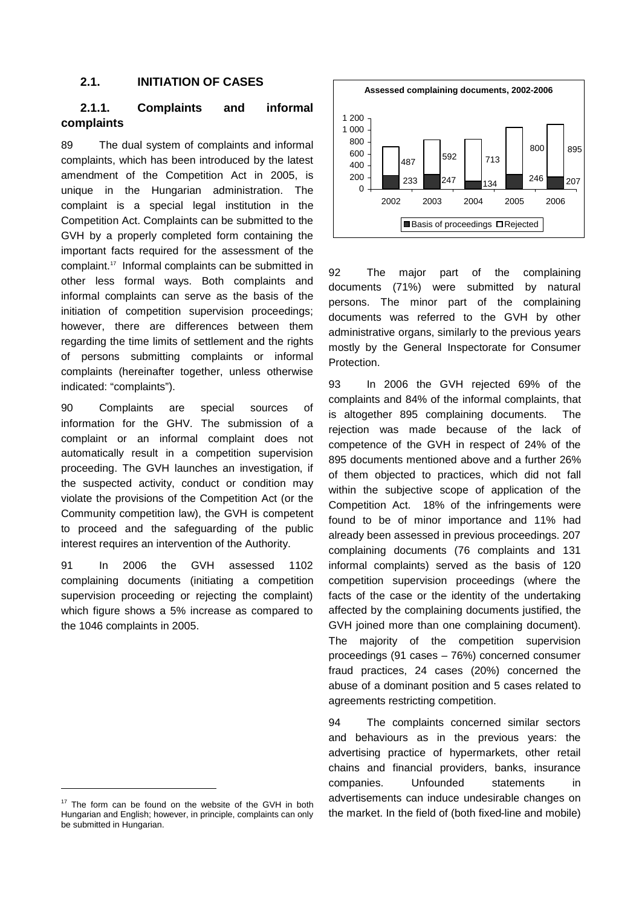### **2.1. INITIATION OF CASES**

### **2.1.1. Complaints and informal complaints**

89 The dual system of complaints and informal complaints, which has been introduced by the latest amendment of the Competition Act in 2005, is unique in the Hungarian administration. The complaint is a special legal institution in the Competition Act. Complaints can be submitted to the GVH by a properly completed form containing the important facts required for the assessment of the complaint.<sup>17</sup> Informal complaints can be submitted in other less formal ways. Both complaints and informal complaints can serve as the basis of the initiation of competition supervision proceedings; however, there are differences between them regarding the time limits of settlement and the rights of persons submitting complaints or informal complaints (hereinafter together, unless otherwise indicated: "complaints").

90 Complaints are special sources of information for the GHV. The submission of a complaint or an informal complaint does not automatically result in a competition supervision proceeding. The GVH launches an investigation, if the suspected activity, conduct or condition may violate the provisions of the Competition Act (or the Community competition law), the GVH is competent to proceed and the safeguarding of the public interest requires an intervention of the Authority.

91 In 2006 the GVH assessed 1102 complaining documents (initiating a competition supervision proceeding or rejecting the complaint) which figure shows a 5% increase as compared to the 1046 complaints in 2005.

l



92 The major part of the complaining documents (71%) were submitted by natural persons. The minor part of the complaining documents was referred to the GVH by other administrative organs, similarly to the previous years mostly by the General Inspectorate for Consumer Protection.

93 In 2006 the GVH rejected 69% of the complaints and 84% of the informal complaints, that is altogether 895 complaining documents. The rejection was made because of the lack of competence of the GVH in respect of 24% of the 895 documents mentioned above and a further 26% of them objected to practices, which did not fall within the subjective scope of application of the Competition Act. 18% of the infringements were found to be of minor importance and 11% had already been assessed in previous proceedings. 207 complaining documents (76 complaints and 131 informal complaints) served as the basis of 120 competition supervision proceedings (where the facts of the case or the identity of the undertaking affected by the complaining documents justified, the GVH joined more than one complaining document). The majority of the competition supervision proceedings (91 cases – 76%) concerned consumer fraud practices, 24 cases (20%) concerned the abuse of a dominant position and 5 cases related to agreements restricting competition.

94 The complaints concerned similar sectors and behaviours as in the previous years: the advertising practice of hypermarkets, other retail chains and financial providers, banks, insurance companies. Unfounded statements in advertisements can induce undesirable changes on the market. In the field of (both fixed-line and mobile)

 $17$  The form can be found on the website of the GVH in both Hungarian and English; however, in principle, complaints can only be submitted in Hungarian.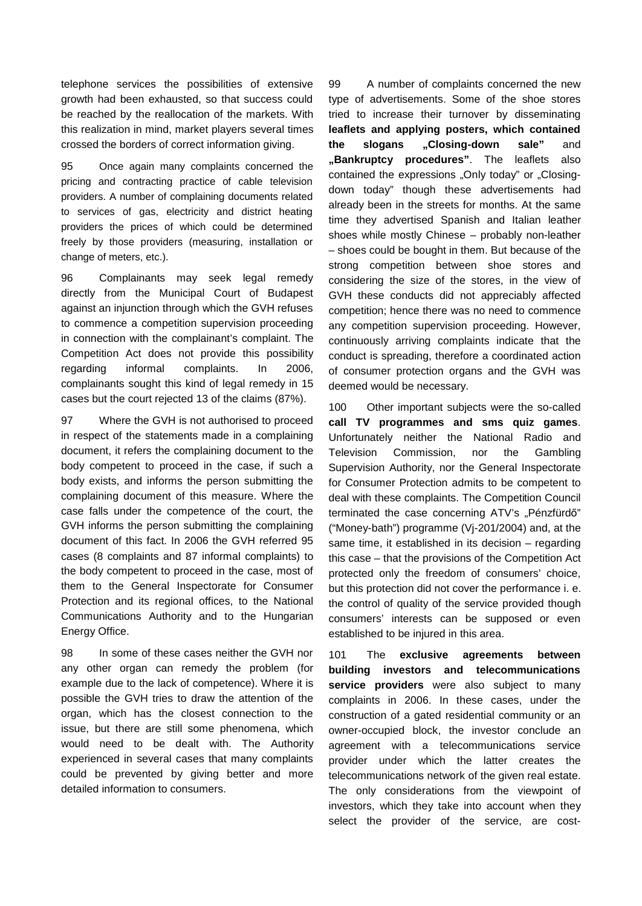telephone services the possibilities of extensive growth had been exhausted, so that success could be reached by the reallocation of the markets. With this realization in mind, market players several times crossed the borders of correct information giving.

95 Once again many complaints concerned the pricing and contracting practice of cable television providers. A number of complaining documents related to services of gas, electricity and district heating providers the prices of which could be determined freely by those providers (measuring, installation or change of meters, etc.).

96 Complainants may seek legal remedy directly from the Municipal Court of Budapest against an injunction through which the GVH refuses to commence a competition supervision proceeding in connection with the complainant's complaint. The Competition Act does not provide this possibility regarding informal complaints. In 2006, complainants sought this kind of legal remedy in 15 cases but the court rejected 13 of the claims (87%).

97 Where the GVH is not authorised to proceed in respect of the statements made in a complaining document, it refers the complaining document to the body competent to proceed in the case, if such a body exists, and informs the person submitting the complaining document of this measure. Where the case falls under the competence of the court, the GVH informs the person submitting the complaining document of this fact. In 2006 the GVH referred 95 cases (8 complaints and 87 informal complaints) to the body competent to proceed in the case, most of them to the General Inspectorate for Consumer Protection and its regional offices, to the National Communications Authority and to the Hungarian Energy Office.

98 In some of these cases neither the GVH nor any other organ can remedy the problem (for example due to the lack of competence). Where it is possible the GVH tries to draw the attention of the organ, which has the closest connection to the issue, but there are still some phenomena, which would need to be dealt with. The Authority experienced in several cases that many complaints could be prevented by giving better and more detailed information to consumers.

99 A number of complaints concerned the new type of advertisements. Some of the shoe stores tried to increase their turnover by disseminating **leaflets and applying posters, which contained the slogans "Closing-down sale"** and **"Bankruptcy procedures"**. The leaflets also contained the expressions "Only today" or "Closingdown today" though these advertisements had already been in the streets for months. At the same time they advertised Spanish and Italian leather shoes while mostly Chinese – probably non-leather – shoes could be bought in them. But because of the strong competition between shoe stores and considering the size of the stores, in the view of GVH these conducts did not appreciably affected competition; hence there was no need to commence any competition supervision proceeding. However, continuously arriving complaints indicate that the conduct is spreading, therefore a coordinated action of consumer protection organs and the GVH was deemed would be necessary.

100 Other important subjects were the so-called **call TV programmes and sms quiz games**. Unfortunately neither the National Radio and Television Commission, nor the Gambling Supervision Authority, nor the General Inspectorate for Consumer Protection admits to be competent to deal with these complaints. The Competition Council terminated the case concerning ATV's "Pénzfürdő" ("Money-bath") programme (Vj-201/2004) and, at the same time, it established in its decision – regarding this case – that the provisions of the Competition Act protected only the freedom of consumers' choice, but this protection did not cover the performance i. e. the control of quality of the service provided though consumers' interests can be supposed or even established to be injured in this area.

101 The **exclusive agreements between building investors and telecommunications service providers** were also subject to many complaints in 2006. In these cases, under the construction of a gated residential community or an owner-occupied block, the investor conclude an agreement with a telecommunications service provider under which the latter creates the telecommunications network of the given real estate. The only considerations from the viewpoint of investors, which they take into account when they select the provider of the service, are cost-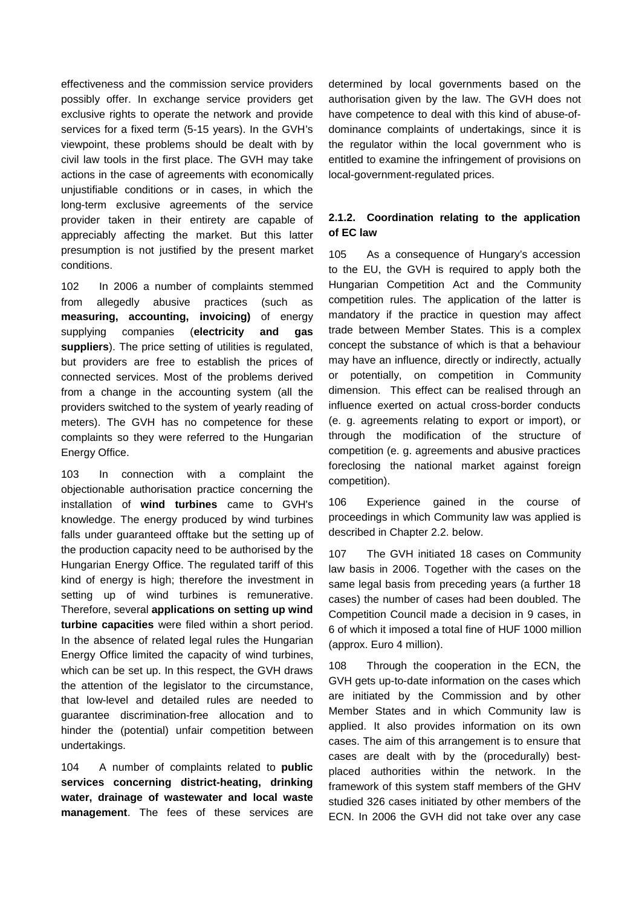effectiveness and the commission service providers possibly offer. In exchange service providers get exclusive rights to operate the network and provide services for a fixed term (5-15 years). In the GVH's viewpoint, these problems should be dealt with by civil law tools in the first place. The GVH may take actions in the case of agreements with economically unjustifiable conditions or in cases, in which the long-term exclusive agreements of the service provider taken in their entirety are capable of appreciably affecting the market. But this latter presumption is not justified by the present market conditions.

102 In 2006 a number of complaints stemmed from allegedly abusive practices (such as **measuring, accounting, invoicing)** of energy supplying companies (**electricity and gas suppliers**). The price setting of utilities is regulated, but providers are free to establish the prices of connected services. Most of the problems derived from a change in the accounting system (all the providers switched to the system of yearly reading of meters). The GVH has no competence for these complaints so they were referred to the Hungarian Energy Office.

103 In connection with a complaint the objectionable authorisation practice concerning the installation of **wind turbines** came to GVH's knowledge. The energy produced by wind turbines falls under guaranteed offtake but the setting up of the production capacity need to be authorised by the Hungarian Energy Office. The regulated tariff of this kind of energy is high; therefore the investment in setting up of wind turbines is remunerative. Therefore, several **applications on setting up wind turbine capacities** were filed within a short period. In the absence of related legal rules the Hungarian Energy Office limited the capacity of wind turbines, which can be set up. In this respect, the GVH draws the attention of the legislator to the circumstance, that low-level and detailed rules are needed to guarantee discrimination-free allocation and to hinder the (potential) unfair competition between undertakings.

104 A number of complaints related to **public services concerning district-heating, drinking water, drainage of wastewater and local waste management**. The fees of these services are

determined by local governments based on the authorisation given by the law. The GVH does not have competence to deal with this kind of abuse-ofdominance complaints of undertakings, since it is the regulator within the local government who is entitled to examine the infringement of provisions on local-government-regulated prices.

### **2.1.2. Coordination relating to the application of EC law**

105 As a consequence of Hungary's accession to the EU, the GVH is required to apply both the Hungarian Competition Act and the Community competition rules. The application of the latter is mandatory if the practice in question may affect trade between Member States. This is a complex concept the substance of which is that a behaviour may have an influence, directly or indirectly, actually or potentially, on competition in Community dimension. This effect can be realised through an influence exerted on actual cross-border conducts (e. g. agreements relating to export or import), or through the modification of the structure of competition (e. g. agreements and abusive practices foreclosing the national market against foreign competition).

106 Experience gained in the course of proceedings in which Community law was applied is described in Chapter 2.2. below.

107 The GVH initiated 18 cases on Community law basis in 2006. Together with the cases on the same legal basis from preceding years (a further 18 cases) the number of cases had been doubled. The Competition Council made a decision in 9 cases, in 6 of which it imposed a total fine of HUF 1000 million (approx. Euro 4 million).

108 Through the cooperation in the ECN, the GVH gets up-to-date information on the cases which are initiated by the Commission and by other Member States and in which Community law is applied. It also provides information on its own cases. The aim of this arrangement is to ensure that cases are dealt with by the (procedurally) bestplaced authorities within the network. In the framework of this system staff members of the GHV studied 326 cases initiated by other members of the ECN. In 2006 the GVH did not take over any case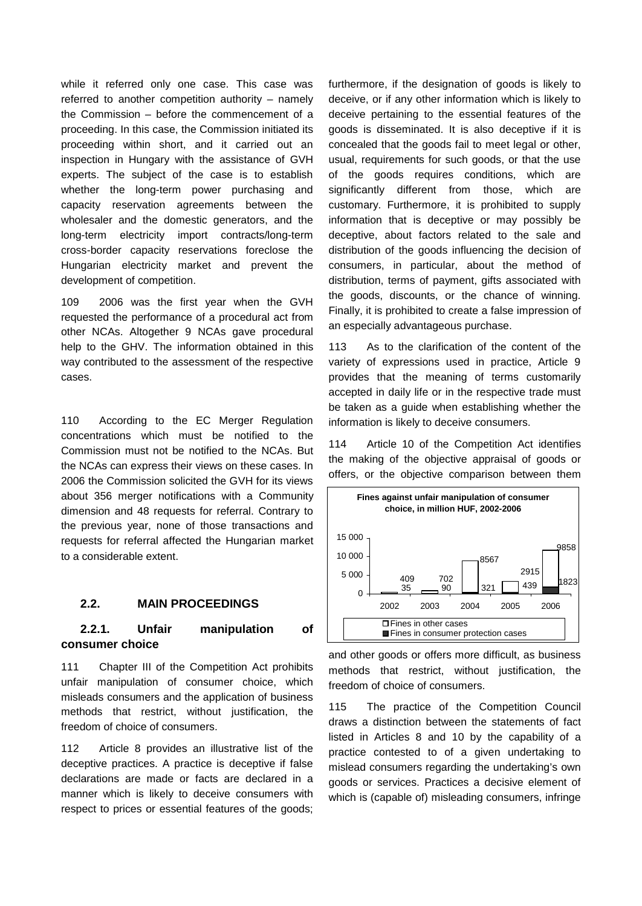while it referred only one case. This case was referred to another competition authority – namely the Commission – before the commencement of a proceeding. In this case, the Commission initiated its proceeding within short, and it carried out an inspection in Hungary with the assistance of GVH experts. The subject of the case is to establish whether the long-term power purchasing and capacity reservation agreements between the wholesaler and the domestic generators, and the long-term electricity import contracts/long-term cross-border capacity reservations foreclose the Hungarian electricity market and prevent the development of competition.

109 2006 was the first year when the GVH requested the performance of a procedural act from other NCAs. Altogether 9 NCAs gave procedural help to the GHV. The information obtained in this way contributed to the assessment of the respective cases.

110 According to the EC Merger Regulation concentrations which must be notified to the Commission must not be notified to the NCAs. But the NCAs can express their views on these cases. In 2006 the Commission solicited the GVH for its views about 356 merger notifications with a Community dimension and 48 requests for referral. Contrary to the previous year, none of those transactions and requests for referral affected the Hungarian market to a considerable extent.

#### **2.2. MAIN PROCEEDINGS**

### **2.2.1. Unfair manipulation of consumer choice**

111 Chapter III of the Competition Act prohibits unfair manipulation of consumer choice, which misleads consumers and the application of business methods that restrict, without justification, the freedom of choice of consumers.

112 Article 8 provides an illustrative list of the deceptive practices. A practice is deceptive if false declarations are made or facts are declared in a manner which is likely to deceive consumers with respect to prices or essential features of the goods;

furthermore, if the designation of goods is likely to deceive, or if any other information which is likely to deceive pertaining to the essential features of the goods is disseminated. It is also deceptive if it is concealed that the goods fail to meet legal or other, usual, requirements for such goods, or that the use of the goods requires conditions, which are significantly different from those, which are customary. Furthermore, it is prohibited to supply information that is deceptive or may possibly be deceptive, about factors related to the sale and distribution of the goods influencing the decision of consumers, in particular, about the method of distribution, terms of payment, gifts associated with the goods, discounts, or the chance of winning. Finally, it is prohibited to create a false impression of an especially advantageous purchase.

113 As to the clarification of the content of the variety of expressions used in practice, Article 9 provides that the meaning of terms customarily accepted in daily life or in the respective trade must be taken as a guide when establishing whether the information is likely to deceive consumers.

114 Article 10 of the Competition Act identifies the making of the objective appraisal of goods or offers, or the objective comparison between them



and other goods or offers more difficult, as business methods that restrict, without justification, the freedom of choice of consumers.

115 The practice of the Competition Council draws a distinction between the statements of fact listed in Articles 8 and 10 by the capability of a practice contested to of a given undertaking to mislead consumers regarding the undertaking's own goods or services. Practices a decisive element of which is (capable of) misleading consumers, infringe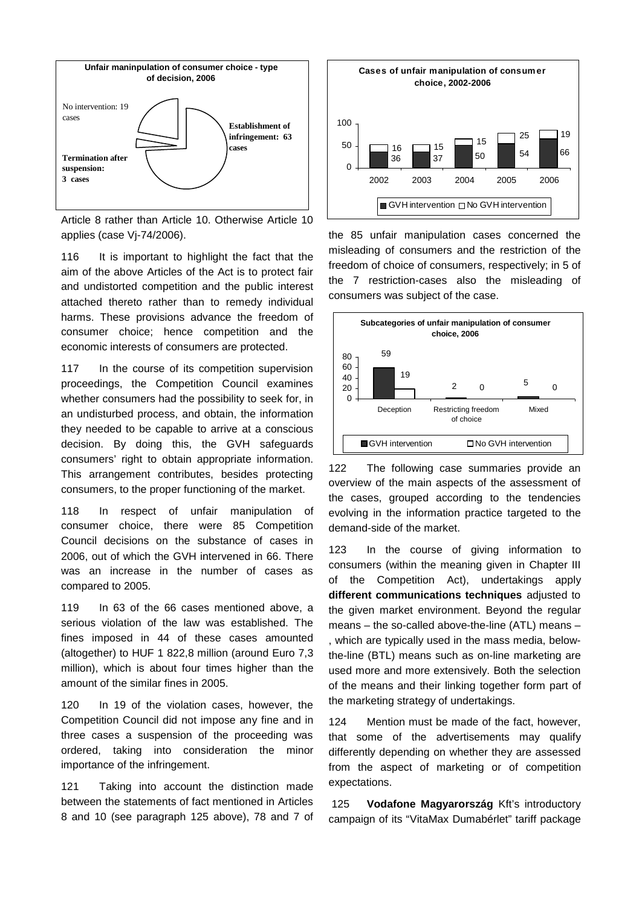

Article 8 rather than Article 10. Otherwise Article 10 applies (case Vj-74/2006).

116 It is important to highlight the fact that the aim of the above Articles of the Act is to protect fair and undistorted competition and the public interest attached thereto rather than to remedy individual harms. These provisions advance the freedom of consumer choice; hence competition and the economic interests of consumers are protected.

117 In the course of its competition supervision proceedings, the Competition Council examines whether consumers had the possibility to seek for, in an undisturbed process, and obtain, the information they needed to be capable to arrive at a conscious decision. By doing this, the GVH safeguards consumers' right to obtain appropriate information. This arrangement contributes, besides protecting consumers, to the proper functioning of the market.

118 In respect of unfair manipulation of consumer choice, there were 85 Competition Council decisions on the substance of cases in 2006, out of which the GVH intervened in 66. There was an increase in the number of cases as compared to 2005.

119 In 63 of the 66 cases mentioned above, a serious violation of the law was established. The fines imposed in 44 of these cases amounted (altogether) to HUF 1 822,8 million (around Euro 7,3 million), which is about four times higher than the amount of the similar fines in 2005.

120 In 19 of the violation cases, however, the Competition Council did not impose any fine and in three cases a suspension of the proceeding was ordered, taking into consideration the minor importance of the infringement.

121 Taking into account the distinction made between the statements of fact mentioned in Articles 8 and 10 (see paragraph 125 above), 78 and 7 of



the 85 unfair manipulation cases concerned the misleading of consumers and the restriction of the freedom of choice of consumers, respectively; in 5 of the 7 restriction-cases also the misleading of consumers was subject of the case.



122 The following case summaries provide an overview of the main aspects of the assessment of the cases, grouped according to the tendencies evolving in the information practice targeted to the demand-side of the market.

123 In the course of giving information to consumers (within the meaning given in Chapter III of the Competition Act), undertakings apply **different communications techniques** adjusted to the given market environment. Beyond the regular means – the so-called above-the-line (ATL) means – , which are typically used in the mass media, belowthe-line (BTL) means such as on-line marketing are used more and more extensively. Both the selection of the means and their linking together form part of the marketing strategy of undertakings.

124 Mention must be made of the fact, however, that some of the advertisements may qualify differently depending on whether they are assessed from the aspect of marketing or of competition expectations.

125 **Vodafone Magyarország** Kft's introductory campaign of its "VitaMax Dumabérlet" tariff package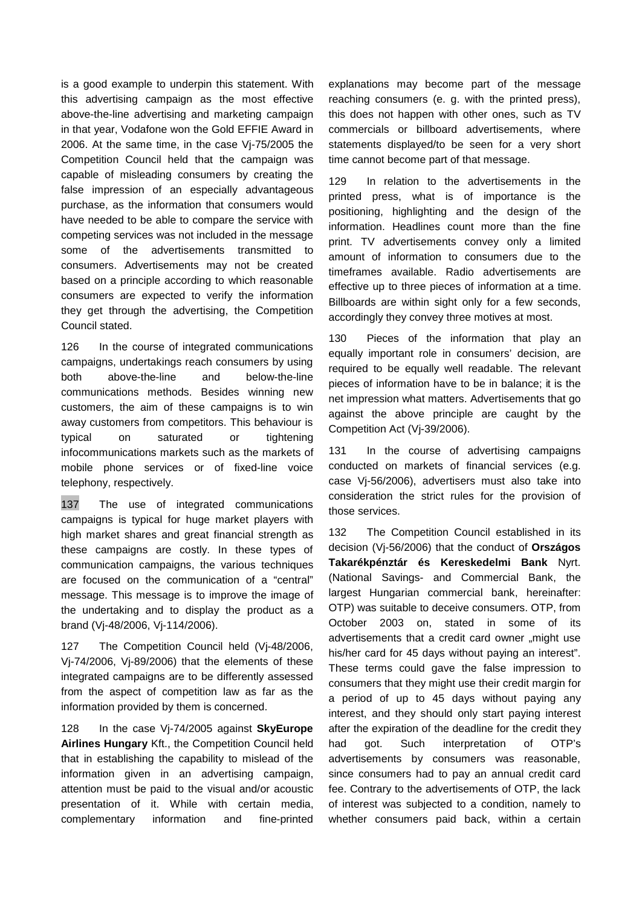is a good example to underpin this statement. With this advertising campaign as the most effective above-the-line advertising and marketing campaign in that year, Vodafone won the Gold EFFIE Award in 2006. At the same time, in the case Vj-75/2005 the Competition Council held that the campaign was capable of misleading consumers by creating the false impression of an especially advantageous purchase, as the information that consumers would have needed to be able to compare the service with competing services was not included in the message some of the advertisements transmitted to consumers. Advertisements may not be created based on a principle according to which reasonable consumers are expected to verify the information they get through the advertising, the Competition Council stated.

126 In the course of integrated communications campaigns, undertakings reach consumers by using both above-the-line and below-the-line communications methods. Besides winning new customers, the aim of these campaigns is to win away customers from competitors. This behaviour is typical on saturated or tightening infocommunications markets such as the markets of mobile phone services or of fixed-line voice telephony, respectively.

137 The use of integrated communications campaigns is typical for huge market players with high market shares and great financial strength as these campaigns are costly. In these types of communication campaigns, the various techniques are focused on the communication of a "central" message. This message is to improve the image of the undertaking and to display the product as a brand (Vj-48/2006, Vj-114/2006).

127 The Competition Council held (Vj-48/2006, Vj-74/2006, Vj-89/2006) that the elements of these integrated campaigns are to be differently assessed from the aspect of competition law as far as the information provided by them is concerned.

128 In the case Vj-74/2005 against **SkyEurope Airlines Hungary** Kft., the Competition Council held that in establishing the capability to mislead of the information given in an advertising campaign, attention must be paid to the visual and/or acoustic presentation of it. While with certain media, complementary information and fine-printed

explanations may become part of the message reaching consumers (e. g. with the printed press), this does not happen with other ones, such as TV commercials or billboard advertisements, where statements displayed/to be seen for a very short time cannot become part of that message.

129 In relation to the advertisements in the printed press, what is of importance is the positioning, highlighting and the design of the information. Headlines count more than the fine print. TV advertisements convey only a limited amount of information to consumers due to the timeframes available. Radio advertisements are effective up to three pieces of information at a time. Billboards are within sight only for a few seconds, accordingly they convey three motives at most.

130 Pieces of the information that play an equally important role in consumers' decision, are required to be equally well readable. The relevant pieces of information have to be in balance; it is the net impression what matters. Advertisements that go against the above principle are caught by the Competition Act (Vj-39/2006).

131 In the course of advertising campaigns conducted on markets of financial services (e.g. case Vj-56/2006), advertisers must also take into consideration the strict rules for the provision of those services.

132 The Competition Council established in its decision (Vj-56/2006) that the conduct of **Országos Takarékpénztár és Kereskedelmi Bank** Nyrt. (National Savings- and Commercial Bank, the largest Hungarian commercial bank, hereinafter: OTP) was suitable to deceive consumers. OTP, from October 2003 on, stated in some of its advertisements that a credit card owner "might use his/her card for 45 days without paying an interest". These terms could gave the false impression to consumers that they might use their credit margin for a period of up to 45 days without paying any interest, and they should only start paying interest after the expiration of the deadline for the credit they had got. Such interpretation of OTP's advertisements by consumers was reasonable, since consumers had to pay an annual credit card fee. Contrary to the advertisements of OTP, the lack of interest was subjected to a condition, namely to whether consumers paid back, within a certain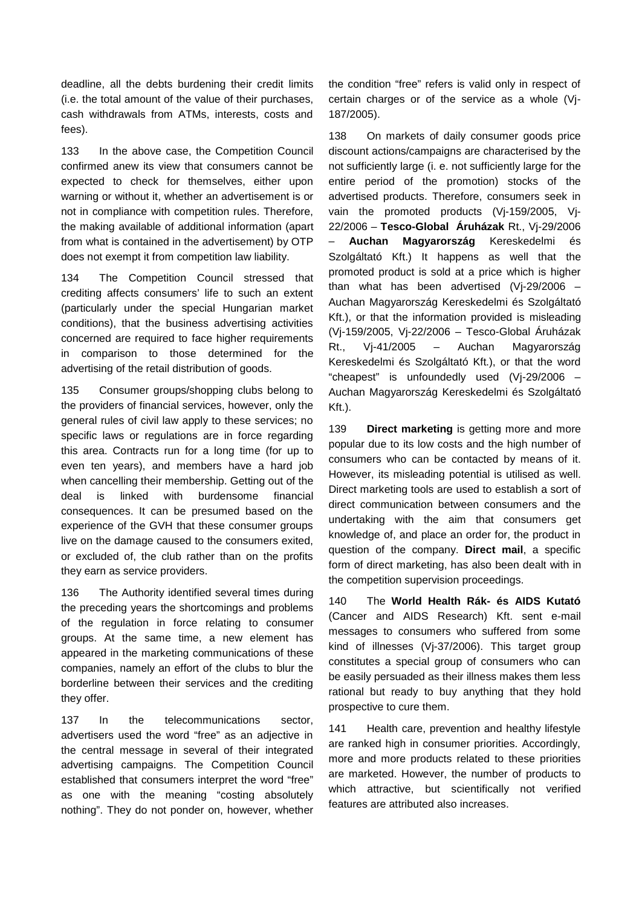deadline, all the debts burdening their credit limits (i.e. the total amount of the value of their purchases, cash withdrawals from ATMs, interests, costs and fees).

133 In the above case, the Competition Council confirmed anew its view that consumers cannot be expected to check for themselves, either upon warning or without it, whether an advertisement is or not in compliance with competition rules. Therefore, the making available of additional information (apart from what is contained in the advertisement) by OTP does not exempt it from competition law liability.

134 The Competition Council stressed that crediting affects consumers' life to such an extent (particularly under the special Hungarian market conditions), that the business advertising activities concerned are required to face higher requirements in comparison to those determined for the advertising of the retail distribution of goods.

135 Consumer groups/shopping clubs belong to the providers of financial services, however, only the general rules of civil law apply to these services; no specific laws or regulations are in force regarding this area. Contracts run for a long time (for up to even ten years), and members have a hard job when cancelling their membership. Getting out of the deal is linked with burdensome financial consequences. It can be presumed based on the experience of the GVH that these consumer groups live on the damage caused to the consumers exited, or excluded of, the club rather than on the profits they earn as service providers.

136 The Authority identified several times during the preceding years the shortcomings and problems of the regulation in force relating to consumer groups. At the same time, a new element has appeared in the marketing communications of these companies, namely an effort of the clubs to blur the borderline between their services and the crediting they offer.

137 In the telecommunications sector, advertisers used the word "free" as an adjective in the central message in several of their integrated advertising campaigns. The Competition Council established that consumers interpret the word "free" as one with the meaning "costing absolutely nothing". They do not ponder on, however, whether the condition "free" refers is valid only in respect of certain charges or of the service as a whole (Vj-187/2005).

138 On markets of daily consumer goods price discount actions/campaigns are characterised by the not sufficiently large (i. e. not sufficiently large for the entire period of the promotion) stocks of the advertised products. Therefore, consumers seek in vain the promoted products (Vj-159/2005, Vj-22/2006 – **Tesco-Global Áruházak** Rt., Vj-29/2006 – **Auchan Magyarország** Kereskedelmi és Szolgáltató Kft.) It happens as well that the promoted product is sold at a price which is higher than what has been advertised (Vj-29/2006 – Auchan Magyarország Kereskedelmi és Szolgáltató Kft.), or that the information provided is misleading (Vj-159/2005, Vj-22/2006 – Tesco-Global Áruházak Rt., Vj-41/2005 – Auchan Magyarország Kereskedelmi és Szolgáltató Kft.), or that the word "cheapest" is unfoundedly used (Vj-29/2006 – Auchan Magyarország Kereskedelmi és Szolgáltató Kft.).

139 **Direct marketing** is getting more and more popular due to its low costs and the high number of consumers who can be contacted by means of it. However, its misleading potential is utilised as well. Direct marketing tools are used to establish a sort of direct communication between consumers and the undertaking with the aim that consumers get knowledge of, and place an order for, the product in question of the company. **Direct mail**, a specific form of direct marketing, has also been dealt with in the competition supervision proceedings.

140 The **World Health Rák- és AIDS Kutató** (Cancer and AIDS Research) Kft. sent e-mail messages to consumers who suffered from some kind of illnesses (Vj-37/2006). This target group constitutes a special group of consumers who can be easily persuaded as their illness makes them less rational but ready to buy anything that they hold prospective to cure them.

141 Health care, prevention and healthy lifestyle are ranked high in consumer priorities. Accordingly, more and more products related to these priorities are marketed. However, the number of products to which attractive, but scientifically not verified features are attributed also increases.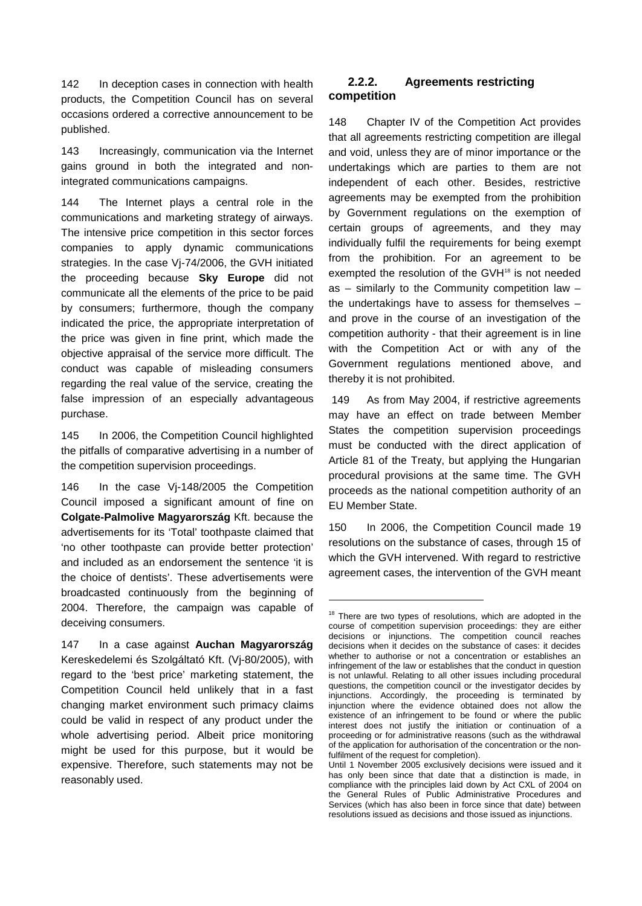142 In deception cases in connection with health products, the Competition Council has on several occasions ordered a corrective announcement to be published.

143 Increasingly, communication via the Internet gains ground in both the integrated and nonintegrated communications campaigns.

144 The Internet plays a central role in the communications and marketing strategy of airways. The intensive price competition in this sector forces companies to apply dynamic communications strategies. In the case Vj-74/2006, the GVH initiated the proceeding because **Sky Europe** did not communicate all the elements of the price to be paid by consumers; furthermore, though the company indicated the price, the appropriate interpretation of the price was given in fine print, which made the objective appraisal of the service more difficult. The conduct was capable of misleading consumers regarding the real value of the service, creating the false impression of an especially advantageous purchase.

145 In 2006, the Competition Council highlighted the pitfalls of comparative advertising in a number of the competition supervision proceedings.

146 In the case Vj-148/2005 the Competition Council imposed a significant amount of fine on **Colgate-Palmolive Magyarország** Kft. because the advertisements for its 'Total' toothpaste claimed that 'no other toothpaste can provide better protection' and included as an endorsement the sentence 'it is the choice of dentists'. These advertisements were broadcasted continuously from the beginning of 2004. Therefore, the campaign was capable of deceiving consumers.

147 In a case against **Auchan Magyarország** Kereskedelemi és Szolgáltató Kft. (Vj-80/2005), with regard to the 'best price' marketing statement, the Competition Council held unlikely that in a fast changing market environment such primacy claims could be valid in respect of any product under the whole advertising period. Albeit price monitoring might be used for this purpose, but it would be expensive. Therefore, such statements may not be reasonably used.

### **2.2.2. Agreements restricting competition**

148 Chapter IV of the Competition Act provides that all agreements restricting competition are illegal and void, unless they are of minor importance or the undertakings which are parties to them are not independent of each other. Besides, restrictive agreements may be exempted from the prohibition by Government regulations on the exemption of certain groups of agreements, and they may individually fulfil the requirements for being exempt from the prohibition. For an agreement to be exempted the resolution of the GVH<sup>18</sup> is not needed as – similarly to the Community competition law – the undertakings have to assess for themselves – and prove in the course of an investigation of the competition authority - that their agreement is in line with the Competition Act or with any of the Government regulations mentioned above, and thereby it is not prohibited.

149 As from May 2004, if restrictive agreements may have an effect on trade between Member States the competition supervision proceedings must be conducted with the direct application of Article 81 of the Treaty, but applying the Hungarian procedural provisions at the same time. The GVH proceeds as the national competition authority of an EU Member State.

150 In 2006, the Competition Council made 19 resolutions on the substance of cases, through 15 of which the GVH intervened. With regard to restrictive agreement cases, the intervention of the GVH meant

1

 $18$  There are two types of resolutions, which are adopted in the course of competition supervision proceedings: they are either decisions or injunctions. The competition council reaches decisions when it decides on the substance of cases: it decides whether to authorise or not a concentration or establishes an infringement of the law or establishes that the conduct in question is not unlawful. Relating to all other issues including procedural questions, the competition council or the investigator decides by injunctions. Accordingly, the proceeding is terminated by injunction where the evidence obtained does not allow the existence of an infringement to be found or where the public interest does not justify the initiation or continuation of a proceeding or for administrative reasons (such as the withdrawal of the application for authorisation of the concentration or the nonfulfilment of the request for completion).

Until 1 November 2005 exclusively decisions were issued and it has only been since that date that a distinction is made, in compliance with the principles laid down by Act CXL of 2004 on the General Rules of Public Administrative Procedures and Services (which has also been in force since that date) between resolutions issued as decisions and those issued as injunctions.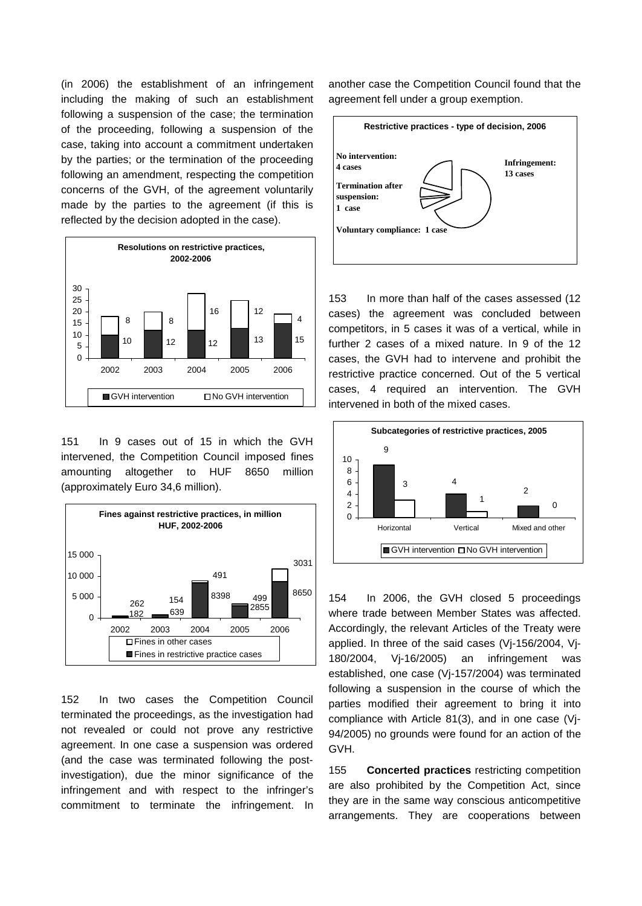(in 2006) the establishment of an infringement including the making of such an establishment following a suspension of the case; the termination of the proceeding, following a suspension of the case, taking into account a commitment undertaken by the parties; or the termination of the proceeding following an amendment, respecting the competition concerns of the GVH, of the agreement voluntarily made by the parties to the agreement (if this is reflected by the decision adopted in the case).



151 In 9 cases out of 15 in which the GVH intervened, the Competition Council imposed fines amounting altogether to HUF 8650 million (approximately Euro 34,6 million).



152 In two cases the Competition Council terminated the proceedings, as the investigation had not revealed or could not prove any restrictive agreement. In one case a suspension was ordered (and the case was terminated following the postinvestigation), due the minor significance of the infringement and with respect to the infringer's commitment to terminate the infringement. In

another case the Competition Council found that the agreement fell under a group exemption.



153 In more than half of the cases assessed (12 cases) the agreement was concluded between competitors, in 5 cases it was of a vertical, while in further 2 cases of a mixed nature. In 9 of the 12 cases, the GVH had to intervene and prohibit the restrictive practice concerned. Out of the 5 vertical cases, 4 required an intervention. The GVH intervened in both of the mixed cases.



154 In 2006, the GVH closed 5 proceedings where trade between Member States was affected. Accordingly, the relevant Articles of the Treaty were applied. In three of the said cases (Vj-156/2004, Vj-180/2004, Vj-16/2005) an infringement was established, one case (Vj-157/2004) was terminated following a suspension in the course of which the parties modified their agreement to bring it into compliance with Article 81(3), and in one case (Vj-94/2005) no grounds were found for an action of the GVH.

155 **Concerted practices** restricting competition are also prohibited by the Competition Act, since they are in the same way conscious anticompetitive arrangements. They are cooperations between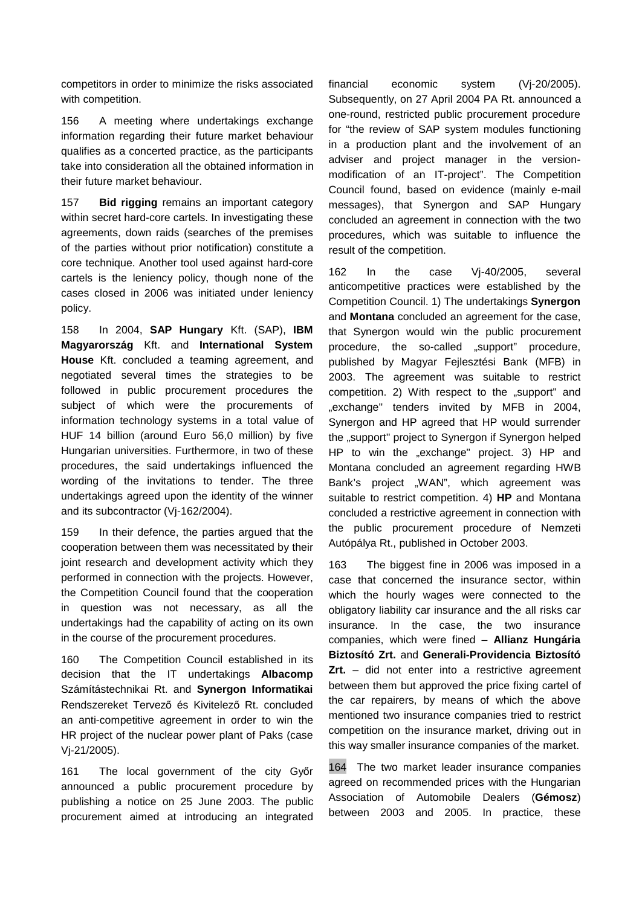competitors in order to minimize the risks associated with competition.

156 A meeting where undertakings exchange information regarding their future market behaviour qualifies as a concerted practice, as the participants take into consideration all the obtained information in their future market behaviour.

157 **Bid rigging** remains an important category within secret hard-core cartels. In investigating these agreements, down raids (searches of the premises of the parties without prior notification) constitute a core technique. Another tool used against hard-core cartels is the leniency policy, though none of the cases closed in 2006 was initiated under leniency policy.

158 In 2004, **SAP Hungary** Kft. (SAP), **IBM Magyarország** Kft. and **International System House** Kft. concluded a teaming agreement, and negotiated several times the strategies to be followed in public procurement procedures the subject of which were the procurements of information technology systems in a total value of HUF 14 billion (around Euro 56,0 million) by five Hungarian universities. Furthermore, in two of these procedures, the said undertakings influenced the wording of the invitations to tender. The three undertakings agreed upon the identity of the winner and its subcontractor (Vj-162/2004).

159 In their defence, the parties argued that the cooperation between them was necessitated by their joint research and development activity which they performed in connection with the projects. However, the Competition Council found that the cooperation in question was not necessary, as all the undertakings had the capability of acting on its own in the course of the procurement procedures.

160 The Competition Council established in its decision that the IT undertakings **Albacomp** Számítástechnikai Rt. and **Synergon Informatikai** Rendszereket Tervező és Kivitelező Rt. concluded an anti-competitive agreement in order to win the HR project of the nuclear power plant of Paks (case Vj-21/2005).

161 The local government of the city Győr announced a public procurement procedure by publishing a notice on 25 June 2003. The public procurement aimed at introducing an integrated

financial economic system (Vj-20/2005). Subsequently, on 27 April 2004 PA Rt. announced a one-round, restricted public procurement procedure for "the review of SAP system modules functioning in a production plant and the involvement of an adviser and project manager in the versionmodification of an IT-project". The Competition Council found, based on evidence (mainly e-mail messages), that Synergon and SAP Hungary concluded an agreement in connection with the two procedures, which was suitable to influence the result of the competition.

162 In the case Vj-40/2005, several anticompetitive practices were established by the Competition Council. 1) The undertakings **Synergon** and **Montana** concluded an agreement for the case, that Synergon would win the public procurement procedure, the so-called ..support" procedure, published by Magyar Fejlesztési Bank (MFB) in 2003. The agreement was suitable to restrict competition. 2) With respect to the "support" and "exchange" tenders invited by MFB in 2004, Synergon and HP agreed that HP would surrender the "support" project to Synergon if Synergon helped HP to win the "exchange" project. 3) HP and Montana concluded an agreement regarding HWB Bank's project "WAN", which agreement was suitable to restrict competition. 4) **HP** and Montana concluded a restrictive agreement in connection with the public procurement procedure of Nemzeti Autópálya Rt., published in October 2003.

163 The biggest fine in 2006 was imposed in a case that concerned the insurance sector, within which the hourly wages were connected to the obligatory liability car insurance and the all risks car insurance. In the case, the two insurance companies, which were fined – **Allianz Hungária Biztosító Zrt.** and **Generali-Providencia Biztosító Zrt.** – did not enter into a restrictive agreement between them but approved the price fixing cartel of the car repairers, by means of which the above mentioned two insurance companies tried to restrict competition on the insurance market, driving out in this way smaller insurance companies of the market.

164 The two market leader insurance companies agreed on recommended prices with the Hungarian Association of Automobile Dealers (**Gémosz**) between 2003 and 2005. In practice, these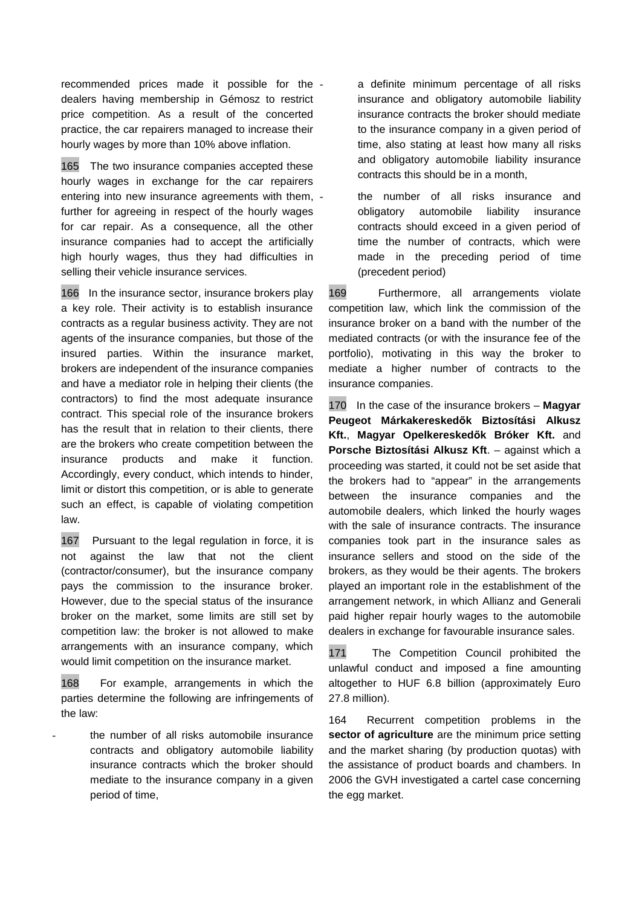recommended prices made it possible for the dealers having membership in Gémosz to restrict price competition. As a result of the concerted practice, the car repairers managed to increase their hourly wages by more than 10% above inflation.

165 The two insurance companies accepted these hourly wages in exchange for the car repairers entering into new insurance agreements with them, further for agreeing in respect of the hourly wages for car repair. As a consequence, all the other insurance companies had to accept the artificially high hourly wages, thus they had difficulties in selling their vehicle insurance services.

166 In the insurance sector, insurance brokers play a key role. Their activity is to establish insurance contracts as a regular business activity. They are not agents of the insurance companies, but those of the insured parties. Within the insurance market, brokers are independent of the insurance companies and have a mediator role in helping their clients (the contractors) to find the most adequate insurance contract. This special role of the insurance brokers has the result that in relation to their clients, there are the brokers who create competition between the insurance products and make it function. Accordingly, every conduct, which intends to hinder, limit or distort this competition, or is able to generate such an effect, is capable of violating competition law.

167 Pursuant to the legal regulation in force, it is not against the law that not the client (contractor/consumer), but the insurance company pays the commission to the insurance broker. However, due to the special status of the insurance broker on the market, some limits are still set by competition law: the broker is not allowed to make arrangements with an insurance company, which would limit competition on the insurance market.

168 For example, arrangements in which the parties determine the following are infringements of the law:

the number of all risks automobile insurance contracts and obligatory automobile liability insurance contracts which the broker should mediate to the insurance company in a given period of time,

a definite minimum percentage of all risks insurance and obligatory automobile liability insurance contracts the broker should mediate to the insurance company in a given period of time, also stating at least how many all risks and obligatory automobile liability insurance contracts this should be in a month,

- the number of all risks insurance and obligatory automobile liability insurance contracts should exceed in a given period of time the number of contracts, which were made in the preceding period of time (precedent period)

169 Furthermore, all arrangements violate competition law, which link the commission of the insurance broker on a band with the number of the mediated contracts (or with the insurance fee of the portfolio), motivating in this way the broker to mediate a higher number of contracts to the insurance companies.

170 In the case of the insurance brokers – **Magyar Peugeot Márkakereskedők Biztosítási Alkusz Kft.**, **Magyar Opelkereskedők Bróker Kft.** and **Porsche Biztosítási Alkusz Kft**. – against which a proceeding was started, it could not be set aside that the brokers had to "appear" in the arrangements between the insurance companies and the automobile dealers, which linked the hourly wages with the sale of insurance contracts. The insurance companies took part in the insurance sales as insurance sellers and stood on the side of the brokers, as they would be their agents. The brokers played an important role in the establishment of the arrangement network, in which Allianz and Generali paid higher repair hourly wages to the automobile dealers in exchange for favourable insurance sales.

171 The Competition Council prohibited the unlawful conduct and imposed a fine amounting altogether to HUF 6.8 billion (approximately Euro 27.8 million).

164 Recurrent competition problems in the **sector of agriculture** are the minimum price setting and the market sharing (by production quotas) with the assistance of product boards and chambers. In 2006 the GVH investigated a cartel case concerning the egg market.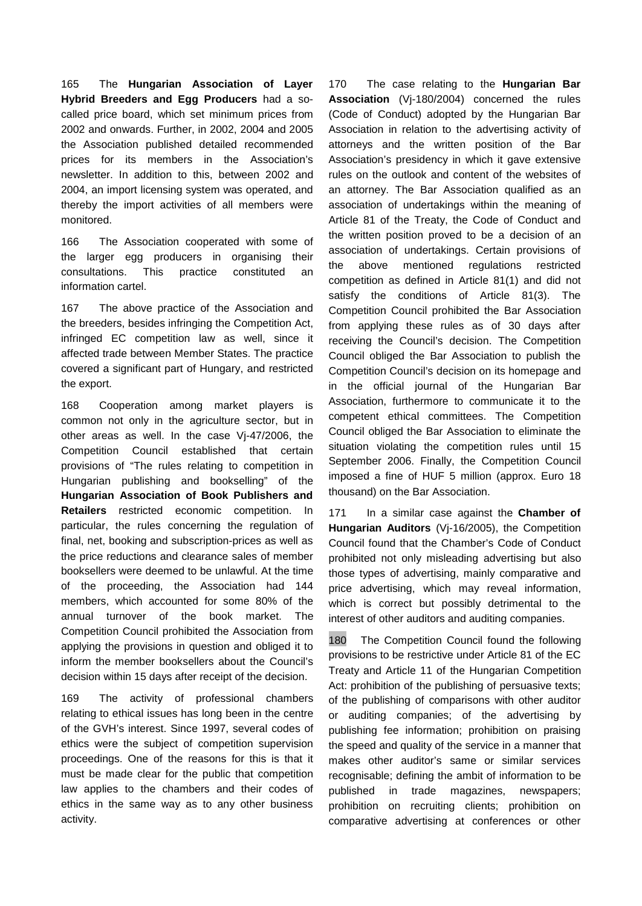165 The **Hungarian Association of Layer Hybrid Breeders and Egg Producers** had a socalled price board, which set minimum prices from 2002 and onwards. Further, in 2002, 2004 and 2005 the Association published detailed recommended prices for its members in the Association's newsletter. In addition to this, between 2002 and 2004, an import licensing system was operated, and thereby the import activities of all members were monitored.

166 The Association cooperated with some of the larger egg producers in organising their consultations. This practice constituted an information cartel.

167 The above practice of the Association and the breeders, besides infringing the Competition Act, infringed EC competition law as well, since it affected trade between Member States. The practice covered a significant part of Hungary, and restricted the export.

168 Cooperation among market players is common not only in the agriculture sector, but in other areas as well. In the case Vj-47/2006, the Competition Council established that certain provisions of "The rules relating to competition in Hungarian publishing and bookselling" of the **Hungarian Association of Book Publishers and Retailers** restricted economic competition. In particular, the rules concerning the regulation of final, net, booking and subscription-prices as well as the price reductions and clearance sales of member booksellers were deemed to be unlawful. At the time of the proceeding, the Association had 144 members, which accounted for some 80% of the annual turnover of the book market. The Competition Council prohibited the Association from applying the provisions in question and obliged it to inform the member booksellers about the Council's decision within 15 days after receipt of the decision.

169 The activity of professional chambers relating to ethical issues has long been in the centre of the GVH's interest. Since 1997, several codes of ethics were the subject of competition supervision proceedings. One of the reasons for this is that it must be made clear for the public that competition law applies to the chambers and their codes of ethics in the same way as to any other business activity.

170 The case relating to the **Hungarian Bar Association** (Vj-180/2004) concerned the rules (Code of Conduct) adopted by the Hungarian Bar Association in relation to the advertising activity of attorneys and the written position of the Bar Association's presidency in which it gave extensive rules on the outlook and content of the websites of an attorney. The Bar Association qualified as an association of undertakings within the meaning of Article 81 of the Treaty, the Code of Conduct and the written position proved to be a decision of an association of undertakings. Certain provisions of the above mentioned regulations restricted competition as defined in Article 81(1) and did not satisfy the conditions of Article 81(3). The Competition Council prohibited the Bar Association from applying these rules as of 30 days after receiving the Council's decision. The Competition Council obliged the Bar Association to publish the Competition Council's decision on its homepage and in the official journal of the Hungarian Bar Association, furthermore to communicate it to the competent ethical committees. The Competition Council obliged the Bar Association to eliminate the situation violating the competition rules until 15 September 2006. Finally, the Competition Council imposed a fine of HUF 5 million (approx. Euro 18 thousand) on the Bar Association.

171 In a similar case against the **Chamber of Hungarian Auditors** (Vj-16/2005), the Competition Council found that the Chamber's Code of Conduct prohibited not only misleading advertising but also those types of advertising, mainly comparative and price advertising, which may reveal information, which is correct but possibly detrimental to the interest of other auditors and auditing companies.

180 The Competition Council found the following provisions to be restrictive under Article 81 of the EC Treaty and Article 11 of the Hungarian Competition Act: prohibition of the publishing of persuasive texts; of the publishing of comparisons with other auditor or auditing companies; of the advertising by publishing fee information; prohibition on praising the speed and quality of the service in a manner that makes other auditor's same or similar services recognisable; defining the ambit of information to be published in trade magazines, newspapers; prohibition on recruiting clients; prohibition on comparative advertising at conferences or other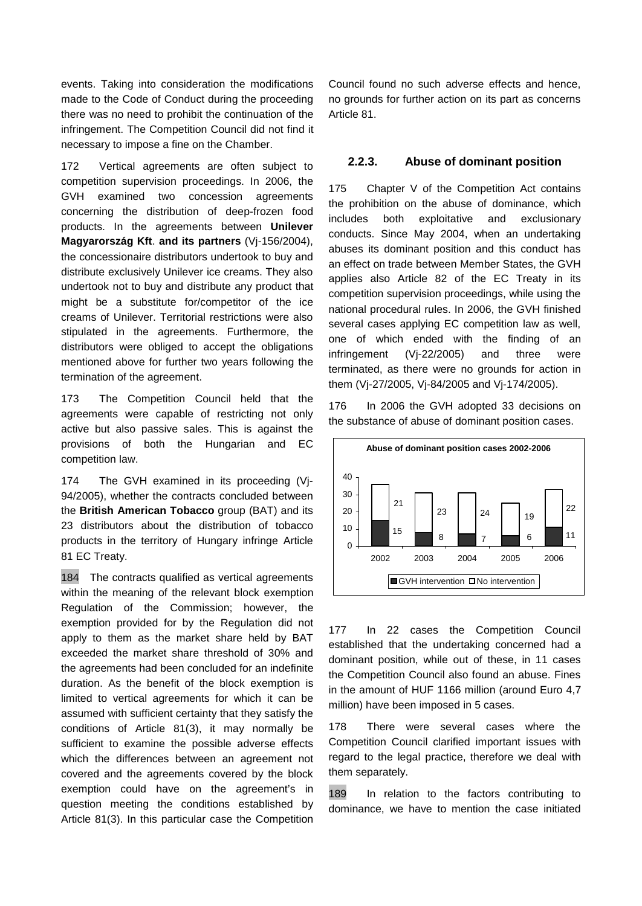events. Taking into consideration the modifications made to the Code of Conduct during the proceeding there was no need to prohibit the continuation of the infringement. The Competition Council did not find it necessary to impose a fine on the Chamber.

172 Vertical agreements are often subject to competition supervision proceedings. In 2006, the GVH examined two concession agreements concerning the distribution of deep-frozen food products. In the agreements between **Unilever Magyarország Kft**. **and its partners** (Vj-156/2004), the concessionaire distributors undertook to buy and distribute exclusively Unilever ice creams. They also undertook not to buy and distribute any product that might be a substitute for/competitor of the ice creams of Unilever. Territorial restrictions were also stipulated in the agreements. Furthermore, the distributors were obliged to accept the obligations mentioned above for further two years following the termination of the agreement.

173 The Competition Council held that the agreements were capable of restricting not only active but also passive sales. This is against the provisions of both the Hungarian and EC competition law.

174 The GVH examined in its proceeding (Vj-94/2005), whether the contracts concluded between the **British American Tobacco** group (BAT) and its 23 distributors about the distribution of tobacco products in the territory of Hungary infringe Article 81 EC Treaty.

184 The contracts qualified as vertical agreements within the meaning of the relevant block exemption Regulation of the Commission; however, the exemption provided for by the Regulation did not apply to them as the market share held by BAT exceeded the market share threshold of 30% and the agreements had been concluded for an indefinite duration. As the benefit of the block exemption is limited to vertical agreements for which it can be assumed with sufficient certainty that they satisfy the conditions of Article 81(3), it may normally be sufficient to examine the possible adverse effects which the differences between an agreement not covered and the agreements covered by the block exemption could have on the agreement's in question meeting the conditions established by Article 81(3). In this particular case the Competition

Council found no such adverse effects and hence, no grounds for further action on its part as concerns Article 81.

#### **2.2.3. Abuse of dominant position**

175 Chapter V of the Competition Act contains the prohibition on the abuse of dominance, which includes both exploitative and exclusionary conducts. Since May 2004, when an undertaking abuses its dominant position and this conduct has an effect on trade between Member States, the GVH applies also Article 82 of the EC Treaty in its competition supervision proceedings, while using the national procedural rules. In 2006, the GVH finished several cases applying EC competition law as well, one of which ended with the finding of an infringement (Vj-22/2005) and three were terminated, as there were no grounds for action in them (Vj-27/2005, Vj-84/2005 and Vj-174/2005).

176 In 2006 the GVH adopted 33 decisions on the substance of abuse of dominant position cases.



177 In 22 cases the Competition Council established that the undertaking concerned had a dominant position, while out of these, in 11 cases the Competition Council also found an abuse. Fines in the amount of HUF 1166 million (around Euro 4,7 million) have been imposed in 5 cases.

178 There were several cases where the Competition Council clarified important issues with regard to the legal practice, therefore we deal with them separately.

189 In relation to the factors contributing to dominance, we have to mention the case initiated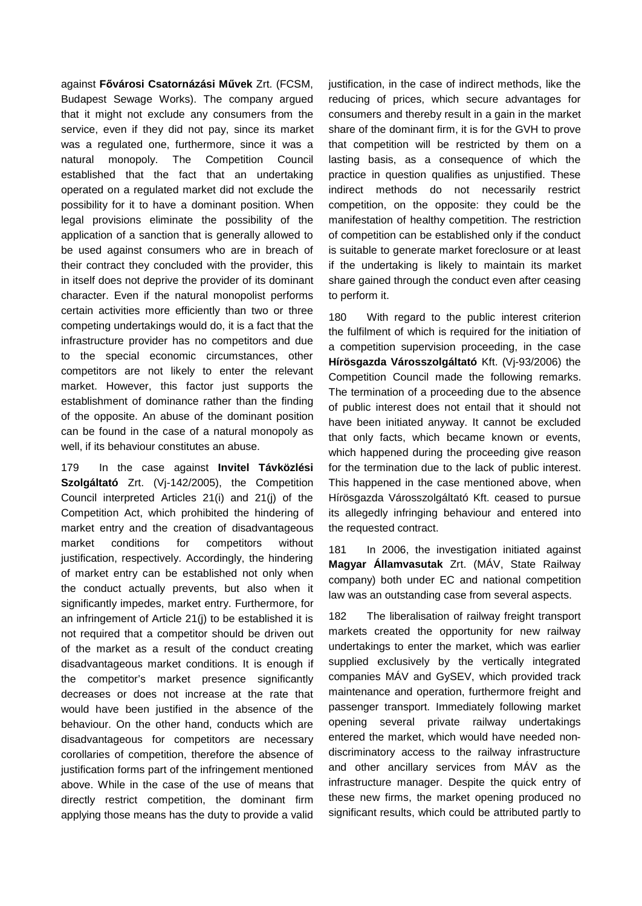against **Fővárosi Csatornázási Művek** Zrt. (FCSM, Budapest Sewage Works). The company argued that it might not exclude any consumers from the service, even if they did not pay, since its market was a regulated one, furthermore, since it was a natural monopoly. The Competition Council established that the fact that an undertaking operated on a regulated market did not exclude the possibility for it to have a dominant position. When legal provisions eliminate the possibility of the application of a sanction that is generally allowed to be used against consumers who are in breach of their contract they concluded with the provider, this in itself does not deprive the provider of its dominant character. Even if the natural monopolist performs certain activities more efficiently than two or three competing undertakings would do, it is a fact that the infrastructure provider has no competitors and due to the special economic circumstances, other competitors are not likely to enter the relevant market. However, this factor just supports the establishment of dominance rather than the finding of the opposite. An abuse of the dominant position can be found in the case of a natural monopoly as well, if its behaviour constitutes an abuse.

179 In the case against **Invitel Távközlési Szolgáltató** Zrt. (Vj-142/2005), the Competition Council interpreted Articles 21(i) and 21(j) of the Competition Act, which prohibited the hindering of market entry and the creation of disadvantageous market conditions for competitors without justification, respectively. Accordingly, the hindering of market entry can be established not only when the conduct actually prevents, but also when it significantly impedes, market entry. Furthermore, for an infringement of Article 21(j) to be established it is not required that a competitor should be driven out of the market as a result of the conduct creating disadvantageous market conditions. It is enough if the competitor's market presence significantly decreases or does not increase at the rate that would have been justified in the absence of the behaviour. On the other hand, conducts which are disadvantageous for competitors are necessary corollaries of competition, therefore the absence of justification forms part of the infringement mentioned above. While in the case of the use of means that directly restrict competition, the dominant firm applying those means has the duty to provide a valid

justification, in the case of indirect methods, like the reducing of prices, which secure advantages for consumers and thereby result in a gain in the market share of the dominant firm, it is for the GVH to prove that competition will be restricted by them on a lasting basis, as a consequence of which the practice in question qualifies as unjustified. These indirect methods do not necessarily restrict competition, on the opposite: they could be the manifestation of healthy competition. The restriction of competition can be established only if the conduct is suitable to generate market foreclosure or at least if the undertaking is likely to maintain its market share gained through the conduct even after ceasing to perform it.

180 With regard to the public interest criterion the fulfilment of which is required for the initiation of a competition supervision proceeding, in the case **Hírösgazda Városszolgáltató** Kft. (Vj-93/2006) the Competition Council made the following remarks. The termination of a proceeding due to the absence of public interest does not entail that it should not have been initiated anyway. It cannot be excluded that only facts, which became known or events, which happened during the proceeding give reason for the termination due to the lack of public interest. This happened in the case mentioned above, when Hírösgazda Városszolgáltató Kft. ceased to pursue its allegedly infringing behaviour and entered into the requested contract.

181 In 2006, the investigation initiated against **Magyar Államvasutak** Zrt. (MÁV, State Railway company) both under EC and national competition law was an outstanding case from several aspects.

182 The liberalisation of railway freight transport markets created the opportunity for new railway undertakings to enter the market, which was earlier supplied exclusively by the vertically integrated companies MÁV and GySEV, which provided track maintenance and operation, furthermore freight and passenger transport. Immediately following market opening several private railway undertakings entered the market, which would have needed nondiscriminatory access to the railway infrastructure and other ancillary services from MÁV as the infrastructure manager. Despite the quick entry of these new firms, the market opening produced no significant results, which could be attributed partly to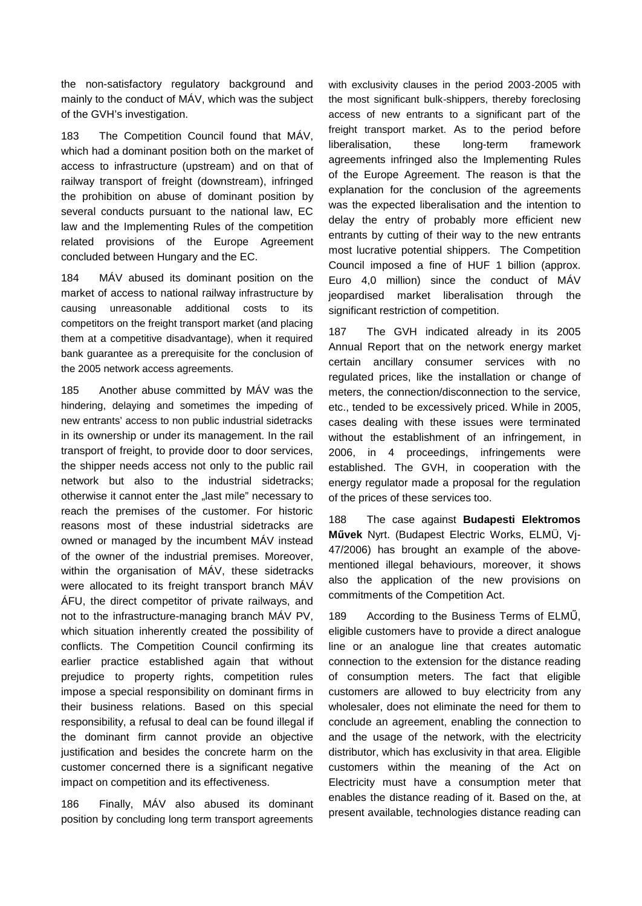the non-satisfactory regulatory background and mainly to the conduct of MÁV, which was the subject of the GVH's investigation.

183 The Competition Council found that MÁV, which had a dominant position both on the market of access to infrastructure (upstream) and on that of railway transport of freight (downstream), infringed the prohibition on abuse of dominant position by several conducts pursuant to the national law, EC law and the Implementing Rules of the competition related provisions of the Europe Agreement concluded between Hungary and the EC.

184 MÁV abused its dominant position on the market of access to national railway infrastructure by causing unreasonable additional costs to its competitors on the freight transport market (and placing them at a competitive disadvantage), when it required bank guarantee as a prerequisite for the conclusion of the 2005 network access agreements.

185 Another abuse committed by MÁV was the hindering, delaying and sometimes the impeding of new entrants' access to non public industrial sidetracks in its ownership or under its management. In the rail transport of freight, to provide door to door services, the shipper needs access not only to the public rail network but also to the industrial sidetracks; otherwise it cannot enter the "last mile" necessary to reach the premises of the customer. For historic reasons most of these industrial sidetracks are owned or managed by the incumbent MÁV instead of the owner of the industrial premises. Moreover, within the organisation of MÁV, these sidetracks were allocated to its freight transport branch MÁV ÁFU, the direct competitor of private railways, and not to the infrastructure-managing branch MÁV PV, which situation inherently created the possibility of conflicts. The Competition Council confirming its earlier practice established again that without prejudice to property rights, competition rules impose a special responsibility on dominant firms in their business relations. Based on this special responsibility, a refusal to deal can be found illegal if the dominant firm cannot provide an objective justification and besides the concrete harm on the customer concerned there is a significant negative impact on competition and its effectiveness.

186 Finally, MÁV also abused its dominant position by concluding long term transport agreements

with exclusivity clauses in the period 2003-2005 with the most significant bulk-shippers, thereby foreclosing access of new entrants to a significant part of the freight transport market. As to the period before liberalisation, these long-term framework agreements infringed also the Implementing Rules of the Europe Agreement. The reason is that the explanation for the conclusion of the agreements was the expected liberalisation and the intention to delay the entry of probably more efficient new entrants by cutting of their way to the new entrants most lucrative potential shippers. The Competition Council imposed a fine of HUF 1 billion (approx. Euro 4,0 million) since the conduct of MÁV jeopardised market liberalisation through the significant restriction of competition.

187 The GVH indicated already in its 2005 Annual Report that on the network energy market certain ancillary consumer services with no regulated prices, like the installation or change of meters, the connection/disconnection to the service, etc., tended to be excessively priced. While in 2005, cases dealing with these issues were terminated without the establishment of an infringement, in 2006, in 4 proceedings, infringements were established. The GVH, in cooperation with the energy regulator made a proposal for the regulation of the prices of these services too.

188 The case against **Budapesti Elektromos Művek** Nyrt. (Budapest Electric Works, ELMÜ, Vj-47/2006) has brought an example of the abovementioned illegal behaviours, moreover, it shows also the application of the new provisions on commitments of the Competition Act.

189 According to the Business Terms of ELMŰ, eligible customers have to provide a direct analogue line or an analogue line that creates automatic connection to the extension for the distance reading of consumption meters. The fact that eligible customers are allowed to buy electricity from any wholesaler, does not eliminate the need for them to conclude an agreement, enabling the connection to and the usage of the network, with the electricity distributor, which has exclusivity in that area. Eligible customers within the meaning of the Act on Electricity must have a consumption meter that enables the distance reading of it. Based on the, at present available, technologies distance reading can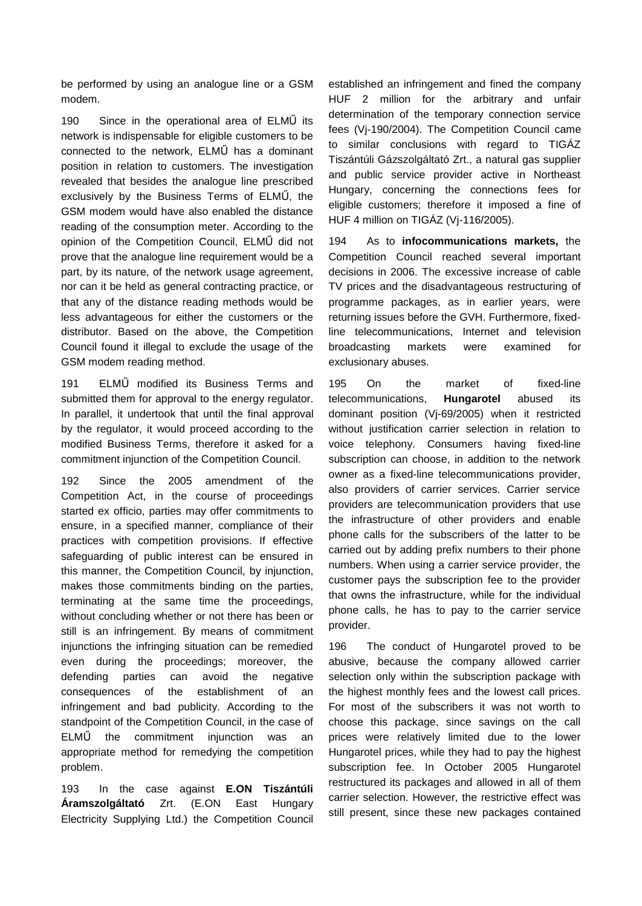be performed by using an analogue line or a GSM modem.

190 Since in the operational area of ELMŰ its network is indispensable for eligible customers to be connected to the network, ELMŰ has a dominant position in relation to customers. The investigation revealed that besides the analogue line prescribed exclusively by the Business Terms of ELMŰ, the GSM modem would have also enabled the distance reading of the consumption meter. According to the opinion of the Competition Council, ELMŰ did not prove that the analogue line requirement would be a part, by its nature, of the network usage agreement, nor can it be held as general contracting practice, or that any of the distance reading methods would be less advantageous for either the customers or the distributor. Based on the above, the Competition Council found it illegal to exclude the usage of the GSM modem reading method.

191 ELMŰ modified its Business Terms and submitted them for approval to the energy regulator. In parallel, it undertook that until the final approval by the regulator, it would proceed according to the modified Business Terms, therefore it asked for a commitment injunction of the Competition Council.

192 Since the 2005 amendment of the Competition Act, in the course of proceedings started ex officio, parties may offer commitments to ensure, in a specified manner, compliance of their practices with competition provisions. If effective safeguarding of public interest can be ensured in this manner, the Competition Council, by injunction, makes those commitments binding on the parties, terminating at the same time the proceedings, without concluding whether or not there has been or still is an infringement. By means of commitment injunctions the infringing situation can be remedied even during the proceedings; moreover, the defending parties can avoid the negative consequences of the establishment of an infringement and bad publicity. According to the standpoint of the Competition Council, in the case of ELMŰ the commitment injunction was an appropriate method for remedying the competition problem.

193 In the case against **E.ON Tiszántúli Áramszolgáltató** Zrt. (E.ON East Hungary Electricity Supplying Ltd.) the Competition Council

established an infringement and fined the company HUF 2 million for the arbitrary and unfair determination of the temporary connection service fees (Vj-190/2004). The Competition Council came to similar conclusions with regard to TIGÁZ Tiszántúli Gázszolgáltató Zrt., a natural gas supplier and public service provider active in Northeast Hungary, concerning the connections fees for eligible customers; therefore it imposed a fine of HUF 4 million on TIGÁZ (Vj-116/2005).

194 As to **infocommunications markets,** the Competition Council reached several important decisions in 2006. The excessive increase of cable TV prices and the disadvantageous restructuring of programme packages, as in earlier years, were returning issues before the GVH. Furthermore, fixedline telecommunications, Internet and television broadcasting markets were examined for exclusionary abuses.

195 On the market of fixed-line telecommunications, **Hungarotel** abused its dominant position (Vj-69/2005) when it restricted without justification carrier selection in relation to voice telephony. Consumers having fixed-line subscription can choose, in addition to the network owner as a fixed-line telecommunications provider, also providers of carrier services. Carrier service providers are telecommunication providers that use the infrastructure of other providers and enable phone calls for the subscribers of the latter to be carried out by adding prefix numbers to their phone numbers. When using a carrier service provider, the customer pays the subscription fee to the provider that owns the infrastructure, while for the individual phone calls, he has to pay to the carrier service provider.

196 The conduct of Hungarotel proved to be abusive, because the company allowed carrier selection only within the subscription package with the highest monthly fees and the lowest call prices. For most of the subscribers it was not worth to choose this package, since savings on the call prices were relatively limited due to the lower Hungarotel prices, while they had to pay the highest subscription fee. In October 2005 Hungarotel restructured its packages and allowed in all of them carrier selection. However, the restrictive effect was still present, since these new packages contained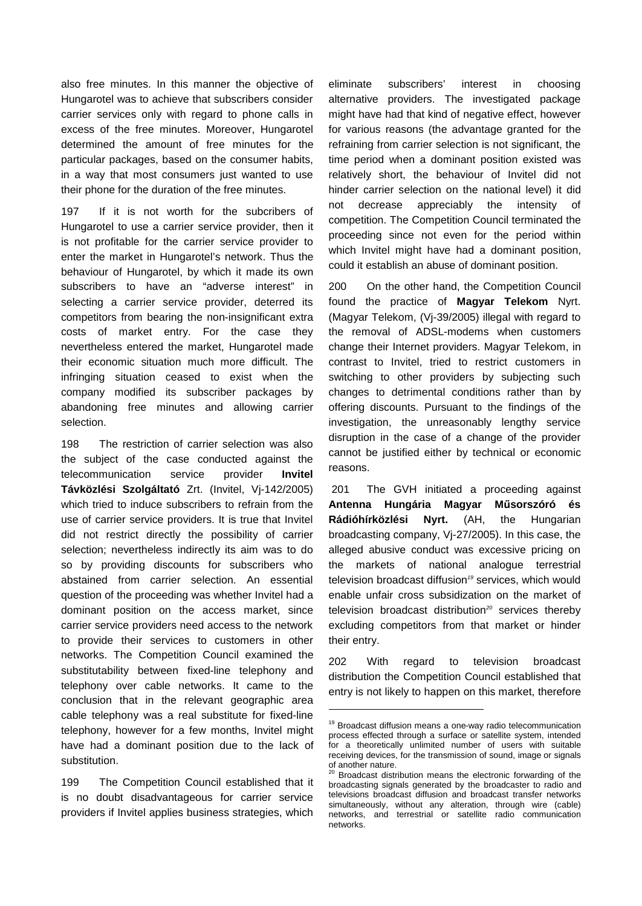also free minutes. In this manner the objective of Hungarotel was to achieve that subscribers consider carrier services only with regard to phone calls in excess of the free minutes. Moreover, Hungarotel determined the amount of free minutes for the particular packages, based on the consumer habits, in a way that most consumers just wanted to use their phone for the duration of the free minutes.

197 If it is not worth for the subcribers of Hungarotel to use a carrier service provider, then it is not profitable for the carrier service provider to enter the market in Hungarotel's network. Thus the behaviour of Hungarotel, by which it made its own subscribers to have an "adverse interest" in selecting a carrier service provider, deterred its competitors from bearing the non-insignificant extra costs of market entry. For the case they nevertheless entered the market, Hungarotel made their economic situation much more difficult. The infringing situation ceased to exist when the company modified its subscriber packages by abandoning free minutes and allowing carrier selection.

198 The restriction of carrier selection was also the subject of the case conducted against the telecommunication service provider **Invitel Távközlési Szolgáltató** Zrt. (Invitel, Vj-142/2005) which tried to induce subscribers to refrain from the use of carrier service providers. It is true that Invitel did not restrict directly the possibility of carrier selection; nevertheless indirectly its aim was to do so by providing discounts for subscribers who abstained from carrier selection. An essential question of the proceeding was whether Invitel had a dominant position on the access market, since carrier service providers need access to the network to provide their services to customers in other networks. The Competition Council examined the substitutability between fixed-line telephony and telephony over cable networks. It came to the conclusion that in the relevant geographic area cable telephony was a real substitute for fixed-line telephony, however for a few months, Invitel might have had a dominant position due to the lack of substitution.

199 The Competition Council established that it is no doubt disadvantageous for carrier service providers if Invitel applies business strategies, which

eliminate subscribers' interest in choosing alternative providers. The investigated package might have had that kind of negative effect, however for various reasons (the advantage granted for the refraining from carrier selection is not significant, the time period when a dominant position existed was relatively short, the behaviour of Invitel did not hinder carrier selection on the national level) it did not decrease appreciably the intensity of competition. The Competition Council terminated the proceeding since not even for the period within which Invitel might have had a dominant position, could it establish an abuse of dominant position.

200 On the other hand, the Competition Council found the practice of **Magyar Telekom** Nyrt. (Magyar Telekom, (Vj-39/2005) illegal with regard to the removal of ADSL-modems when customers change their Internet providers. Magyar Telekom, in contrast to Invitel, tried to restrict customers in switching to other providers by subjecting such changes to detrimental conditions rather than by offering discounts. Pursuant to the findings of the investigation, the unreasonably lengthy service disruption in the case of a change of the provider cannot be justified either by technical or economic reasons.

201 The GVH initiated a proceeding against **Antenna Hungária Magyar Műsorszóró és Rádióhírközlési Nyrt.** (AH, the Hungarian broadcasting company, Vj-27/2005). In this case, the alleged abusive conduct was excessive pricing on the markets of national analogue terrestrial television broadcast diffusion*<sup>19</sup>* services, which would enable unfair cross subsidization on the market of television broadcast distribution*<sup>20</sup>* services thereby excluding competitors from that market or hinder their entry.

202 With regard to television broadcast distribution the Competition Council established that entry is not likely to happen on this market, therefore

1

<sup>&</sup>lt;sup>19</sup> Broadcast diffusion means a one-way radio telecommunication process effected through a surface or satellite system, intended for a theoretically unlimited number of users with suitable receiving devices, for the transmission of sound, image or signals of another nature.

Broadcast distribution means the electronic forwarding of the broadcasting signals generated by the broadcaster to radio and televisions broadcast diffusion and broadcast transfer networks simultaneously, without any alteration, through wire (cable) networks, and terrestrial or satellite radio communication networks.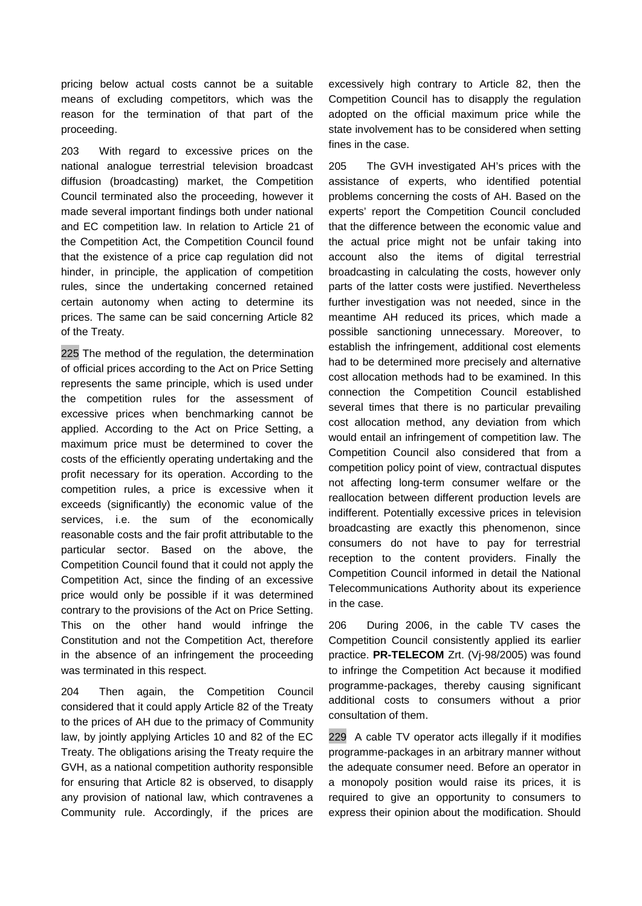pricing below actual costs cannot be a suitable means of excluding competitors, which was the reason for the termination of that part of the proceeding.

203 With regard to excessive prices on the national analogue terrestrial television broadcast diffusion (broadcasting) market, the Competition Council terminated also the proceeding, however it made several important findings both under national and EC competition law. In relation to Article 21 of the Competition Act, the Competition Council found that the existence of a price cap regulation did not hinder, in principle, the application of competition rules, since the undertaking concerned retained certain autonomy when acting to determine its prices. The same can be said concerning Article 82 of the Treaty.

225 The method of the regulation, the determination of official prices according to the Act on Price Setting represents the same principle, which is used under the competition rules for the assessment of excessive prices when benchmarking cannot be applied. According to the Act on Price Setting, a maximum price must be determined to cover the costs of the efficiently operating undertaking and the profit necessary for its operation. According to the competition rules, a price is excessive when it exceeds (significantly) the economic value of the services, i.e. the sum of the economically reasonable costs and the fair profit attributable to the particular sector. Based on the above, the Competition Council found that it could not apply the Competition Act, since the finding of an excessive price would only be possible if it was determined contrary to the provisions of the Act on Price Setting. This on the other hand would infringe the Constitution and not the Competition Act, therefore in the absence of an infringement the proceeding was terminated in this respect.

204 Then again, the Competition Council considered that it could apply Article 82 of the Treaty to the prices of AH due to the primacy of Community law, by jointly applying Articles 10 and 82 of the EC Treaty. The obligations arising the Treaty require the GVH, as a national competition authority responsible for ensuring that Article 82 is observed, to disapply any provision of national law, which contravenes a Community rule. Accordingly, if the prices are

excessively high contrary to Article 82, then the Competition Council has to disapply the regulation adopted on the official maximum price while the state involvement has to be considered when setting fines in the case.

205 The GVH investigated AH's prices with the assistance of experts, who identified potential problems concerning the costs of AH. Based on the experts' report the Competition Council concluded that the difference between the economic value and the actual price might not be unfair taking into account also the items of digital terrestrial broadcasting in calculating the costs, however only parts of the latter costs were justified. Nevertheless further investigation was not needed, since in the meantime AH reduced its prices, which made a possible sanctioning unnecessary. Moreover, to establish the infringement, additional cost elements had to be determined more precisely and alternative cost allocation methods had to be examined. In this connection the Competition Council established several times that there is no particular prevailing cost allocation method, any deviation from which would entail an infringement of competition law. The Competition Council also considered that from a competition policy point of view, contractual disputes not affecting long-term consumer welfare or the reallocation between different production levels are indifferent. Potentially excessive prices in television broadcasting are exactly this phenomenon, since consumers do not have to pay for terrestrial reception to the content providers. Finally the Competition Council informed in detail the National Telecommunications Authority about its experience in the case.

206 During 2006, in the cable TV cases the Competition Council consistently applied its earlier practice. **PR-TELECOM** Zrt. (Vj-98/2005) was found to infringe the Competition Act because it modified programme-packages, thereby causing significant additional costs to consumers without a prior consultation of them.

229 A cable TV operator acts illegally if it modifies programme-packages in an arbitrary manner without the adequate consumer need. Before an operator in a monopoly position would raise its prices, it is required to give an opportunity to consumers to express their opinion about the modification. Should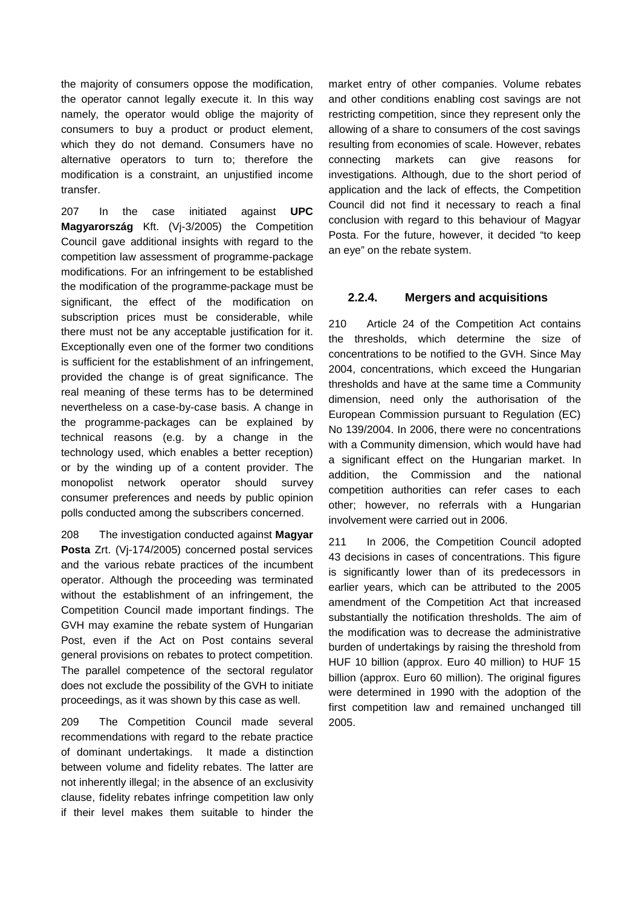the majority of consumers oppose the modification, the operator cannot legally execute it. In this way namely, the operator would oblige the majority of consumers to buy a product or product element, which they do not demand. Consumers have no alternative operators to turn to; therefore the modification is a constraint, an unjustified income transfer.

207 In the case initiated against **UPC Magyarország** Kft. (Vj-3/2005) the Competition Council gave additional insights with regard to the competition law assessment of programme-package modifications. For an infringement to be established the modification of the programme-package must be significant, the effect of the modification on subscription prices must be considerable, while there must not be any acceptable justification for it. Exceptionally even one of the former two conditions is sufficient for the establishment of an infringement, provided the change is of great significance. The real meaning of these terms has to be determined nevertheless on a case-by-case basis. A change in the programme-packages can be explained by technical reasons (e.g. by a change in the technology used, which enables a better reception) or by the winding up of a content provider. The monopolist network operator should survey consumer preferences and needs by public opinion polls conducted among the subscribers concerned.

208 The investigation conducted against **Magyar Posta** Zrt. (Vj-174/2005) concerned postal services and the various rebate practices of the incumbent operator. Although the proceeding was terminated without the establishment of an infringement, the Competition Council made important findings. The GVH may examine the rebate system of Hungarian Post, even if the Act on Post contains several general provisions on rebates to protect competition. The parallel competence of the sectoral regulator does not exclude the possibility of the GVH to initiate proceedings, as it was shown by this case as well.

209 The Competition Council made several recommendations with regard to the rebate practice of dominant undertakings. It made a distinction between volume and fidelity rebates. The latter are not inherently illegal; in the absence of an exclusivity clause, fidelity rebates infringe competition law only if their level makes them suitable to hinder the

market entry of other companies. Volume rebates and other conditions enabling cost savings are not restricting competition, since they represent only the allowing of a share to consumers of the cost savings resulting from economies of scale. However, rebates connecting markets can give reasons for investigations. Although, due to the short period of application and the lack of effects, the Competition Council did not find it necessary to reach a final conclusion with regard to this behaviour of Magyar Posta. For the future, however, it decided "to keep an eye" on the rebate system.

### **2.2.4. Mergers and acquisitions**

210 Article 24 of the Competition Act contains the thresholds, which determine the size of concentrations to be notified to the GVH. Since May 2004, concentrations, which exceed the Hungarian thresholds and have at the same time a Community dimension, need only the authorisation of the European Commission pursuant to Regulation (EC) No 139/2004. In 2006, there were no concentrations with a Community dimension, which would have had a significant effect on the Hungarian market. In addition, the Commission and the national competition authorities can refer cases to each other; however, no referrals with a Hungarian involvement were carried out in 2006.

211 In 2006, the Competition Council adopted 43 decisions in cases of concentrations. This figure is significantly lower than of its predecessors in earlier years, which can be attributed to the 2005 amendment of the Competition Act that increased substantially the notification thresholds. The aim of the modification was to decrease the administrative burden of undertakings by raising the threshold from HUF 10 billion (approx. Euro 40 million) to HUF 15 billion (approx. Euro 60 million). The original figures were determined in 1990 with the adoption of the first competition law and remained unchanged till 2005.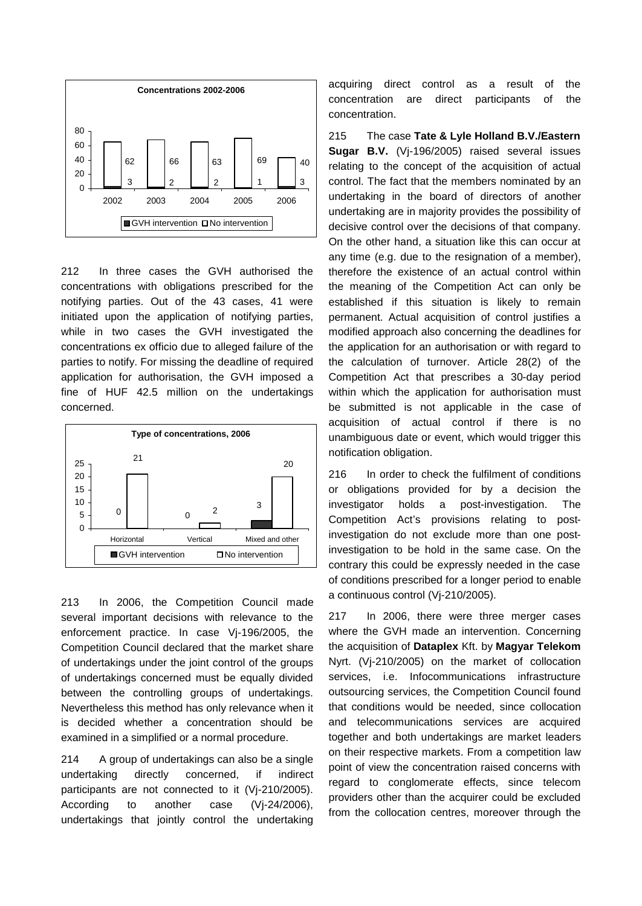

212 In three cases the GVH authorised the concentrations with obligations prescribed for the notifying parties. Out of the 43 cases, 41 were initiated upon the application of notifying parties, while in two cases the GVH investigated the concentrations ex officio due to alleged failure of the parties to notify. For missing the deadline of required application for authorisation, the GVH imposed a fine of HUF 42.5 million on the undertakings concerned.



213 In 2006, the Competition Council made several important decisions with relevance to the enforcement practice. In case Vj-196/2005, the Competition Council declared that the market share of undertakings under the joint control of the groups of undertakings concerned must be equally divided between the controlling groups of undertakings. Nevertheless this method has only relevance when it is decided whether a concentration should be examined in a simplified or a normal procedure.

214 A group of undertakings can also be a single undertaking directly concerned, if indirect participants are not connected to it (Vj-210/2005). According to another case (Vj-24/2006), undertakings that jointly control the undertaking

acquiring direct control as a result of the concentration are direct participants of the concentration.

215 The case **Tate & Lyle Holland B.V./Eastern Sugar B.V.** (Vj-196/2005) raised several issues relating to the concept of the acquisition of actual control. The fact that the members nominated by an undertaking in the board of directors of another undertaking are in majority provides the possibility of decisive control over the decisions of that company. On the other hand, a situation like this can occur at any time (e.g. due to the resignation of a member), therefore the existence of an actual control within the meaning of the Competition Act can only be established if this situation is likely to remain permanent. Actual acquisition of control justifies a modified approach also concerning the deadlines for the application for an authorisation or with regard to the calculation of turnover. Article 28(2) of the Competition Act that prescribes a 30-day period within which the application for authorisation must be submitted is not applicable in the case of acquisition of actual control if there is no unambiguous date or event, which would trigger this notification obligation.

216 In order to check the fulfilment of conditions or obligations provided for by a decision the investigator holds a post-investigation. The Competition Act's provisions relating to postinvestigation do not exclude more than one postinvestigation to be hold in the same case. On the contrary this could be expressly needed in the case of conditions prescribed for a longer period to enable a continuous control (Vj-210/2005).

217 In 2006, there were three merger cases where the GVH made an intervention. Concerning the acquisition of **Dataplex** Kft. by **Magyar Telekom**  Nyrt. (Vj-210/2005) on the market of collocation services, i.e. Infocommunications infrastructure outsourcing services, the Competition Council found that conditions would be needed, since collocation and telecommunications services are acquired together and both undertakings are market leaders on their respective markets. From a competition law point of view the concentration raised concerns with regard to conglomerate effects, since telecom providers other than the acquirer could be excluded from the collocation centres, moreover through the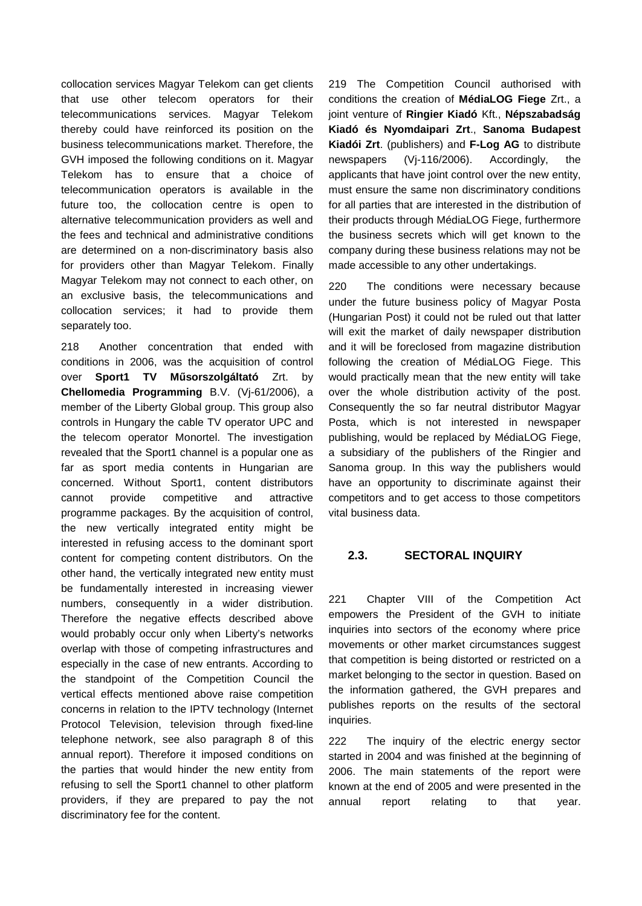collocation services Magyar Telekom can get clients that use other telecom operators for their telecommunications services. Magyar Telekom thereby could have reinforced its position on the business telecommunications market. Therefore, the GVH imposed the following conditions on it. Magyar Telekom has to ensure that a choice of telecommunication operators is available in the future too, the collocation centre is open to alternative telecommunication providers as well and the fees and technical and administrative conditions are determined on a non-discriminatory basis also for providers other than Magyar Telekom. Finally Magyar Telekom may not connect to each other, on an exclusive basis, the telecommunications and collocation services; it had to provide them separately too.

218 Another concentration that ended with conditions in 2006, was the acquisition of control over **Sport1 TV Műsorszolgáltató** Zrt. by **Chellomedia Programming** B.V. (Vj-61/2006), a member of the Liberty Global group. This group also controls in Hungary the cable TV operator UPC and the telecom operator Monortel. The investigation revealed that the Sport1 channel is a popular one as far as sport media contents in Hungarian are concerned. Without Sport1, content distributors cannot provide competitive and attractive programme packages. By the acquisition of control, the new vertically integrated entity might be interested in refusing access to the dominant sport content for competing content distributors. On the other hand, the vertically integrated new entity must be fundamentally interested in increasing viewer numbers, consequently in a wider distribution. Therefore the negative effects described above would probably occur only when Liberty's networks overlap with those of competing infrastructures and especially in the case of new entrants. According to the standpoint of the Competition Council the vertical effects mentioned above raise competition concerns in relation to the IPTV technology (Internet Protocol Television, television through fixed-line telephone network, see also paragraph 8 of this annual report). Therefore it imposed conditions on the parties that would hinder the new entity from refusing to sell the Sport1 channel to other platform providers, if they are prepared to pay the not discriminatory fee for the content.

219 The Competition Council authorised with conditions the creation of **MédiaLOG Fiege** Zrt., a joint venture of **Ringier Kiadó** Kft., **Népszabadság Kiadó és Nyomdaipari Zrt**., **Sanoma Budapest Kiadói Zrt**. (publishers) and **F-Log AG** to distribute newspapers (Vj-116/2006). Accordingly, the applicants that have joint control over the new entity, must ensure the same non discriminatory conditions for all parties that are interested in the distribution of their products through MédiaLOG Fiege, furthermore the business secrets which will get known to the company during these business relations may not be made accessible to any other undertakings.

220 The conditions were necessary because under the future business policy of Magyar Posta (Hungarian Post) it could not be ruled out that latter will exit the market of daily newspaper distribution and it will be foreclosed from magazine distribution following the creation of MédiaLOG Fiege. This would practically mean that the new entity will take over the whole distribution activity of the post. Consequently the so far neutral distributor Magyar Posta, which is not interested in newspaper publishing, would be replaced by MédiaLOG Fiege, a subsidiary of the publishers of the Ringier and Sanoma group. In this way the publishers would have an opportunity to discriminate against their competitors and to get access to those competitors vital business data.

#### **2.3. SECTORAL INQUIRY**

221 Chapter VIII of the Competition Act empowers the President of the GVH to initiate inquiries into sectors of the economy where price movements or other market circumstances suggest that competition is being distorted or restricted on a market belonging to the sector in question. Based on the information gathered, the GVH prepares and publishes reports on the results of the sectoral inquiries.

222 The inquiry of the electric energy sector started in 2004 and was finished at the beginning of 2006. The main statements of the report were known at the end of 2005 and were presented in the annual report relating to that year.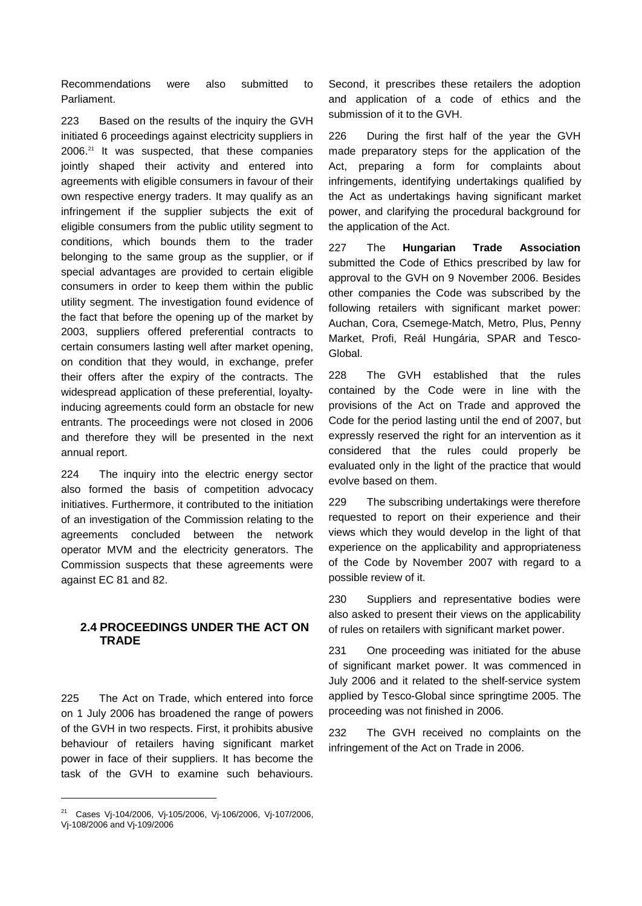Recommendations were also submitted to Parliament.

223 Based on the results of the inquiry the GVH initiated 6 proceedings against electricity suppliers in 2006.<sup>21</sup> It was suspected, that these companies jointly shaped their activity and entered into agreements with eligible consumers in favour of their own respective energy traders. It may qualify as an infringement if the supplier subjects the exit of eligible consumers from the public utility segment to conditions, which bounds them to the trader belonging to the same group as the supplier, or if special advantages are provided to certain eligible consumers in order to keep them within the public utility segment. The investigation found evidence of the fact that before the opening up of the market by 2003, suppliers offered preferential contracts to certain consumers lasting well after market opening, on condition that they would, in exchange, prefer their offers after the expiry of the contracts. The widespread application of these preferential, loyaltyinducing agreements could form an obstacle for new entrants. The proceedings were not closed in 2006 and therefore they will be presented in the next annual report.

224 The inquiry into the electric energy sector also formed the basis of competition advocacy initiatives. Furthermore, it contributed to the initiation of an investigation of the Commission relating to the agreements concluded between the network operator MVM and the electricity generators. The Commission suspects that these agreements were against EC 81 and 82.

### **2.4 PROCEEDINGS UNDER THE ACT ON TRADE**

225 The Act on Trade, which entered into force on 1 July 2006 has broadened the range of powers of the GVH in two respects. First, it prohibits abusive behaviour of retailers having significant market power in face of their suppliers. It has become the task of the GVH to examine such behaviours.

l

Second, it prescribes these retailers the adoption and application of a code of ethics and the submission of it to the GVH.

226 During the first half of the year the GVH made preparatory steps for the application of the Act, preparing a form for complaints about infringements, identifying undertakings qualified by the Act as undertakings having significant market power, and clarifying the procedural background for the application of the Act.

227 The **Hungarian Trade Association** submitted the Code of Ethics prescribed by law for approval to the GVH on 9 November 2006. Besides other companies the Code was subscribed by the following retailers with significant market power: Auchan, Cora, Csemege-Match, Metro, Plus, Penny Market, Profi, Reál Hungária, SPAR and Tesco-Global.

228 The GVH established that the rules contained by the Code were in line with the provisions of the Act on Trade and approved the Code for the period lasting until the end of 2007, but expressly reserved the right for an intervention as it considered that the rules could properly be evaluated only in the light of the practice that would evolve based on them.

229 The subscribing undertakings were therefore requested to report on their experience and their views which they would develop in the light of that experience on the applicability and appropriateness of the Code by November 2007 with regard to a possible review of it.

230 Suppliers and representative bodies were also asked to present their views on the applicability of rules on retailers with significant market power.

231 One proceeding was initiated for the abuse of significant market power. It was commenced in July 2006 and it related to the shelf-service system applied by Tesco-Global since springtime 2005. The proceeding was not finished in 2006.

232 The GVH received no complaints on the infringement of the Act on Trade in 2006.

<sup>&</sup>lt;sup>21</sup> Cases Vj-104/2006, Vj-105/2006, Vj-106/2006, Vj-107/2006, Vj-108/2006 and Vj-109/2006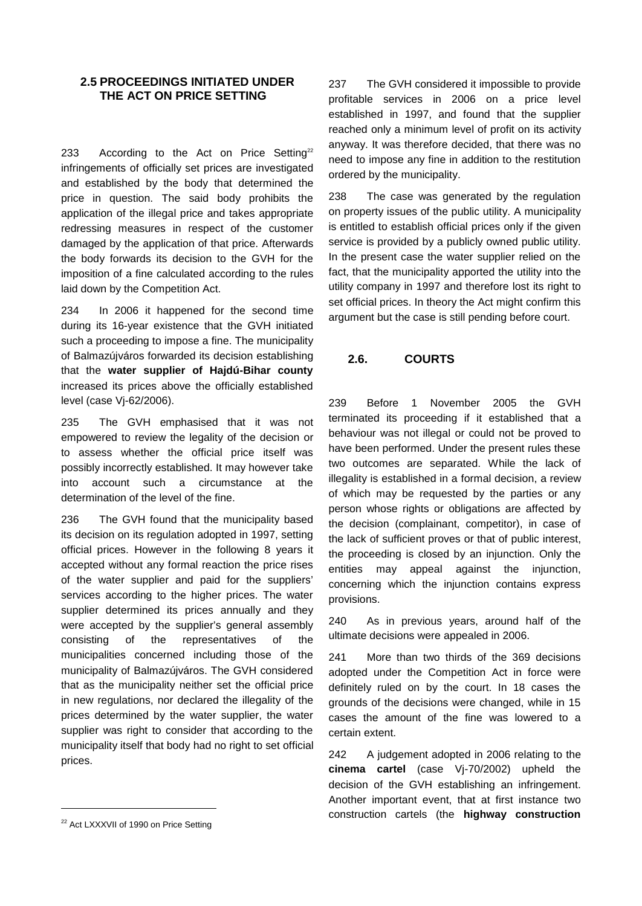#### **2.5 PROCEEDINGS INITIATED UNDER THE ACT ON PRICE SETTING**

233 According to the Act on Price Setting<sup>22</sup> infringements of officially set prices are investigated and established by the body that determined the price in question. The said body prohibits the application of the illegal price and takes appropriate redressing measures in respect of the customer damaged by the application of that price. Afterwards the body forwards its decision to the GVH for the imposition of a fine calculated according to the rules laid down by the Competition Act.

234 In 2006 it happened for the second time during its 16-year existence that the GVH initiated such a proceeding to impose a fine. The municipality of Balmazújváros forwarded its decision establishing that the **water supplier of Hajdú-Bihar county** increased its prices above the officially established level (case Vj-62/2006).

235 The GVH emphasised that it was not empowered to review the legality of the decision or to assess whether the official price itself was possibly incorrectly established. It may however take into account such a circumstance at the determination of the level of the fine.

236 The GVH found that the municipality based its decision on its regulation adopted in 1997, setting official prices. However in the following 8 years it accepted without any formal reaction the price rises of the water supplier and paid for the suppliers' services according to the higher prices. The water supplier determined its prices annually and they were accepted by the supplier's general assembly consisting of the representatives of the municipalities concerned including those of the municipality of Balmazújváros. The GVH considered that as the municipality neither set the official price in new regulations, nor declared the illegality of the prices determined by the water supplier, the water supplier was right to consider that according to the municipality itself that body had no right to set official prices.

238 The case was generated by the regulation on property issues of the public utility. A municipality is entitled to establish official prices only if the given service is provided by a publicly owned public utility. In the present case the water supplier relied on the fact, that the municipality apported the utility into the utility company in 1997 and therefore lost its right to set official prices. In theory the Act might confirm this argument but the case is still pending before court.

### **2.6. COURTS**

239 Before 1 November 2005 the GVH terminated its proceeding if it established that a behaviour was not illegal or could not be proved to have been performed. Under the present rules these two outcomes are separated. While the lack of illegality is established in a formal decision, a review of which may be requested by the parties or any person whose rights or obligations are affected by the decision (complainant, competitor), in case of the lack of sufficient proves or that of public interest, the proceeding is closed by an injunction. Only the entities may appeal against the injunction, concerning which the injunction contains express provisions.

240 As in previous years, around half of the ultimate decisions were appealed in 2006.

241 More than two thirds of the 369 decisions adopted under the Competition Act in force were definitely ruled on by the court. In 18 cases the grounds of the decisions were changed, while in 15 cases the amount of the fine was lowered to a certain extent.

242 A judgement adopted in 2006 relating to the **cinema cartel** (case Vj-70/2002) upheld the decision of the GVH establishing an infringement. Another important event, that at first instance two construction cartels (the **highway construction**

l

<sup>237</sup> The GVH considered it impossible to provide profitable services in 2006 on a price level established in 1997, and found that the supplier reached only a minimum level of profit on its activity anyway. It was therefore decided, that there was no need to impose any fine in addition to the restitution ordered by the municipality.

<sup>&</sup>lt;sup>22</sup> Act LXXXVII of 1990 on Price Setting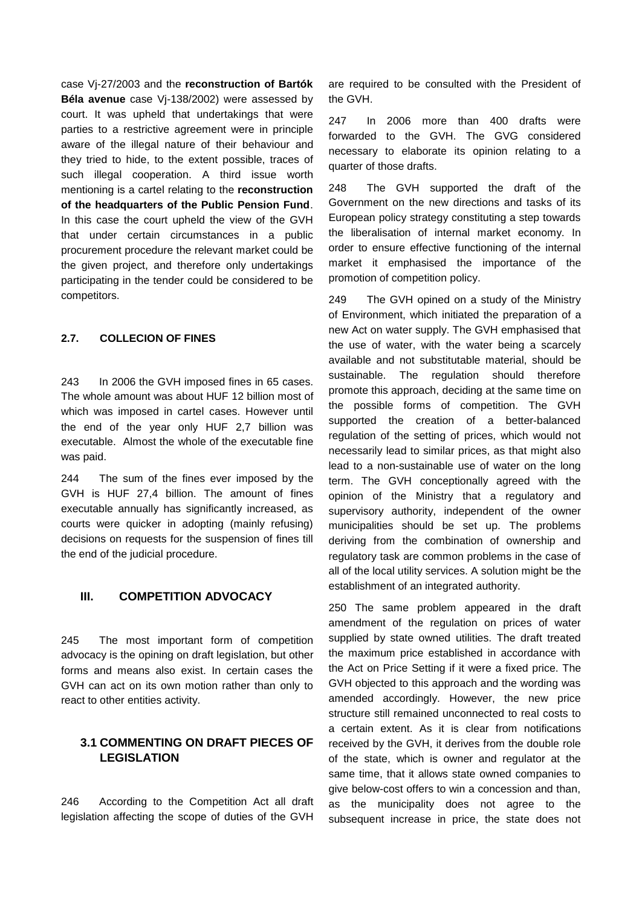case Vj-27/2003 and the **reconstruction of Bartók Béla avenue** case Vj-138/2002) were assessed by court. It was upheld that undertakings that were parties to a restrictive agreement were in principle aware of the illegal nature of their behaviour and they tried to hide, to the extent possible, traces of such illegal cooperation. A third issue worth mentioning is a cartel relating to the **reconstruction of the headquarters of the Public Pension Fund**. In this case the court upheld the view of the GVH that under certain circumstances in a public procurement procedure the relevant market could be the given project, and therefore only undertakings participating in the tender could be considered to be competitors.

#### **2.7. COLLECION OF FINES**

243 In 2006 the GVH imposed fines in 65 cases. The whole amount was about HUF 12 billion most of which was imposed in cartel cases. However until the end of the year only HUF 2,7 billion was executable. Almost the whole of the executable fine was paid.

244 The sum of the fines ever imposed by the GVH is HUF 27,4 billion. The amount of fines executable annually has significantly increased, as courts were quicker in adopting (mainly refusing) decisions on requests for the suspension of fines till the end of the judicial procedure.

#### **III. COMPETITION ADVOCACY**

245 The most important form of competition advocacy is the opining on draft legislation, but other forms and means also exist. In certain cases the GVH can act on its own motion rather than only to react to other entities activity.

### **3.1 COMMENTING ON DRAFT PIECES OF LEGISLATION**

246 According to the Competition Act all draft legislation affecting the scope of duties of the GVH

are required to be consulted with the President of the GVH.

247 In 2006 more than 400 drafts were forwarded to the GVH. The GVG considered necessary to elaborate its opinion relating to a quarter of those drafts.

248 The GVH supported the draft of the Government on the new directions and tasks of its European policy strategy constituting a step towards the liberalisation of internal market economy. In order to ensure effective functioning of the internal market it emphasised the importance of the promotion of competition policy.

249 The GVH opined on a study of the Ministry of Environment, which initiated the preparation of a new Act on water supply. The GVH emphasised that the use of water, with the water being a scarcely available and not substitutable material, should be sustainable. The regulation should therefore promote this approach, deciding at the same time on the possible forms of competition. The GVH supported the creation of a better-balanced regulation of the setting of prices, which would not necessarily lead to similar prices, as that might also lead to a non-sustainable use of water on the long term. The GVH conceptionally agreed with the opinion of the Ministry that a regulatory and supervisory authority, independent of the owner municipalities should be set up. The problems deriving from the combination of ownership and regulatory task are common problems in the case of all of the local utility services. A solution might be the establishment of an integrated authority.

250 The same problem appeared in the draft amendment of the regulation on prices of water supplied by state owned utilities. The draft treated the maximum price established in accordance with the Act on Price Setting if it were a fixed price. The GVH objected to this approach and the wording was amended accordingly. However, the new price structure still remained unconnected to real costs to a certain extent. As it is clear from notifications received by the GVH, it derives from the double role of the state, which is owner and regulator at the same time, that it allows state owned companies to give below-cost offers to win a concession and than, as the municipality does not agree to the subsequent increase in price, the state does not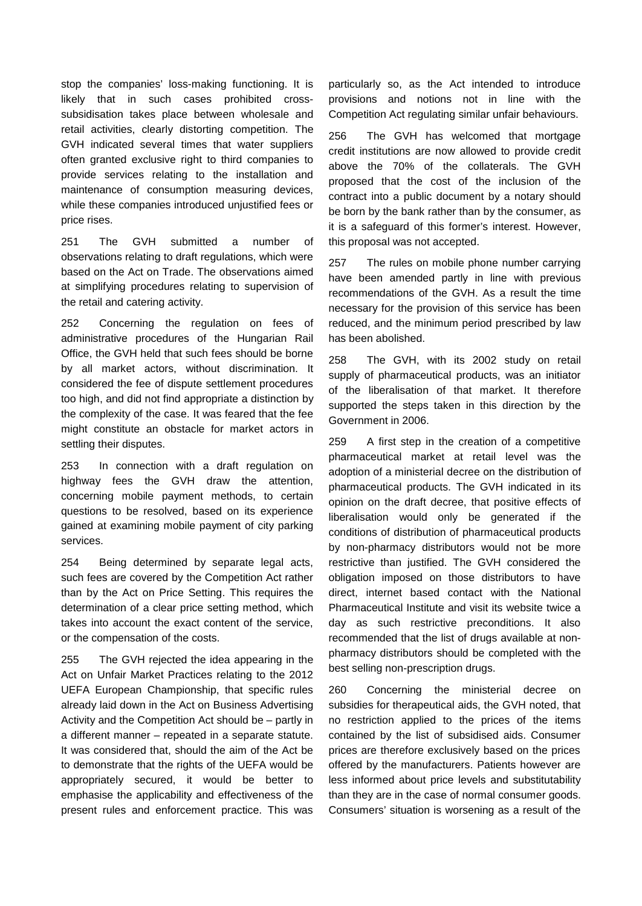stop the companies' loss-making functioning. It is likely that in such cases prohibited crosssubsidisation takes place between wholesale and retail activities, clearly distorting competition. The GVH indicated several times that water suppliers often granted exclusive right to third companies to provide services relating to the installation and maintenance of consumption measuring devices, while these companies introduced uniustified fees or price rises.

251 The GVH submitted a number of observations relating to draft regulations, which were based on the Act on Trade. The observations aimed at simplifying procedures relating to supervision of the retail and catering activity.

252 Concerning the regulation on fees of administrative procedures of the Hungarian Rail Office, the GVH held that such fees should be borne by all market actors, without discrimination. It considered the fee of dispute settlement procedures too high, and did not find appropriate a distinction by the complexity of the case. It was feared that the fee might constitute an obstacle for market actors in settling their disputes.

253 In connection with a draft regulation on highway fees the GVH draw the attention, concerning mobile payment methods, to certain questions to be resolved, based on its experience gained at examining mobile payment of city parking services.

254 Being determined by separate legal acts, such fees are covered by the Competition Act rather than by the Act on Price Setting. This requires the determination of a clear price setting method, which takes into account the exact content of the service, or the compensation of the costs.

255 The GVH rejected the idea appearing in the Act on Unfair Market Practices relating to the 2012 UEFA European Championship, that specific rules already laid down in the Act on Business Advertising Activity and the Competition Act should be – partly in a different manner – repeated in a separate statute. It was considered that, should the aim of the Act be to demonstrate that the rights of the UEFA would be appropriately secured, it would be better to emphasise the applicability and effectiveness of the present rules and enforcement practice. This was

particularly so, as the Act intended to introduce provisions and notions not in line with the Competition Act regulating similar unfair behaviours.

256 The GVH has welcomed that mortgage credit institutions are now allowed to provide credit above the 70% of the collaterals. The GVH proposed that the cost of the inclusion of the contract into a public document by a notary should be born by the bank rather than by the consumer, as it is a safeguard of this former's interest. However, this proposal was not accepted.

257 The rules on mobile phone number carrying have been amended partly in line with previous recommendations of the GVH. As a result the time necessary for the provision of this service has been reduced, and the minimum period prescribed by law has been abolished.

258 The GVH, with its 2002 study on retail supply of pharmaceutical products, was an initiator of the liberalisation of that market. It therefore supported the steps taken in this direction by the Government in 2006.

259 A first step in the creation of a competitive pharmaceutical market at retail level was the adoption of a ministerial decree on the distribution of pharmaceutical products. The GVH indicated in its opinion on the draft decree, that positive effects of liberalisation would only be generated if the conditions of distribution of pharmaceutical products by non-pharmacy distributors would not be more restrictive than justified. The GVH considered the obligation imposed on those distributors to have direct, internet based contact with the National Pharmaceutical Institute and visit its website twice a day as such restrictive preconditions. It also recommended that the list of drugs available at nonpharmacy distributors should be completed with the best selling non-prescription drugs.

260 Concerning the ministerial decree on subsidies for therapeutical aids, the GVH noted, that no restriction applied to the prices of the items contained by the list of subsidised aids. Consumer prices are therefore exclusively based on the prices offered by the manufacturers. Patients however are less informed about price levels and substitutability than they are in the case of normal consumer goods. Consumers' situation is worsening as a result of the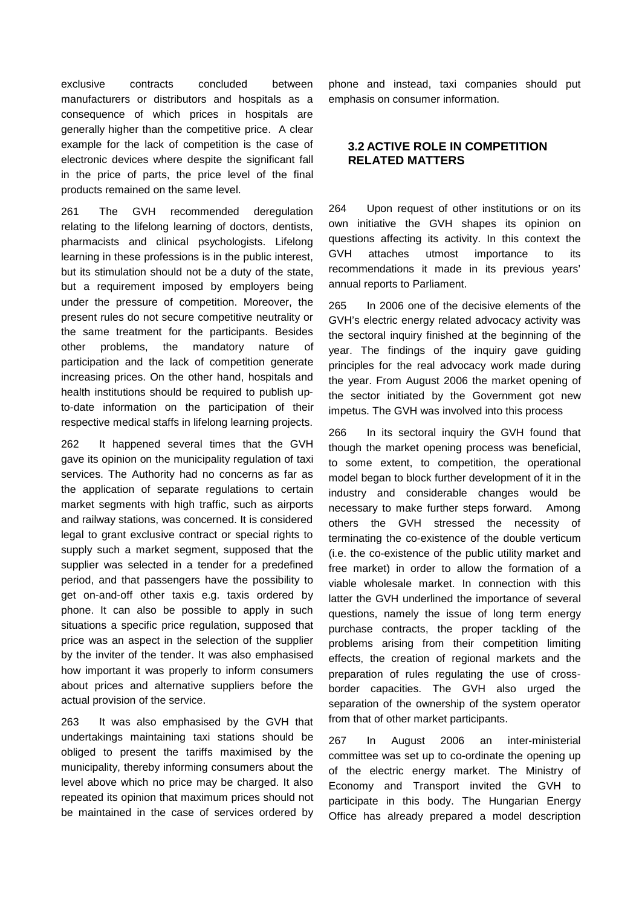exclusive contracts concluded between manufacturers or distributors and hospitals as a consequence of which prices in hospitals are generally higher than the competitive price. A clear example for the lack of competition is the case of electronic devices where despite the significant fall in the price of parts, the price level of the final products remained on the same level.

261 The GVH recommended deregulation relating to the lifelong learning of doctors, dentists, pharmacists and clinical psychologists. Lifelong learning in these professions is in the public interest, but its stimulation should not be a duty of the state, but a requirement imposed by employers being under the pressure of competition. Moreover, the present rules do not secure competitive neutrality or the same treatment for the participants. Besides other problems, the mandatory nature of participation and the lack of competition generate increasing prices. On the other hand, hospitals and health institutions should be required to publish upto-date information on the participation of their respective medical staffs in lifelong learning projects.

262 It happened several times that the GVH gave its opinion on the municipality regulation of taxi services. The Authority had no concerns as far as the application of separate regulations to certain market segments with high traffic, such as airports and railway stations, was concerned. It is considered legal to grant exclusive contract or special rights to supply such a market segment, supposed that the supplier was selected in a tender for a predefined period, and that passengers have the possibility to get on-and-off other taxis e.g. taxis ordered by phone. It can also be possible to apply in such situations a specific price regulation, supposed that price was an aspect in the selection of the supplier by the inviter of the tender. It was also emphasised how important it was properly to inform consumers about prices and alternative suppliers before the actual provision of the service.

263 It was also emphasised by the GVH that undertakings maintaining taxi stations should be obliged to present the tariffs maximised by the municipality, thereby informing consumers about the level above which no price may be charged. It also repeated its opinion that maximum prices should not be maintained in the case of services ordered by phone and instead, taxi companies should put emphasis on consumer information.

### **3.2 ACTIVE ROLE IN COMPETITION RELATED MATTERS**

264 Upon request of other institutions or on its own initiative the GVH shapes its opinion on questions affecting its activity. In this context the GVH attaches utmost importance to its recommendations it made in its previous years' annual reports to Parliament.

265 In 2006 one of the decisive elements of the GVH's electric energy related advocacy activity was the sectoral inquiry finished at the beginning of the year. The findings of the inquiry gave guiding principles for the real advocacy work made during the year. From August 2006 the market opening of the sector initiated by the Government got new impetus. The GVH was involved into this process

266 In its sectoral inquiry the GVH found that though the market opening process was beneficial, to some extent, to competition, the operational model began to block further development of it in the industry and considerable changes would be necessary to make further steps forward. Among others the GVH stressed the necessity of terminating the co-existence of the double verticum (i.e. the co-existence of the public utility market and free market) in order to allow the formation of a viable wholesale market. In connection with this latter the GVH underlined the importance of several questions, namely the issue of long term energy purchase contracts, the proper tackling of the problems arising from their competition limiting effects, the creation of regional markets and the preparation of rules regulating the use of crossborder capacities. The GVH also urged the separation of the ownership of the system operator from that of other market participants.

267 In August 2006 an inter-ministerial committee was set up to co-ordinate the opening up of the electric energy market. The Ministry of Economy and Transport invited the GVH to participate in this body. The Hungarian Energy Office has already prepared a model description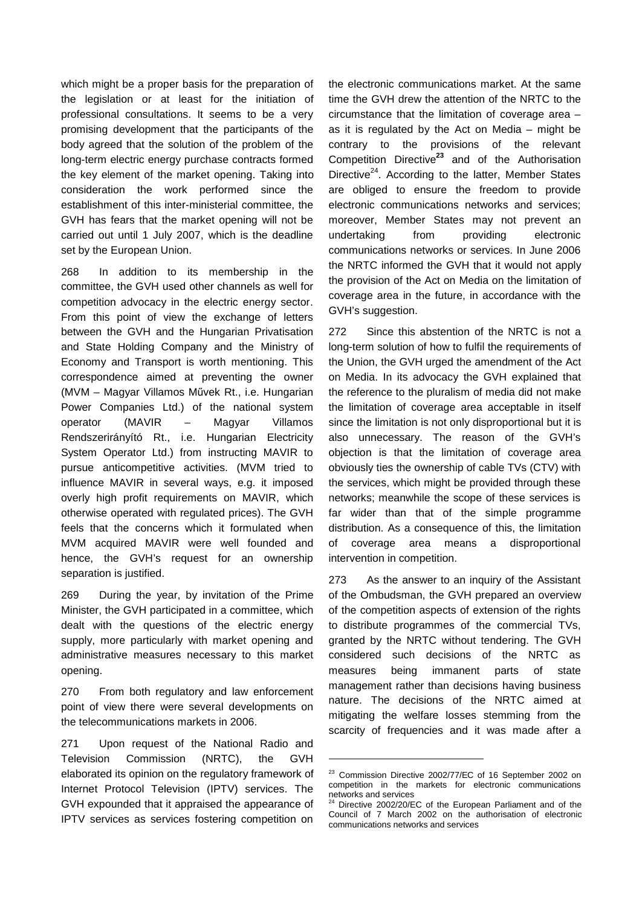which might be a proper basis for the preparation of the legislation or at least for the initiation of professional consultations. It seems to be a very promising development that the participants of the body agreed that the solution of the problem of the long-term electric energy purchase contracts formed the key element of the market opening. Taking into consideration the work performed since the establishment of this inter-ministerial committee, the GVH has fears that the market opening will not be carried out until 1 July 2007, which is the deadline set by the European Union.

268 In addition to its membership in the committee, the GVH used other channels as well for competition advocacy in the electric energy sector. From this point of view the exchange of letters between the GVH and the Hungarian Privatisation and State Holding Company and the Ministry of Economy and Transport is worth mentioning. This correspondence aimed at preventing the owner (MVM – Magyar Villamos Művek Rt., i.e. Hungarian Power Companies Ltd.) of the national system operator (MAVIR – Magyar Villamos Rendszerirányító Rt., i.e. Hungarian Electricity System Operator Ltd.) from instructing MAVIR to pursue anticompetitive activities. (MVM tried to influence MAVIR in several ways, e.g. it imposed overly high profit requirements on MAVIR, which otherwise operated with regulated prices). The GVH feels that the concerns which it formulated when MVM acquired MAVIR were well founded and hence, the GVH's request for an ownership separation is justified.

269 During the year, by invitation of the Prime Minister, the GVH participated in a committee, which dealt with the questions of the electric energy supply, more particularly with market opening and administrative measures necessary to this market opening.

270 From both regulatory and law enforcement point of view there were several developments on the telecommunications markets in 2006.

271 Upon request of the National Radio and Television Commission (NRTC), the GVH elaborated its opinion on the regulatory framework of Internet Protocol Television (IPTV) services. The GVH expounded that it appraised the appearance of IPTV services as services fostering competition on

the electronic communications market. At the same time the GVH drew the attention of the NRTC to the circumstance that the limitation of coverage area – as it is regulated by the Act on Media – might be contrary to the provisions of the relevant Competition Directive**<sup>23</sup>** and of the Authorisation Directive $^{24}$ . According to the latter, Member States are obliged to ensure the freedom to provide electronic communications networks and services; moreover, Member States may not prevent an undertaking from providing electronic communications networks or services. In June 2006 the NRTC informed the GVH that it would not apply the provision of the Act on Media on the limitation of coverage area in the future, in accordance with the GVH's suggestion.

272 Since this abstention of the NRTC is not a long-term solution of how to fulfil the requirements of the Union, the GVH urged the amendment of the Act on Media. In its advocacy the GVH explained that the reference to the pluralism of media did not make the limitation of coverage area acceptable in itself since the limitation is not only disproportional but it is also unnecessary. The reason of the GVH's objection is that the limitation of coverage area obviously ties the ownership of cable TVs (CTV) with the services, which might be provided through these networks; meanwhile the scope of these services is far wider than that of the simple programme distribution. As a consequence of this, the limitation of coverage area means a disproportional intervention in competition.

273 As the answer to an inquiry of the Assistant of the Ombudsman, the GVH prepared an overview of the competition aspects of extension of the rights to distribute programmes of the commercial TVs, granted by the NRTC without tendering. The GVH considered such decisions of the NRTC as measures being immanent parts of state management rather than decisions having business nature. The decisions of the NRTC aimed at mitigating the welfare losses stemming from the scarcity of frequencies and it was made after a

-

<sup>&</sup>lt;sup>23</sup> Commission Directive 2002/77/EC of 16 September 2002 on competition in the markets for electronic communications  $n = 10$ <br>networks and services

Directive 2002/20/EC of the European Parliament and of the Council of 7 March 2002 on the authorisation of electronic communications networks and services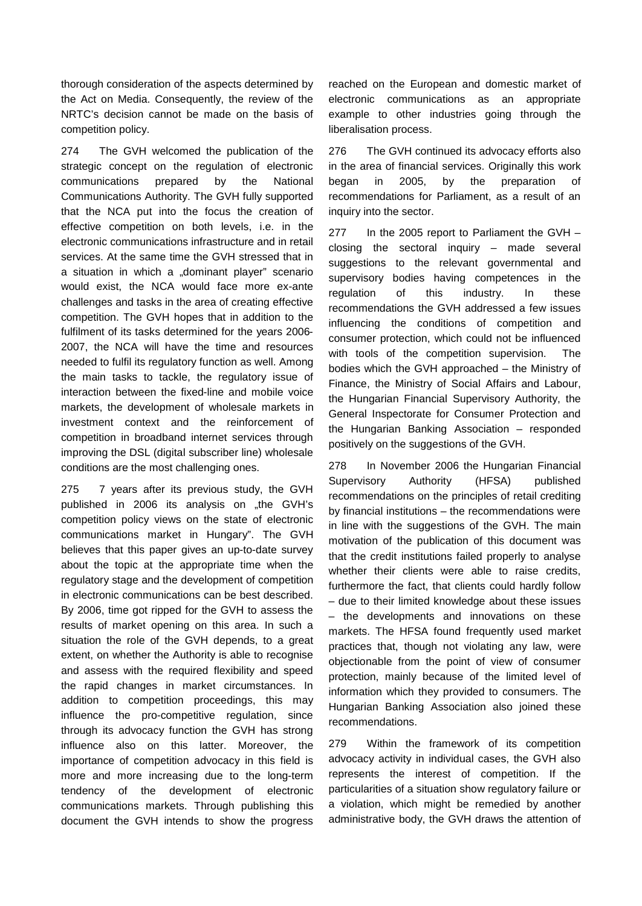thorough consideration of the aspects determined by the Act on Media. Consequently, the review of the NRTC's decision cannot be made on the basis of competition policy.

274 The GVH welcomed the publication of the strategic concept on the regulation of electronic communications prepared by the National Communications Authority. The GVH fully supported that the NCA put into the focus the creation of effective competition on both levels, i.e. in the electronic communications infrastructure and in retail services. At the same time the GVH stressed that in a situation in which a "dominant player" scenario would exist, the NCA would face more ex-ante challenges and tasks in the area of creating effective competition. The GVH hopes that in addition to the fulfilment of its tasks determined for the years 2006- 2007, the NCA will have the time and resources needed to fulfil its regulatory function as well. Among the main tasks to tackle, the regulatory issue of interaction between the fixed-line and mobile voice markets, the development of wholesale markets in investment context and the reinforcement of competition in broadband internet services through improving the DSL (digital subscriber line) wholesale conditions are the most challenging ones.

275 7 years after its previous study, the GVH published in 2006 its analysis on "the GVH's competition policy views on the state of electronic communications market in Hungary". The GVH believes that this paper gives an up-to-date survey about the topic at the appropriate time when the regulatory stage and the development of competition in electronic communications can be best described. By 2006, time got ripped for the GVH to assess the results of market opening on this area. In such a situation the role of the GVH depends, to a great extent, on whether the Authority is able to recognise and assess with the required flexibility and speed the rapid changes in market circumstances. In addition to competition proceedings, this may influence the pro-competitive regulation, since through its advocacy function the GVH has strong influence also on this latter. Moreover, the importance of competition advocacy in this field is more and more increasing due to the long-term tendency of the development of electronic communications markets. Through publishing this document the GVH intends to show the progress

reached on the European and domestic market of electronic communications as an appropriate example to other industries going through the liberalisation process.

276 The GVH continued its advocacy efforts also in the area of financial services. Originally this work began in 2005, by the preparation of recommendations for Parliament, as a result of an inquiry into the sector.

277 In the 2005 report to Parliament the GVH – closing the sectoral inquiry – made several suggestions to the relevant governmental and supervisory bodies having competences in the regulation of this industry. In these recommendations the GVH addressed a few issues influencing the conditions of competition and consumer protection, which could not be influenced with tools of the competition supervision. The bodies which the GVH approached – the Ministry of Finance, the Ministry of Social Affairs and Labour, the Hungarian Financial Supervisory Authority, the General Inspectorate for Consumer Protection and the Hungarian Banking Association – responded positively on the suggestions of the GVH.

278 In November 2006 the Hungarian Financial Supervisory Authority (HFSA) published recommendations on the principles of retail crediting by financial institutions – the recommendations were in line with the suggestions of the GVH. The main motivation of the publication of this document was that the credit institutions failed properly to analyse whether their clients were able to raise credits, furthermore the fact, that clients could hardly follow – due to their limited knowledge about these issues – the developments and innovations on these markets. The HFSA found frequently used market practices that, though not violating any law, were objectionable from the point of view of consumer protection, mainly because of the limited level of information which they provided to consumers. The Hungarian Banking Association also joined these recommendations.

279 Within the framework of its competition advocacy activity in individual cases, the GVH also represents the interest of competition. If the particularities of a situation show regulatory failure or a violation, which might be remedied by another administrative body, the GVH draws the attention of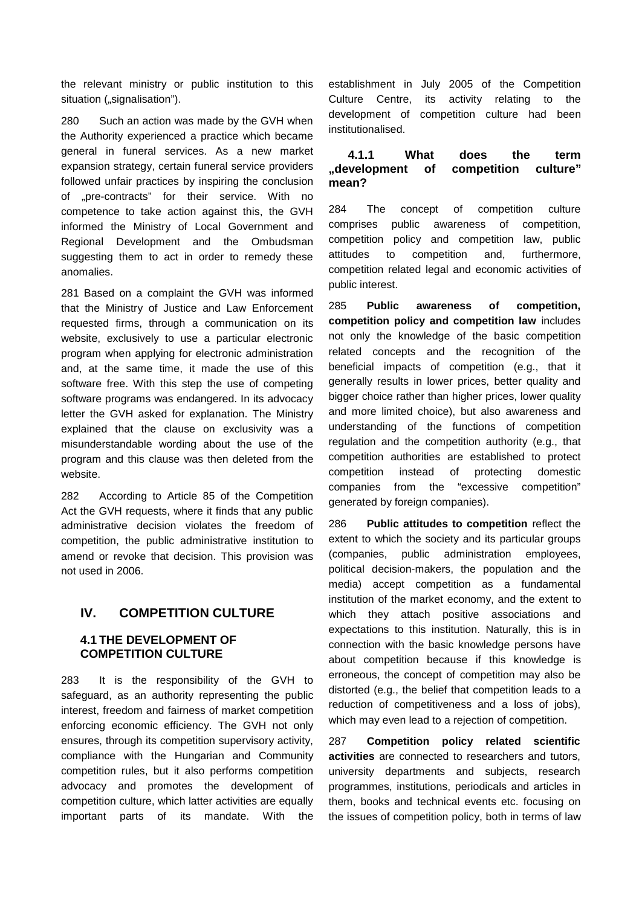the relevant ministry or public institution to this situation ("signalisation").

280 Such an action was made by the GVH when the Authority experienced a practice which became general in funeral services. As a new market expansion strategy, certain funeral service providers followed unfair practices by inspiring the conclusion of "pre-contracts" for their service. With no competence to take action against this, the GVH informed the Ministry of Local Government and Regional Development and the Ombudsman suggesting them to act in order to remedy these anomalies.

281 Based on a complaint the GVH was informed that the Ministry of Justice and Law Enforcement requested firms, through a communication on its website, exclusively to use a particular electronic program when applying for electronic administration and, at the same time, it made the use of this software free. With this step the use of competing software programs was endangered. In its advocacy letter the GVH asked for explanation. The Ministry explained that the clause on exclusivity was a misunderstandable wording about the use of the program and this clause was then deleted from the website.

282 According to Article 85 of the Competition Act the GVH requests, where it finds that any public administrative decision violates the freedom of competition, the public administrative institution to amend or revoke that decision. This provision was not used in 2006.

### **IV. COMPETITION CULTURE**

### **4.1 THE DEVELOPMENT OF COMPETITION CULTURE**

283 It is the responsibility of the GVH to safeguard, as an authority representing the public interest, freedom and fairness of market competition enforcing economic efficiency. The GVH not only ensures, through its competition supervisory activity, compliance with the Hungarian and Community competition rules, but it also performs competition advocacy and promotes the development of competition culture, which latter activities are equally important parts of its mandate. With the

establishment in July 2005 of the Competition Culture Centre, its activity relating to the development of competition culture had been institutionalised.

#### **4.1.1 What does the term "development of competition culture" mean?**

284 The concept of competition culture comprises public awareness of competition, competition policy and competition law, public attitudes to competition and, furthermore, competition related legal and economic activities of public interest.

285 **Public awareness of competition, competition policy and competition law** includes not only the knowledge of the basic competition related concepts and the recognition of the beneficial impacts of competition (e.g., that it generally results in lower prices, better quality and bigger choice rather than higher prices, lower quality and more limited choice), but also awareness and understanding of the functions of competition regulation and the competition authority (e.g., that competition authorities are established to protect competition instead of protecting domestic companies from the "excessive competition" generated by foreign companies).

286 **Public attitudes to competition** reflect the extent to which the society and its particular groups (companies, public administration employees, political decision-makers, the population and the media) accept competition as a fundamental institution of the market economy, and the extent to which they attach positive associations and expectations to this institution. Naturally, this is in connection with the basic knowledge persons have about competition because if this knowledge is erroneous, the concept of competition may also be distorted (e.g., the belief that competition leads to a reduction of competitiveness and a loss of jobs), which may even lead to a rejection of competition.

287 **Competition policy related scientific activities** are connected to researchers and tutors, university departments and subjects, research programmes, institutions, periodicals and articles in them, books and technical events etc. focusing on the issues of competition policy, both in terms of law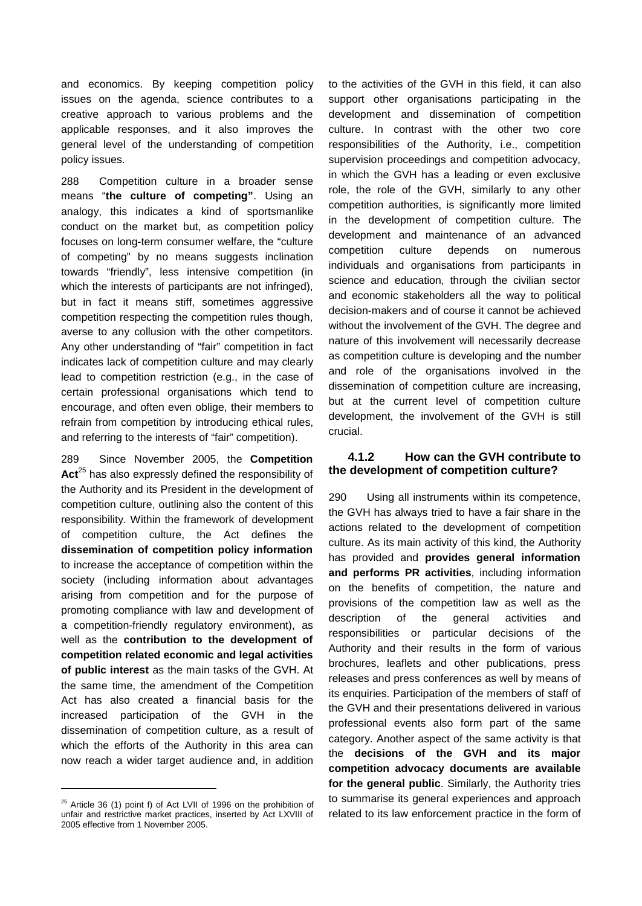and economics. By keeping competition policy issues on the agenda, science contributes to a creative approach to various problems and the applicable responses, and it also improves the general level of the understanding of competition policy issues.

288 Competition culture in a broader sense means "**the culture of competing"**. Using an analogy, this indicates a kind of sportsmanlike conduct on the market but, as competition policy focuses on long-term consumer welfare, the "culture of competing" by no means suggests inclination towards "friendly", less intensive competition (in which the interests of participants are not infringed), but in fact it means stiff, sometimes aggressive competition respecting the competition rules though, averse to any collusion with the other competitors. Any other understanding of "fair" competition in fact indicates lack of competition culture and may clearly lead to competition restriction (e.g., in the case of certain professional organisations which tend to encourage, and often even oblige, their members to refrain from competition by introducing ethical rules, and referring to the interests of "fair" competition).

289 Since November 2005, the **Competition**  Act<sup>25</sup> has also expressly defined the responsibility of the Authority and its President in the development of competition culture, outlining also the content of this responsibility. Within the framework of development of competition culture, the Act defines the **dissemination of competition policy information** to increase the acceptance of competition within the society (including information about advantages arising from competition and for the purpose of promoting compliance with law and development of a competition-friendly regulatory environment), as well as the **contribution to the development of competition related economic and legal activities of public interest** as the main tasks of the GVH. At the same time, the amendment of the Competition Act has also created a financial basis for the increased participation of the GVH in the dissemination of competition culture, as a result of which the efforts of the Authority in this area can now reach a wider target audience and, in addition

l

to the activities of the GVH in this field, it can also support other organisations participating in the development and dissemination of competition culture. In contrast with the other two core responsibilities of the Authority, i.e., competition supervision proceedings and competition advocacy, in which the GVH has a leading or even exclusive role, the role of the GVH, similarly to any other competition authorities, is significantly more limited in the development of competition culture. The development and maintenance of an advanced competition culture depends on numerous individuals and organisations from participants in science and education, through the civilian sector and economic stakeholders all the way to political decision-makers and of course it cannot be achieved without the involvement of the GVH. The degree and nature of this involvement will necessarily decrease as competition culture is developing and the number and role of the organisations involved in the dissemination of competition culture are increasing, but at the current level of competition culture development, the involvement of the GVH is still crucial.

### **4.1.2 How can the GVH contribute to the development of competition culture?**

290 Using all instruments within its competence, the GVH has always tried to have a fair share in the actions related to the development of competition culture. As its main activity of this kind, the Authority has provided and **provides general information and performs PR activities**, including information on the benefits of competition, the nature and provisions of the competition law as well as the description of the general activities and responsibilities or particular decisions of the Authority and their results in the form of various brochures, leaflets and other publications, press releases and press conferences as well by means of its enquiries. Participation of the members of staff of the GVH and their presentations delivered in various professional events also form part of the same category. Another aspect of the same activity is that the **decisions of the GVH and its major competition advocacy documents are available for the general public**. Similarly, the Authority tries to summarise its general experiences and approach related to its law enforcement practice in the form of

 $25$  Article 36 (1) point f) of Act LVII of 1996 on the prohibition of unfair and restrictive market practices, inserted by Act LXVIII of 2005 effective from 1 November 2005.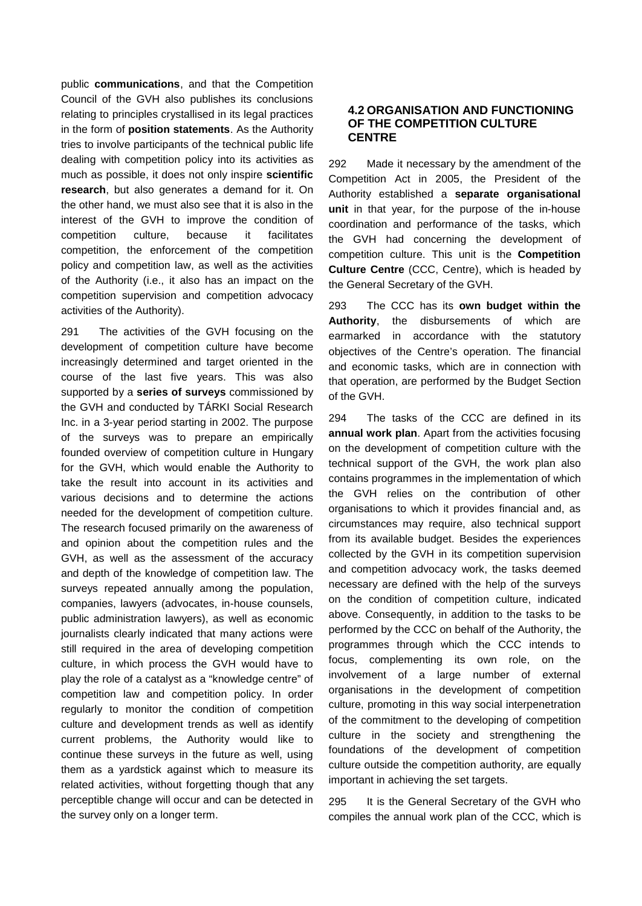public **communications**, and that the Competition Council of the GVH also publishes its conclusions relating to principles crystallised in its legal practices in the form of **position statements**. As the Authority tries to involve participants of the technical public life dealing with competition policy into its activities as much as possible, it does not only inspire **scientific research**, but also generates a demand for it. On the other hand, we must also see that it is also in the interest of the GVH to improve the condition of competition culture, because it facilitates competition, the enforcement of the competition policy and competition law, as well as the activities of the Authority (i.e., it also has an impact on the competition supervision and competition advocacy activities of the Authority).

291 The activities of the GVH focusing on the development of competition culture have become increasingly determined and target oriented in the course of the last five years. This was also supported by a **series of surveys** commissioned by the GVH and conducted by TÁRKI Social Research Inc. in a 3-year period starting in 2002. The purpose of the surveys was to prepare an empirically founded overview of competition culture in Hungary for the GVH, which would enable the Authority to take the result into account in its activities and various decisions and to determine the actions needed for the development of competition culture. The research focused primarily on the awareness of and opinion about the competition rules and the GVH, as well as the assessment of the accuracy and depth of the knowledge of competition law. The surveys repeated annually among the population, companies, lawyers (advocates, in-house counsels, public administration lawyers), as well as economic journalists clearly indicated that many actions were still required in the area of developing competition culture, in which process the GVH would have to play the role of a catalyst as a "knowledge centre" of competition law and competition policy. In order regularly to monitor the condition of competition culture and development trends as well as identify current problems, the Authority would like to continue these surveys in the future as well, using them as a yardstick against which to measure its related activities, without forgetting though that any perceptible change will occur and can be detected in the survey only on a longer term.

#### **4.2 ORGANISATION AND FUNCTIONING OF THE COMPETITION CULTURE CENTRE**

292 Made it necessary by the amendment of the Competition Act in 2005, the President of the Authority established a **separate organisational unit** in that year, for the purpose of the in-house coordination and performance of the tasks, which the GVH had concerning the development of competition culture. This unit is the **Competition Culture Centre** (CCC, Centre), which is headed by the General Secretary of the GVH.

293 The CCC has its **own budget within the Authority**, the disbursements of which are earmarked in accordance with the statutory objectives of the Centre's operation. The financial and economic tasks, which are in connection with that operation, are performed by the Budget Section of the GVH.

294 The tasks of the CCC are defined in its **annual work plan**. Apart from the activities focusing on the development of competition culture with the technical support of the GVH, the work plan also contains programmes in the implementation of which the GVH relies on the contribution of other organisations to which it provides financial and, as circumstances may require, also technical support from its available budget. Besides the experiences collected by the GVH in its competition supervision and competition advocacy work, the tasks deemed necessary are defined with the help of the surveys on the condition of competition culture, indicated above. Consequently, in addition to the tasks to be performed by the CCC on behalf of the Authority, the programmes through which the CCC intends to focus, complementing its own role, on the involvement of a large number of external organisations in the development of competition culture, promoting in this way social interpenetration of the commitment to the developing of competition culture in the society and strengthening the foundations of the development of competition culture outside the competition authority, are equally important in achieving the set targets.

295 It is the General Secretary of the GVH who compiles the annual work plan of the CCC, which is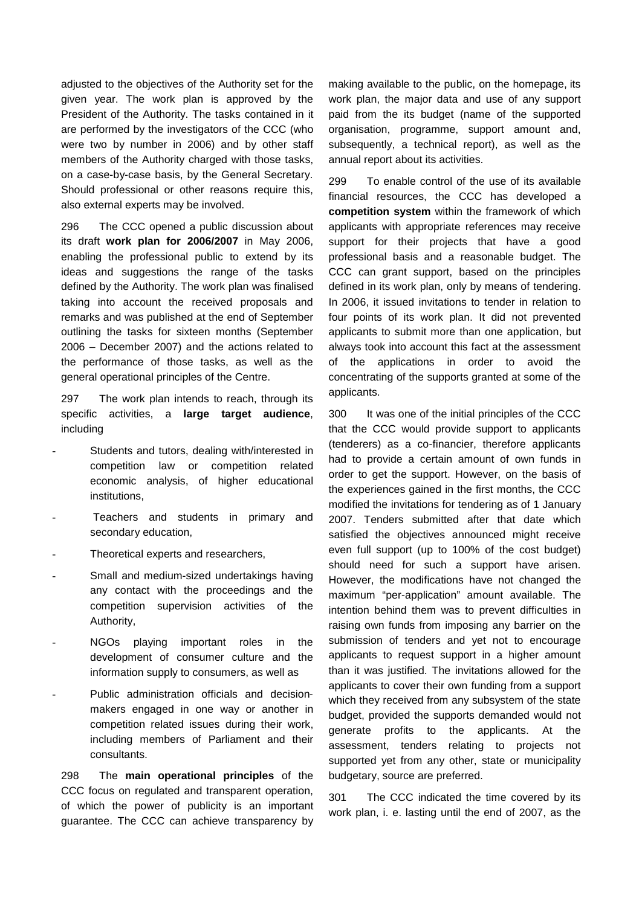adjusted to the objectives of the Authority set for the given year. The work plan is approved by the President of the Authority. The tasks contained in it are performed by the investigators of the CCC (who were two by number in 2006) and by other staff members of the Authority charged with those tasks, on a case-by-case basis, by the General Secretary. Should professional or other reasons require this, also external experts may be involved.

296 The CCC opened a public discussion about its draft **work plan for 2006/2007** in May 2006, enabling the professional public to extend by its ideas and suggestions the range of the tasks defined by the Authority. The work plan was finalised taking into account the received proposals and remarks and was published at the end of September outlining the tasks for sixteen months (September 2006 – December 2007) and the actions related to the performance of those tasks, as well as the general operational principles of the Centre.

297 The work plan intends to reach, through its specific activities, a **large target audience**, including

- Students and tutors, dealing with/interested in competition law or competition related economic analysis, of higher educational institutions,
- Teachers and students in primary and secondary education,
- Theoretical experts and researchers,
- Small and medium-sized undertakings having any contact with the proceedings and the competition supervision activities of the Authority,
- NGOs playing important roles in the development of consumer culture and the information supply to consumers, as well as
- Public administration officials and decisionmakers engaged in one way or another in competition related issues during their work, including members of Parliament and their consultants.

298 The **main operational principles** of the CCC focus on regulated and transparent operation, of which the power of publicity is an important guarantee. The CCC can achieve transparency by

making available to the public, on the homepage, its work plan, the major data and use of any support paid from the its budget (name of the supported organisation, programme, support amount and, subsequently, a technical report), as well as the annual report about its activities.

299 To enable control of the use of its available financial resources, the CCC has developed a **competition system** within the framework of which applicants with appropriate references may receive support for their projects that have a good professional basis and a reasonable budget. The CCC can grant support, based on the principles defined in its work plan, only by means of tendering. In 2006, it issued invitations to tender in relation to four points of its work plan. It did not prevented applicants to submit more than one application, but always took into account this fact at the assessment of the applications in order to avoid the concentrating of the supports granted at some of the applicants.

300 It was one of the initial principles of the CCC that the CCC would provide support to applicants (tenderers) as a co-financier, therefore applicants had to provide a certain amount of own funds in order to get the support. However, on the basis of the experiences gained in the first months, the CCC modified the invitations for tendering as of 1 January 2007. Tenders submitted after that date which satisfied the objectives announced might receive even full support (up to 100% of the cost budget) should need for such a support have arisen. However, the modifications have not changed the maximum "per-application" amount available. The intention behind them was to prevent difficulties in raising own funds from imposing any barrier on the submission of tenders and yet not to encourage applicants to request support in a higher amount than it was justified. The invitations allowed for the applicants to cover their own funding from a support which they received from any subsystem of the state budget, provided the supports demanded would not generate profits to the applicants. At the assessment, tenders relating to projects not supported yet from any other, state or municipality budgetary, source are preferred.

301 The CCC indicated the time covered by its work plan, i. e. lasting until the end of 2007, as the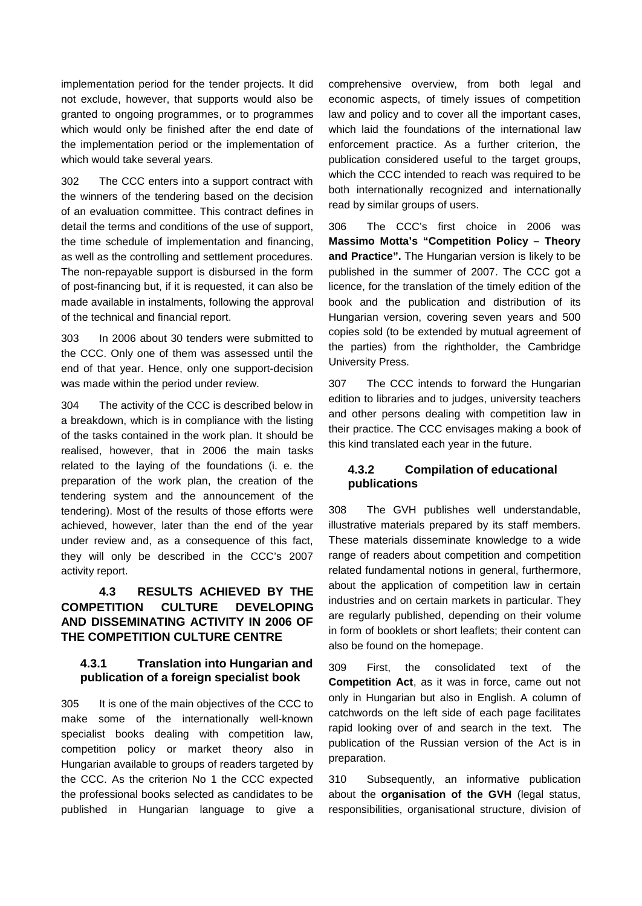implementation period for the tender projects. It did not exclude, however, that supports would also be granted to ongoing programmes, or to programmes which would only be finished after the end date of the implementation period or the implementation of which would take several years.

302 The CCC enters into a support contract with the winners of the tendering based on the decision of an evaluation committee. This contract defines in detail the terms and conditions of the use of support, the time schedule of implementation and financing, as well as the controlling and settlement procedures. The non-repayable support is disbursed in the form of post-financing but, if it is requested, it can also be made available in instalments, following the approval of the technical and financial report.

303 In 2006 about 30 tenders were submitted to the CCC. Only one of them was assessed until the end of that year. Hence, only one support-decision was made within the period under review.

304 The activity of the CCC is described below in a breakdown, which is in compliance with the listing of the tasks contained in the work plan. It should be realised, however, that in 2006 the main tasks related to the laying of the foundations (i. e. the preparation of the work plan, the creation of the tendering system and the announcement of the tendering). Most of the results of those efforts were achieved, however, later than the end of the year under review and, as a consequence of this fact, they will only be described in the CCC's 2007 activity report.

# **4.3 RESULTS ACHIEVED BY THE COMPETITION CULTURE DEVELOPING AND DISSEMINATING ACTIVITY IN 2006 OF THE COMPETITION CULTURE CENTRE**

### **4.3.1 Translation into Hungarian and publication of a foreign specialist book**

305 It is one of the main objectives of the CCC to make some of the internationally well-known specialist books dealing with competition law, competition policy or market theory also in Hungarian available to groups of readers targeted by the CCC. As the criterion No 1 the CCC expected the professional books selected as candidates to be published in Hungarian language to give a

comprehensive overview, from both legal and economic aspects, of timely issues of competition law and policy and to cover all the important cases, which laid the foundations of the international law enforcement practice. As a further criterion, the publication considered useful to the target groups, which the CCC intended to reach was required to be both internationally recognized and internationally read by similar groups of users.

306 The CCC's first choice in 2006 was **Massimo Motta's "Competition Policy – Theory and Practice".** The Hungarian version is likely to be published in the summer of 2007. The CCC got a licence, for the translation of the timely edition of the book and the publication and distribution of its Hungarian version, covering seven years and 500 copies sold (to be extended by mutual agreement of the parties) from the rightholder, the Cambridge University Press.

307 The CCC intends to forward the Hungarian edition to libraries and to judges, university teachers and other persons dealing with competition law in their practice. The CCC envisages making a book of this kind translated each year in the future.

### **4.3.2 Compilation of educational publications**

308 The GVH publishes well understandable, illustrative materials prepared by its staff members. These materials disseminate knowledge to a wide range of readers about competition and competition related fundamental notions in general, furthermore, about the application of competition law in certain industries and on certain markets in particular. They are regularly published, depending on their volume in form of booklets or short leaflets; their content can also be found on the homepage.

309 First, the consolidated text of the **Competition Act**, as it was in force, came out not only in Hungarian but also in English. A column of catchwords on the left side of each page facilitates rapid looking over of and search in the text. The publication of the Russian version of the Act is in preparation.

310 Subsequently, an informative publication about the **organisation of the GVH** (legal status, responsibilities, organisational structure, division of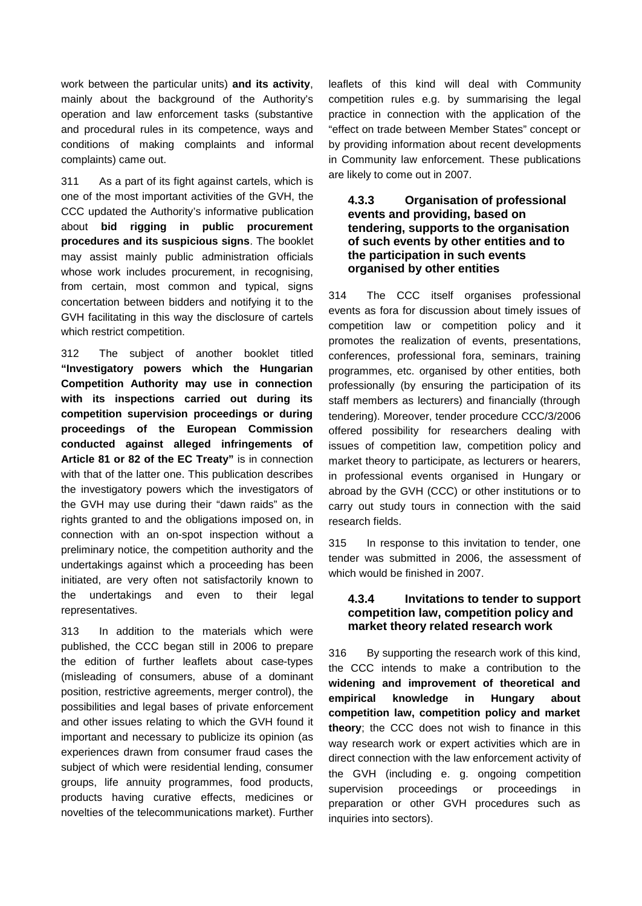work between the particular units) **and its activity**, mainly about the background of the Authority's operation and law enforcement tasks (substantive and procedural rules in its competence, ways and conditions of making complaints and informal complaints) came out.

311 As a part of its fight against cartels, which is one of the most important activities of the GVH, the CCC updated the Authority's informative publication about **bid rigging in public procurement procedures and its suspicious signs**. The booklet may assist mainly public administration officials whose work includes procurement, in recognising, from certain, most common and typical, signs concertation between bidders and notifying it to the GVH facilitating in this way the disclosure of cartels which restrict competition.

312 The subject of another booklet titled **"Investigatory powers which the Hungarian Competition Authority may use in connection with its inspections carried out during its competition supervision proceedings or during proceedings of the European Commission conducted against alleged infringements of Article 81 or 82 of the EC Treaty"** is in connection with that of the latter one. This publication describes the investigatory powers which the investigators of the GVH may use during their "dawn raids" as the rights granted to and the obligations imposed on, in connection with an on-spot inspection without a preliminary notice, the competition authority and the undertakings against which a proceeding has been initiated, are very often not satisfactorily known to the undertakings and even to their legal representatives.

313 In addition to the materials which were published, the CCC began still in 2006 to prepare the edition of further leaflets about case-types (misleading of consumers, abuse of a dominant position, restrictive agreements, merger control), the possibilities and legal bases of private enforcement and other issues relating to which the GVH found it important and necessary to publicize its opinion (as experiences drawn from consumer fraud cases the subject of which were residential lending, consumer groups, life annuity programmes, food products, products having curative effects, medicines or novelties of the telecommunications market). Further

leaflets of this kind will deal with Community competition rules e.g. by summarising the legal practice in connection with the application of the "effect on trade between Member States" concept or by providing information about recent developments in Community law enforcement. These publications are likely to come out in 2007.

#### **4.3.3 Organisation of professional events and providing, based on tendering, supports to the organisation of such events by other entities and to the participation in such events organised by other entities**

314 The CCC itself organises professional events as fora for discussion about timely issues of competition law or competition policy and it promotes the realization of events, presentations, conferences, professional fora, seminars, training programmes, etc. organised by other entities, both professionally (by ensuring the participation of its staff members as lecturers) and financially (through tendering). Moreover, tender procedure CCC/3/2006 offered possibility for researchers dealing with issues of competition law, competition policy and market theory to participate, as lecturers or hearers, in professional events organised in Hungary or abroad by the GVH (CCC) or other institutions or to carry out study tours in connection with the said research fields.

315 In response to this invitation to tender, one tender was submitted in 2006, the assessment of which would be finished in 2007.

#### **4.3.4 Invitations to tender to support competition law, competition policy and market theory related research work**

316 By supporting the research work of this kind, the CCC intends to make a contribution to the **widening and improvement of theoretical and empirical knowledge in Hungary about competition law, competition policy and market theory**; the CCC does not wish to finance in this way research work or expert activities which are in direct connection with the law enforcement activity of the GVH (including e. g. ongoing competition supervision proceedings or proceedings in preparation or other GVH procedures such as inquiries into sectors).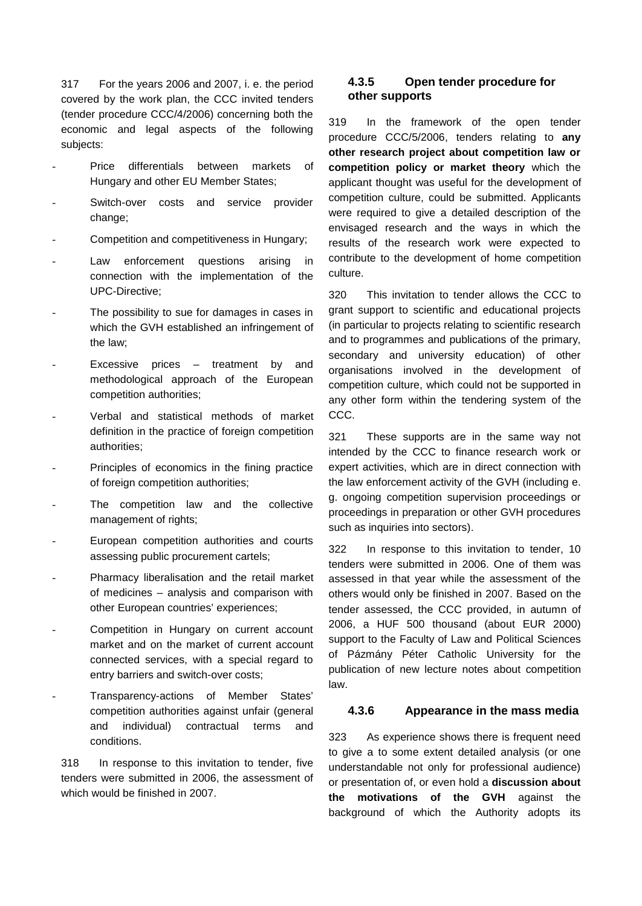317 For the years 2006 and 2007, i. e. the period covered by the work plan, the CCC invited tenders (tender procedure CCC/4/2006) concerning both the economic and legal aspects of the following subjects:

- Price differentials between markets of Hungary and other EU Member States;
- Switch-over costs and service provider change;
- Competition and competitiveness in Hungary;
- Law enforcement questions arising in connection with the implementation of the UPC-Directive;
- The possibility to sue for damages in cases in which the GVH established an infringement of the law;
- Excessive prices  $-$  treatment by and methodological approach of the European competition authorities;
- Verbal and statistical methods of market definition in the practice of foreign competition authorities;
- Principles of economics in the fining practice of foreign competition authorities;
- The competition law and the collective management of rights;
- European competition authorities and courts assessing public procurement cartels;
- Pharmacy liberalisation and the retail market of medicines – analysis and comparison with other European countries' experiences;
- Competition in Hungary on current account market and on the market of current account connected services, with a special regard to entry barriers and switch-over costs;
- Transparency-actions of Member States' competition authorities against unfair (general and individual) contractual terms and conditions.

318 In response to this invitation to tender, five tenders were submitted in 2006, the assessment of which would be finished in 2007.

### **4.3.5 Open tender procedure for other supports**

319 In the framework of the open tender procedure CCC/5/2006, tenders relating to **any other research project about competition law or competition policy or market theory** which the applicant thought was useful for the development of competition culture, could be submitted. Applicants were required to give a detailed description of the envisaged research and the ways in which the results of the research work were expected to contribute to the development of home competition culture.

320 This invitation to tender allows the CCC to grant support to scientific and educational projects (in particular to projects relating to scientific research and to programmes and publications of the primary, secondary and university education) of other organisations involved in the development of competition culture, which could not be supported in any other form within the tendering system of the CCC.

321 These supports are in the same way not intended by the CCC to finance research work or expert activities, which are in direct connection with the law enforcement activity of the GVH (including e. g. ongoing competition supervision proceedings or proceedings in preparation or other GVH procedures such as inquiries into sectors).

322 In response to this invitation to tender, 10 tenders were submitted in 2006. One of them was assessed in that year while the assessment of the others would only be finished in 2007. Based on the tender assessed, the CCC provided, in autumn of 2006, a HUF 500 thousand (about EUR 2000) support to the Faculty of Law and Political Sciences of Pázmány Péter Catholic University for the publication of new lecture notes about competition law.

#### **4.3.6 Appearance in the mass media**

323 As experience shows there is frequent need to give a to some extent detailed analysis (or one understandable not only for professional audience) or presentation of, or even hold a **discussion about the motivations of the GVH** against the background of which the Authority adopts its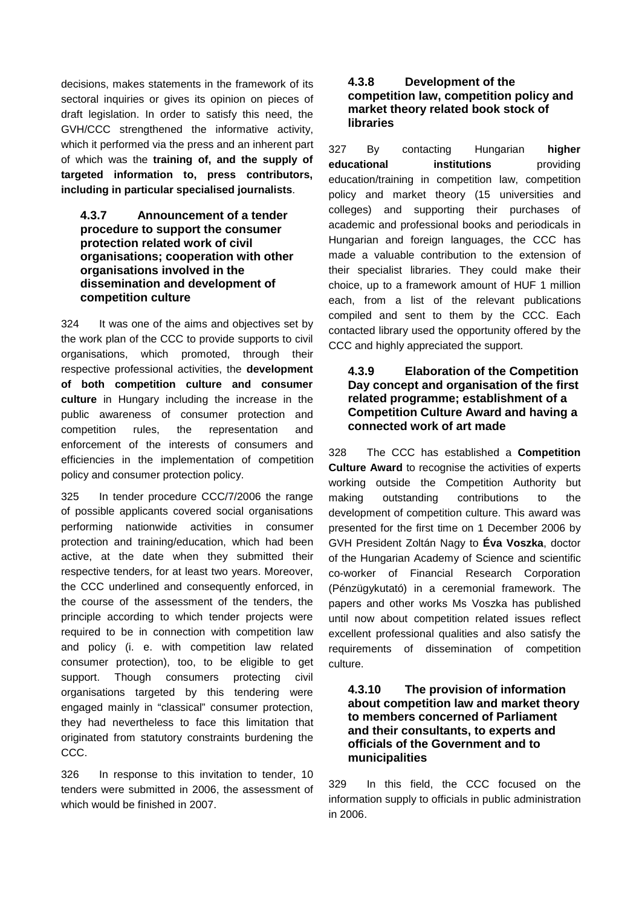decisions, makes statements in the framework of its sectoral inquiries or gives its opinion on pieces of draft legislation. In order to satisfy this need, the GVH/CCC strengthened the informative activity, which it performed via the press and an inherent part of which was the **training of, and the supply of targeted information to, press contributors, including in particular specialised journalists**.

#### **4.3.7 Announcement of a tender procedure to support the consumer protection related work of civil organisations; cooperation with other organisations involved in the dissemination and development of competition culture**

324 It was one of the aims and objectives set by the work plan of the CCC to provide supports to civil organisations, which promoted, through their respective professional activities, the **development of both competition culture and consumer culture** in Hungary including the increase in the public awareness of consumer protection and competition rules, the representation and enforcement of the interests of consumers and efficiencies in the implementation of competition policy and consumer protection policy.

325 In tender procedure CCC/7/2006 the range of possible applicants covered social organisations performing nationwide activities in consumer protection and training/education, which had been active, at the date when they submitted their respective tenders, for at least two years. Moreover, the CCC underlined and consequently enforced, in the course of the assessment of the tenders, the principle according to which tender projects were required to be in connection with competition law and policy (i. e. with competition law related consumer protection), too, to be eligible to get support. Though consumers protecting civil organisations targeted by this tendering were engaged mainly in "classical" consumer protection, they had nevertheless to face this limitation that originated from statutory constraints burdening the CCC.

326 In response to this invitation to tender, 10 tenders were submitted in 2006, the assessment of which would be finished in 2007.

### **4.3.8 Development of the competition law, competition policy and market theory related book stock of libraries**

327 By contacting Hungarian **higher educational institutions** providing education/training in competition law, competition policy and market theory (15 universities and colleges) and supporting their purchases of academic and professional books and periodicals in Hungarian and foreign languages, the CCC has made a valuable contribution to the extension of their specialist libraries. They could make their choice, up to a framework amount of HUF 1 million each, from a list of the relevant publications compiled and sent to them by the CCC. Each contacted library used the opportunity offered by the CCC and highly appreciated the support.

### **4.3.9 Elaboration of the Competition Day concept and organisation of the first related programme; establishment of a Competition Culture Award and having a connected work of art made**

328 The CCC has established a **Competition Culture Award** to recognise the activities of experts working outside the Competition Authority but making outstanding contributions to the development of competition culture. This award was presented for the first time on 1 December 2006 by GVH President Zoltán Nagy to **Éva Voszka**, doctor of the Hungarian Academy of Science and scientific co-worker of Financial Research Corporation (Pénzügykutató) in a ceremonial framework. The papers and other works Ms Voszka has published until now about competition related issues reflect excellent professional qualities and also satisfy the requirements of dissemination of competition culture.

### **4.3.10 The provision of information about competition law and market theory to members concerned of Parliament and their consultants, to experts and officials of the Government and to municipalities**

329 In this field, the CCC focused on the information supply to officials in public administration in 2006.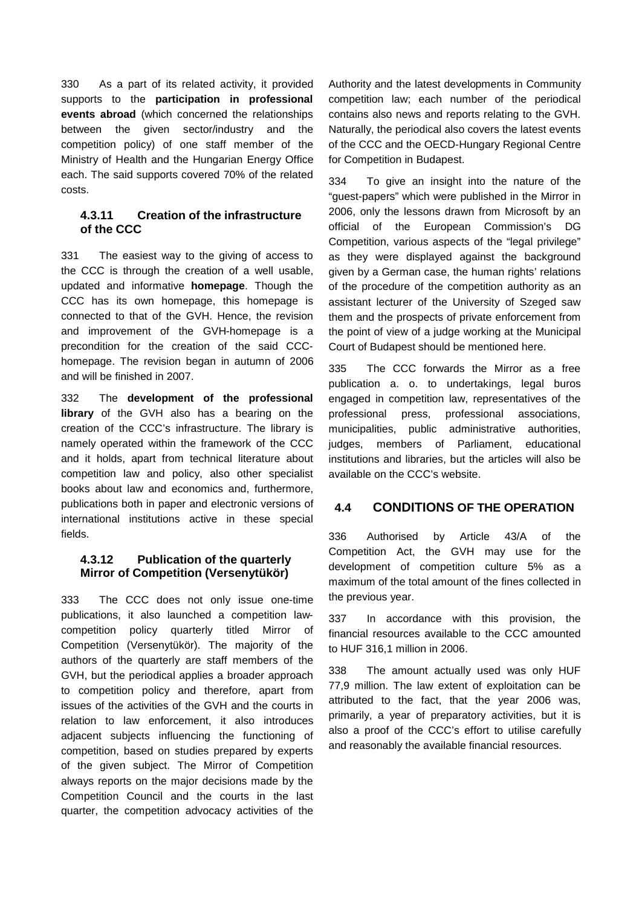330 As a part of its related activity, it provided supports to the **participation in professional events abroad** (which concerned the relationships between the given sector/industry and the competition policy) of one staff member of the Ministry of Health and the Hungarian Energy Office each. The said supports covered 70% of the related costs.

### **4.3.11 Creation of the infrastructure of the CCC**

331 The easiest way to the giving of access to the CCC is through the creation of a well usable, updated and informative **homepage**. Though the CCC has its own homepage, this homepage is connected to that of the GVH. Hence, the revision and improvement of the GVH-homepage is a precondition for the creation of the said CCChomepage. The revision began in autumn of 2006 and will be finished in 2007.

332 The **development of the professional library** of the GVH also has a bearing on the creation of the CCC's infrastructure. The library is namely operated within the framework of the CCC and it holds, apart from technical literature about competition law and policy, also other specialist books about law and economics and, furthermore, publications both in paper and electronic versions of international institutions active in these special fields.

### **4.3.12 Publication of the quarterly Mirror of Competition (Versenytükör)**

333 The CCC does not only issue one-time publications, it also launched a competition lawcompetition policy quarterly titled Mirror of Competition (Versenytükör). The majority of the authors of the quarterly are staff members of the GVH, but the periodical applies a broader approach to competition policy and therefore, apart from issues of the activities of the GVH and the courts in relation to law enforcement, it also introduces adjacent subjects influencing the functioning of competition, based on studies prepared by experts of the given subject. The Mirror of Competition always reports on the major decisions made by the Competition Council and the courts in the last quarter, the competition advocacy activities of the

Authority and the latest developments in Community competition law; each number of the periodical contains also news and reports relating to the GVH. Naturally, the periodical also covers the latest events of the CCC and the OECD-Hungary Regional Centre for Competition in Budapest.

334 To give an insight into the nature of the "guest-papers" which were published in the Mirror in 2006, only the lessons drawn from Microsoft by an official of the European Commission's DG Competition, various aspects of the "legal privilege" as they were displayed against the background given by a German case, the human rights' relations of the procedure of the competition authority as an assistant lecturer of the University of Szeged saw them and the prospects of private enforcement from the point of view of a judge working at the Municipal Court of Budapest should be mentioned here.

335 The CCC forwards the Mirror as a free publication a. o. to undertakings, legal buros engaged in competition law, representatives of the professional press, professional associations, municipalities, public administrative authorities, judges, members of Parliament, educational institutions and libraries, but the articles will also be available on the CCC's website.

# **4.4 CONDITIONS OF THE OPERATION**

336 Authorised by Article 43/A of the Competition Act, the GVH may use for the development of competition culture 5% as a maximum of the total amount of the fines collected in the previous year.

337 In accordance with this provision, the financial resources available to the CCC amounted to HUF 316,1 million in 2006.

338 The amount actually used was only HUF 77,9 million. The law extent of exploitation can be attributed to the fact, that the year 2006 was, primarily, a year of preparatory activities, but it is also a proof of the CCC's effort to utilise carefully and reasonably the available financial resources.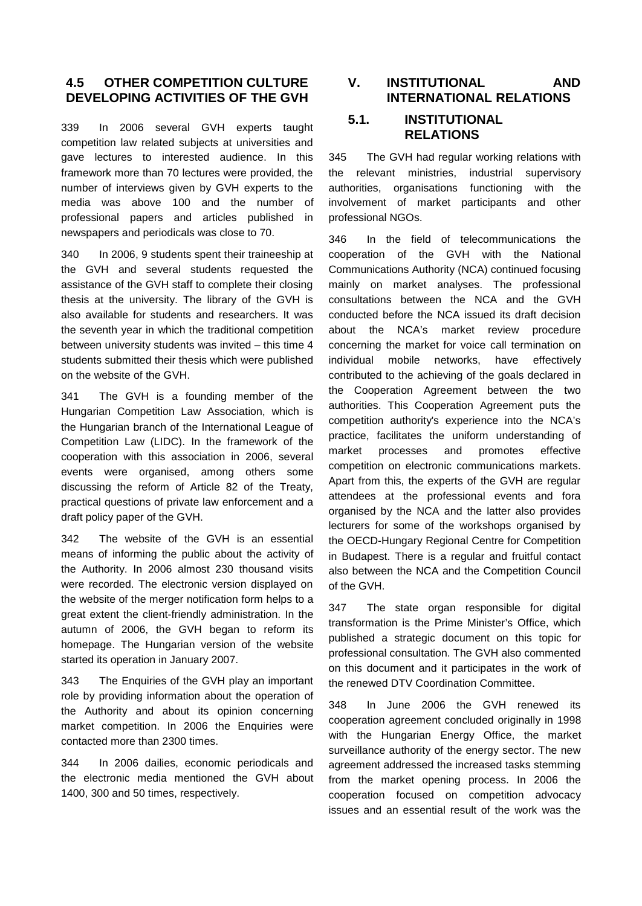# **4.5 OTHER COMPETITION CULTURE DEVELOPING ACTIVITIES OF THE GVH**

339 In 2006 several GVH experts taught competition law related subjects at universities and gave lectures to interested audience. In this framework more than 70 lectures were provided, the number of interviews given by GVH experts to the media was above 100 and the number of professional papers and articles published in newspapers and periodicals was close to 70.

340 In 2006, 9 students spent their traineeship at the GVH and several students requested the assistance of the GVH staff to complete their closing thesis at the university. The library of the GVH is also available for students and researchers. It was the seventh year in which the traditional competition between university students was invited – this time 4 students submitted their thesis which were published on the website of the GVH.

341 The GVH is a founding member of the Hungarian Competition Law Association, which is the Hungarian branch of the International League of Competition Law (LIDC). In the framework of the cooperation with this association in 2006, several events were organised, among others some discussing the reform of Article 82 of the Treaty, practical questions of private law enforcement and a draft policy paper of the GVH.

342 The website of the GVH is an essential means of informing the public about the activity of the Authority. In 2006 almost 230 thousand visits were recorded. The electronic version displayed on the website of the merger notification form helps to a great extent the client-friendly administration. In the autumn of 2006, the GVH began to reform its homepage. The Hungarian version of the website started its operation in January 2007.

343 The Enquiries of the GVH play an important role by providing information about the operation of the Authority and about its opinion concerning market competition. In 2006 the Enquiries were contacted more than 2300 times.

344 In 2006 dailies, economic periodicals and the electronic media mentioned the GVH about 1400, 300 and 50 times, respectively.

# **V. INSTITUTIONAL AND INTERNATIONAL RELATIONS**

# **5.1. INSTITUTIONAL RELATIONS**

345 The GVH had regular working relations with the relevant ministries, industrial supervisory authorities, organisations functioning with the involvement of market participants and other professional NGOs.

346 In the field of telecommunications the cooperation of the GVH with the National Communications Authority (NCA) continued focusing mainly on market analyses. The professional consultations between the NCA and the GVH conducted before the NCA issued its draft decision about the NCA's market review procedure concerning the market for voice call termination on individual mobile networks, have effectively contributed to the achieving of the goals declared in the Cooperation Agreement between the two authorities. This Cooperation Agreement puts the competition authority's experience into the NCA's practice, facilitates the uniform understanding of market processes and promotes effective competition on electronic communications markets. Apart from this, the experts of the GVH are regular attendees at the professional events and fora organised by the NCA and the latter also provides lecturers for some of the workshops organised by the OECD-Hungary Regional Centre for Competition in Budapest. There is a regular and fruitful contact also between the NCA and the Competition Council of the GVH.

347 The state organ responsible for digital transformation is the Prime Minister's Office, which published a strategic document on this topic for professional consultation. The GVH also commented on this document and it participates in the work of the renewed DTV Coordination Committee.

348 In June 2006 the GVH renewed its cooperation agreement concluded originally in 1998 with the Hungarian Energy Office, the market surveillance authority of the energy sector. The new agreement addressed the increased tasks stemming from the market opening process. In 2006 the cooperation focused on competition advocacy issues and an essential result of the work was the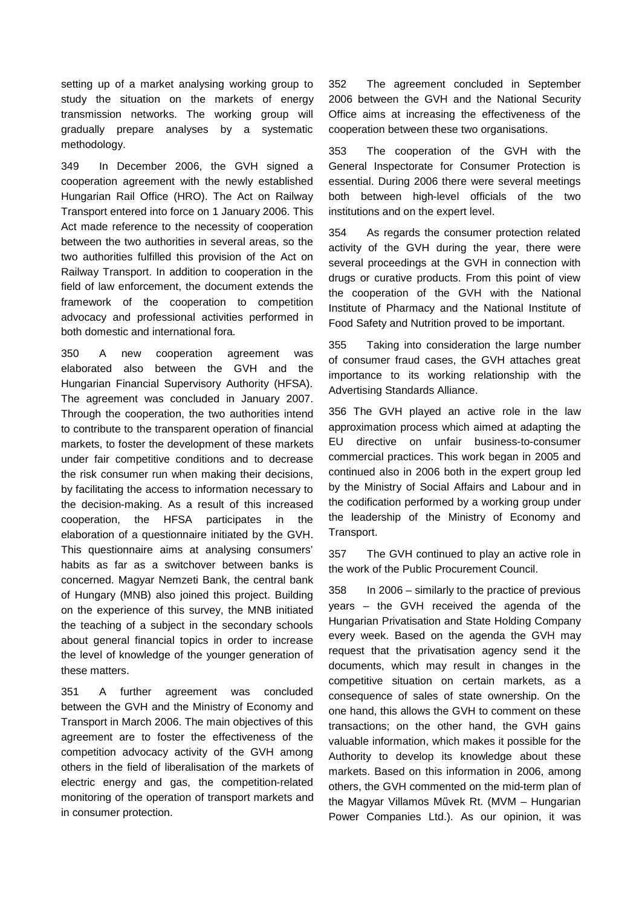setting up of a market analysing working group to study the situation on the markets of energy transmission networks. The working group will gradually prepare analyses by a systematic methodology.

349 In December 2006, the GVH signed a cooperation agreement with the newly established Hungarian Rail Office (HRO). The Act on Railway Transport entered into force on 1 January 2006. This Act made reference to the necessity of cooperation between the two authorities in several areas, so the two authorities fulfilled this provision of the Act on Railway Transport. In addition to cooperation in the field of law enforcement, the document extends the framework of the cooperation to competition advocacy and professional activities performed in both domestic and international fora.

350 A new cooperation agreement was elaborated also between the GVH and the Hungarian Financial Supervisory Authority (HFSA). The agreement was concluded in January 2007. Through the cooperation, the two authorities intend to contribute to the transparent operation of financial markets, to foster the development of these markets under fair competitive conditions and to decrease the risk consumer run when making their decisions, by facilitating the access to information necessary to the decision-making. As a result of this increased cooperation, the HFSA participates in the elaboration of a questionnaire initiated by the GVH. This questionnaire aims at analysing consumers' habits as far as a switchover between banks is concerned. Magyar Nemzeti Bank, the central bank of Hungary (MNB) also joined this project. Building on the experience of this survey, the MNB initiated the teaching of a subject in the secondary schools about general financial topics in order to increase the level of knowledge of the younger generation of these matters.

351 A further agreement was concluded between the GVH and the Ministry of Economy and Transport in March 2006. The main objectives of this agreement are to foster the effectiveness of the competition advocacy activity of the GVH among others in the field of liberalisation of the markets of electric energy and gas, the competition-related monitoring of the operation of transport markets and in consumer protection.

352 The agreement concluded in September 2006 between the GVH and the National Security Office aims at increasing the effectiveness of the cooperation between these two organisations.

353 The cooperation of the GVH with the General Inspectorate for Consumer Protection is essential. During 2006 there were several meetings both between high-level officials of the two institutions and on the expert level.

354 As regards the consumer protection related activity of the GVH during the year, there were several proceedings at the GVH in connection with drugs or curative products. From this point of view the cooperation of the GVH with the National Institute of Pharmacy and the National Institute of Food Safety and Nutrition proved to be important.

355 Taking into consideration the large number of consumer fraud cases, the GVH attaches great importance to its working relationship with the Advertising Standards Alliance.

356 The GVH played an active role in the law approximation process which aimed at adapting the EU directive on unfair business-to-consumer commercial practices. This work began in 2005 and continued also in 2006 both in the expert group led by the Ministry of Social Affairs and Labour and in the codification performed by a working group under the leadership of the Ministry of Economy and Transport.

357 The GVH continued to play an active role in the work of the Public Procurement Council.

358 In 2006 – similarly to the practice of previous years – the GVH received the agenda of the Hungarian Privatisation and State Holding Company every week. Based on the agenda the GVH may request that the privatisation agency send it the documents, which may result in changes in the competitive situation on certain markets, as a consequence of sales of state ownership. On the one hand, this allows the GVH to comment on these transactions; on the other hand, the GVH gains valuable information, which makes it possible for the Authority to develop its knowledge about these markets. Based on this information in 2006, among others, the GVH commented on the mid-term plan of the Magyar Villamos Művek Rt. (MVM – Hungarian Power Companies Ltd.). As our opinion, it was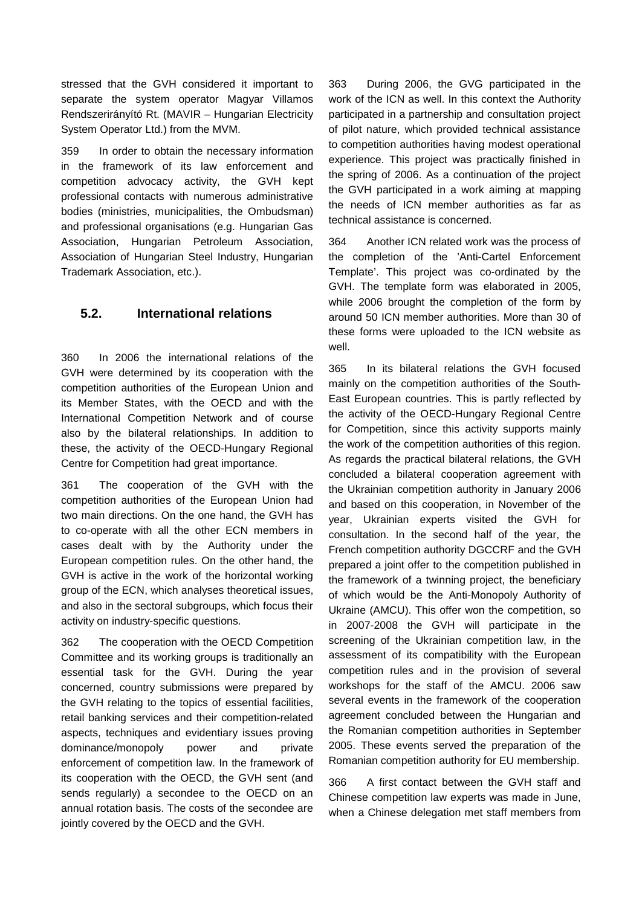stressed that the GVH considered it important to separate the system operator Magyar Villamos Rendszerirányító Rt. (MAVIR – Hungarian Electricity System Operator Ltd.) from the MVM.

359 In order to obtain the necessary information in the framework of its law enforcement and competition advocacy activity, the GVH kept professional contacts with numerous administrative bodies (ministries, municipalities, the Ombudsman) and professional organisations (e.g. Hungarian Gas Association, Hungarian Petroleum Association, Association of Hungarian Steel Industry, Hungarian Trademark Association, etc.).

# **5.2. International relations**

360 In 2006 the international relations of the GVH were determined by its cooperation with the competition authorities of the European Union and its Member States, with the OECD and with the International Competition Network and of course also by the bilateral relationships. In addition to these, the activity of the OECD-Hungary Regional Centre for Competition had great importance.

361 The cooperation of the GVH with the competition authorities of the European Union had two main directions. On the one hand, the GVH has to co-operate with all the other ECN members in cases dealt with by the Authority under the European competition rules. On the other hand, the GVH is active in the work of the horizontal working group of the ECN, which analyses theoretical issues, and also in the sectoral subgroups, which focus their activity on industry-specific questions.

362 The cooperation with the OECD Competition Committee and its working groups is traditionally an essential task for the GVH. During the year concerned, country submissions were prepared by the GVH relating to the topics of essential facilities, retail banking services and their competition-related aspects, techniques and evidentiary issues proving dominance/monopoly power and private enforcement of competition law. In the framework of its cooperation with the OECD, the GVH sent (and sends regularly) a secondee to the OECD on an annual rotation basis. The costs of the secondee are jointly covered by the OECD and the GVH.

363 During 2006, the GVG participated in the work of the ICN as well. In this context the Authority participated in a partnership and consultation project of pilot nature, which provided technical assistance to competition authorities having modest operational experience. This project was practically finished in the spring of 2006. As a continuation of the project the GVH participated in a work aiming at mapping the needs of ICN member authorities as far as technical assistance is concerned.

364 Another ICN related work was the process of the completion of the 'Anti-Cartel Enforcement Template'. This project was co-ordinated by the GVH. The template form was elaborated in 2005, while 2006 brought the completion of the form by around 50 ICN member authorities. More than 30 of these forms were uploaded to the ICN website as well.

365 In its bilateral relations the GVH focused mainly on the competition authorities of the South-East European countries. This is partly reflected by the activity of the OECD-Hungary Regional Centre for Competition, since this activity supports mainly the work of the competition authorities of this region. As regards the practical bilateral relations, the GVH concluded a bilateral cooperation agreement with the Ukrainian competition authority in January 2006 and based on this cooperation, in November of the year, Ukrainian experts visited the GVH for consultation. In the second half of the year, the French competition authority DGCCRF and the GVH prepared a joint offer to the competition published in the framework of a twinning project, the beneficiary of which would be the Anti-Monopoly Authority of Ukraine (AMCU). This offer won the competition, so in 2007-2008 the GVH will participate in the screening of the Ukrainian competition law, in the assessment of its compatibility with the European competition rules and in the provision of several workshops for the staff of the AMCU. 2006 saw several events in the framework of the cooperation agreement concluded between the Hungarian and the Romanian competition authorities in September 2005. These events served the preparation of the Romanian competition authority for EU membership.

366 A first contact between the GVH staff and Chinese competition law experts was made in June, when a Chinese delegation met staff members from